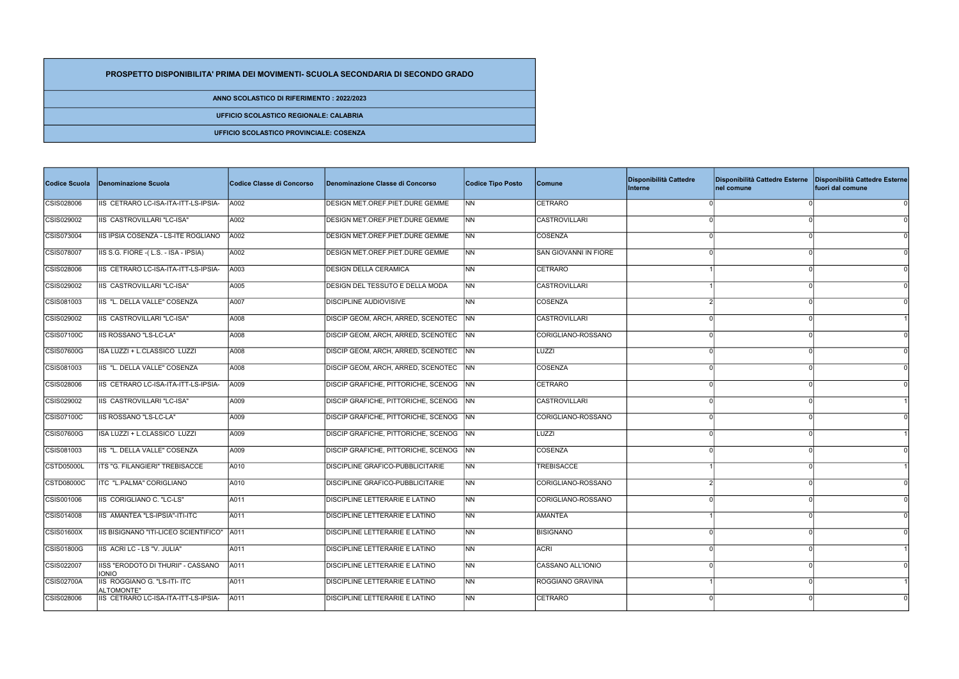| Codice Scuola     | Denominazione Scuola                                       | Codice Classe di Concorso | Denominazione Classe di Concorso           | <b>Codice Tipo Posto</b> | <b>Comune</b>         | Disponibilità Cattedre<br>Interne | Disponibilità Cattedre Esterne<br>nel comune | Disponibilità Cattedre Esterne<br>fuori dal comune |
|-------------------|------------------------------------------------------------|---------------------------|--------------------------------------------|--------------------------|-----------------------|-----------------------------------|----------------------------------------------|----------------------------------------------------|
| CSIS028006        | IIS CETRARO LC-ISA-ITA-ITT-LS-IPSIA-                       | A002                      | DESIGN MET.OREF.PIET.DURE GEMME            | <b>INN</b>               | CETRARO               |                                   |                                              |                                                    |
| CSIS029002        | IIS CASTROVILLARI "LC-ISA"                                 | A002                      | DESIGN MET.OREF.PIET.DURE GEMME            | INN                      | <b>CASTROVILLARI</b>  |                                   |                                              |                                                    |
| CSIS073004        | IIS IPSIA COSENZA - LS-ITE ROGLIANO                        | A002                      | DESIGN MET.OREF.PIET.DURE GEMME            | INN.                     | COSENZA               |                                   |                                              |                                                    |
| CSIS078007        | IIS S.G. FIORE - (L.S. - ISA - IPSIA)                      | A002                      | DESIGN MET.OREF.PIET.DURE GEMME            | INN                      | SAN GIOVANNI IN FIORE |                                   |                                              |                                                    |
| CSIS028006        | IIS CETRARO LC-ISA-ITA-ITT-LS-IPSIA-                       | A003                      | <b>DESIGN DELLA CERAMICA</b>               | INN.                     | CETRARO               |                                   |                                              |                                                    |
| CSIS029002        | IIS CASTROVILLARI "LC-ISA"                                 | A005                      | <b>DESIGN DEL TESSUTO E DELLA MODA</b>     | <b>NN</b>                | <b>CASTROVILLARI</b>  |                                   |                                              |                                                    |
| CSIS081003        | IIS "L. DELLA VALLE" COSENZA                               | A007                      | <b>DISCIPLINE AUDIOVISIVE</b>              | <b>NN</b>                | COSENZA               |                                   |                                              |                                                    |
| CSIS029002        | IIS CASTROVILLARI "LC-ISA"                                 | A008                      | <b>DISCIP GEOM, ARCH, ARRED, SCENOTEC</b>  | INN.                     | CASTROVILLARI         |                                   |                                              |                                                    |
| CSIS07100C        | IIS ROSSANO "LS-LC-LA"                                     | A008                      | DISCIP GEOM, ARCH, ARRED, SCENOTEC         | <b>INN</b>               | CORIGLIANO-ROSSANO    |                                   |                                              |                                                    |
| CSIS07600G        | ISA LUZZI + L.CLASSICO LUZZI                               | A008                      | <b>DISCIP GEOM, ARCH, ARRED, SCENOTEC</b>  | INN.                     | <b>LUZZI</b>          |                                   |                                              |                                                    |
| CSIS081003        | IIS "L. DELLA VALLE" COSENZA                               | A008                      | <b>DISCIP GEOM, ARCH, ARRED, SCENOTEC</b>  | <b>NN</b>                | COSENZA               |                                   |                                              |                                                    |
| CSIS028006        | IIS CETRARO LC-ISA-ITA-ITT-LS-IPSIA-                       | A009                      | DISCIP GRAFICHE, PITTORICHE, SCENOG NN     |                          | CETRARO               |                                   |                                              |                                                    |
| CSIS029002        | <b>IIS CASTROVILLARI "LC-ISA"</b>                          | A009                      | DISCIP GRAFICHE, PITTORICHE, SCENOG NN     |                          | CASTROVILLARI         |                                   |                                              |                                                    |
| CSIS07100C        | <b>IIS ROSSANO "LS-LC-LA"</b>                              | A009                      | <b>DISCIP GRAFICHE, PITTORICHE, SCENOG</b> | <b>INN</b>               | CORIGLIANO-ROSSANO    |                                   |                                              |                                                    |
| CSIS07600G        | ISA LUZZI + L.CLASSICO LUZZI                               | A009                      | DISCIP GRAFICHE, PITTORICHE, SCENOG NN     |                          | LUZZI                 |                                   |                                              |                                                    |
| CSIS081003        | IIS "L. DELLA VALLE" COSENZA                               | A009                      | DISCIP GRAFICHE, PITTORICHE, SCENOG NN     |                          | COSENZA               |                                   |                                              |                                                    |
| CSTD05000L        | ITS "G. FILANGIERI" TREBISACCE                             | A010                      | <b>DISCIPLINE GRAFICO-PUBBLICITARIE</b>    | INN.                     | <b>TREBISACCE</b>     |                                   |                                              |                                                    |
| <b>CSTD08000C</b> | ITC "L.PALMA" CORIGLIANO                                   | A010                      | <b>DISCIPLINE GRAFICO-PUBBLICITARIE</b>    | <b>NN</b>                | CORIGLIANO-ROSSANO    |                                   |                                              |                                                    |
| CSIS001006        | IIS CORIGLIANO C. "LC-LS"                                  | A011                      | <b>DISCIPLINE LETTERARIE E LATINO</b>      | <b>NN</b>                | CORIGLIANO-ROSSANO    |                                   |                                              |                                                    |
| CSIS014008        | IIS AMANTEA "LS-IPSIA"-ITI-ITC                             | A011                      | <b>DISCIPLINE LETTERARIE E LATINO</b>      | <b>NN</b>                | <b>AMANTEA</b>        |                                   |                                              |                                                    |
| CSIS01600X        | IIS BISIGNANO "ITI-LICEO SCIENTIFICO"   A011               |                           | DISCIPLINE LETTERARIE E LATINO             | <b>NN</b>                | BISIGNANO             |                                   | $\Omega$                                     | -01                                                |
| CSIS01800G        | IIS ACRI LC - LS "V. JULIA"                                | A011                      | <b>DISCIPLINE LETTERARIE E LATINO</b>      | INN I                    | ACRI                  |                                   |                                              |                                                    |
| CSIS022007        | IISS "ERODOTO DI THURII" - CASSANO                         | A011                      | <b>DISCIPLINE LETTERARIE E LATINO</b>      | <b>NN</b>                | CASSANO ALL'IONIO     |                                   |                                              |                                                    |
| <b>CSIS02700A</b> | <b>IONIO</b><br>IIS ROGGIANO G. "LS-ITI- ITC<br>ALTOMONTE" | A011                      | DISCIPLINE LETTERARIE E LATINO             | NN                       | ROGGIANO GRAVINA      |                                   | $\Omega$                                     |                                                    |
| CSIS028006        | IIS CETRARO LC-ISA-ITA-ITT-LS-IPSIA-                       | A011                      | <b>DISCIPLINE LETTERARIE E LATINO</b>      | N <sub>N</sub>           | CETRARO               |                                   | $\Omega$                                     |                                                    |

## PROSPETTO DISPONIBILITA' PRIMA DEI MOVIMENTI- SCUOLA SECONDARIA DI SECONDO GRADO

ANNO SCOLASTICO DI RIFERIMENTO : 2022/2023

UFFICIO SCOLASTICO REGIONALE: CALABRIA

UFFICIO SCOLASTICO PROVINCIALE: COSENZA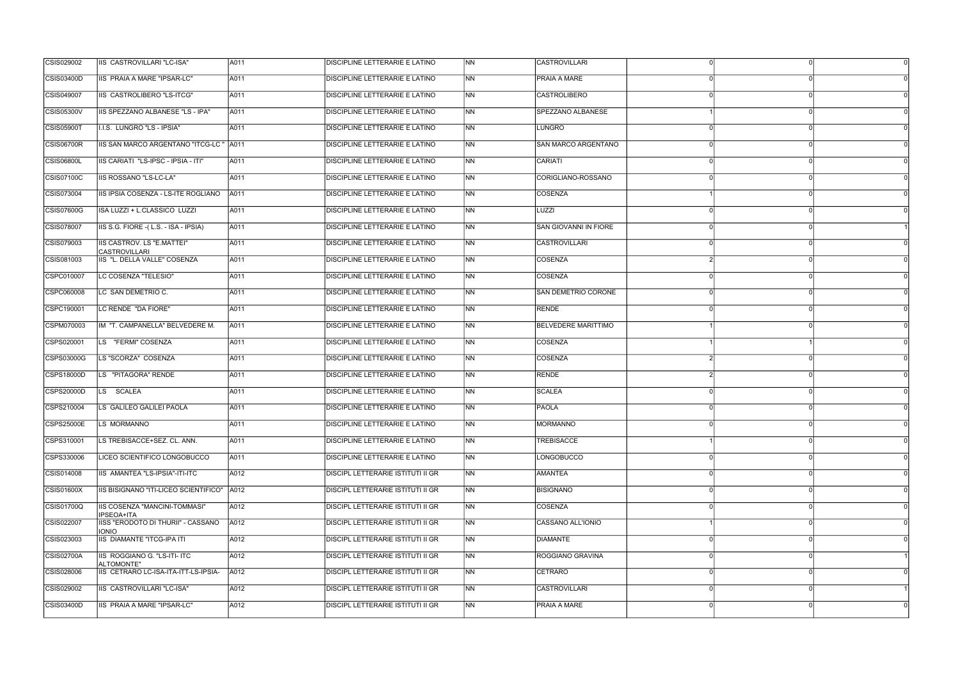| CSIS03400D                             | IIS PRAIA A MARE "IPSAR-LC"                  | A011 |                                          |                |                              |  |
|----------------------------------------|----------------------------------------------|------|------------------------------------------|----------------|------------------------------|--|
|                                        |                                              |      | DISCIPLINE LETTERARIE E LATINO           | N <sub>N</sub> | PRAIA A MARE                 |  |
| CSIS049007                             | IIS CASTROLIBERO "LS-ITCG"                   | A011 | DISCIPLINE LETTERARIE E LATINO           | N <sub>N</sub> | <b>CASTROLIBERO</b>          |  |
| <b>CSIS05300V</b>                      | IIS SPEZZANO ALBANESE "LS - IPA"             | A011 | <b>DISCIPLINE LETTERARIE E LATINO</b>    | <b>NN</b>      | SPEZZANO ALBANESE            |  |
| <b>CSIS05900T</b>                      | I.I.S. LUNGRO "LS - IPSIA"                   | A011 | DISCIPLINE LETTERARIE E LATINO           | N <sub>N</sub> | LUNGRO                       |  |
| <b>CSIS06700R</b>                      | IIS SAN MARCO ARGENTANO "ITCG-LC " A011      |      | DISCIPLINE LETTERARIE E LATINO           | N <sub>N</sub> | <b>SAN MARCO ARGENTANO</b>   |  |
| <b>CSIS06800L</b>                      | IIS CARIATI "LS-IPSC - IPSIA - ITI"          | A011 | DISCIPLINE LETTERARIE E LATINO           | <b>INN</b>     | CARIATI                      |  |
| CSIS07100C                             | IIS ROSSANO "LS-LC-LA"                       | A011 | DISCIPLINE LETTERARIE E LATINO           | <b>INN</b>     | CORIGLIANO-ROSSANO           |  |
| CSIS073004                             | IIS IPSIA COSENZA - LS-ITE ROGLIANO          | A011 | DISCIPLINE LETTERARIE E LATINO           | <b>INN</b>     | COSENZA                      |  |
| CSIS07600G                             | ISA LUZZI + L.CLASSICO LUZZI                 | A011 | DISCIPLINE LETTERARIE E LATINO           | <b>NN</b>      | LUZZI                        |  |
| CSIS078007                             | IIS S.G. FIORE - (L.S. - ISA - IPSIA)        | A011 | DISCIPLINE LETTERARIE E LATINO           | N <sub>N</sub> | <b>SAN GIOVANNI IN FIORE</b> |  |
| CSIS079003<br><b>CASTROVILLARI</b>     | IIS CASTROV. LS "E.MATTEI"                   | A011 | DISCIPLINE LETTERARIE E LATINO           | N <sub>N</sub> | CASTROVILLARI                |  |
| CSIS081003                             | IIS "L. DELLA VALLE" COSENZA                 | A011 | <b>DISCIPLINE LETTERARIE E LATINO</b>    | N <sub>N</sub> | COSENZA                      |  |
| CSPC010007                             | LC COSENZA "TELESIO"                         | A011 | <b>DISCIPLINE LETTERARIE E LATINO</b>    | <b>INN</b>     | COSENZA                      |  |
| CSPC060008                             | LC SAN DEMETRIO C.                           | A011 | DISCIPLINE LETTERARIE E LATINO           | INN.           | SAN DEMETRIO CORONE          |  |
| CSPC190001                             | LC RENDE "DA FIORE"                          | A011 | DISCIPLINE LETTERARIE E LATINO           | N <sub>N</sub> | RENDE                        |  |
| CSPM070003                             | IM "T. CAMPANELLA" BELVEDERE M.              | A011 | DISCIPLINE LETTERARIE E LATINO           | <b>INN</b>     | <b>BELVEDERE MARITTIMO</b>   |  |
| CSPS020001                             | LS "FERMI" COSENZA                           | A011 | DISCIPLINE LETTERARIE E LATINO           | INN.           | COSENZA                      |  |
| CSPS03000G                             | LS "SCORZA" COSENZA                          | A011 | <b>DISCIPLINE LETTERARIE E LATINO</b>    | N <sub>N</sub> | COSENZA                      |  |
| CSPS18000D                             | LS "PITAGORA" RENDE                          | A011 | DISCIPLINE LETTERARIE E LATINO           | <b>NN</b>      | RENDE                        |  |
| LS SCALEA<br>CSPS20000D                |                                              | A011 | DISCIPLINE LETTERARIE E LATINO           | N <sub>N</sub> | SCALEA                       |  |
| CSPS210004                             | LS GALILEO GALILEI PAOLA                     | A011 | DISCIPLINE LETTERARIE E LATINO           | N <sub>N</sub> | PAOLA                        |  |
| <b>CSPS25000E</b><br>LS MORMANNO       |                                              | A011 | <b>DISCIPLINE LETTERARIE E LATINO</b>    | <b>NN</b>      | MORMANNO                     |  |
| CSPS310001                             | LS TREBISACCE+SEZ. CL. ANN.                  | A011 | <b>DISCIPLINE LETTERARIE E LATINO</b>    | N <sub>N</sub> | TREBISACCE                   |  |
| CSPS330006                             | LICEO SCIENTIFICO LONGOBUCCO                 | A011 | DISCIPLINE LETTERARIE E LATINO           | <b>NN</b>      | LONGOBUCCO                   |  |
| CSIS014008                             | IIS AMANTEA "LS-IPSIA"-ITI-ITC               | A012 | DISCIPL LETTERARIE ISTITUTI II GR        | N <sub>N</sub> | <b>AMANTEA</b>               |  |
| CSIS01600X                             | IIS BISIGNANO "ITI-LICEO SCIENTIFICO"   A012 |      | DISCIPL LETTERARIE ISTITUTI II GR        | N <sub>N</sub> | <b>BISIGNANO</b>             |  |
| CSIS01700Q<br>IPSEOA+ITA               | IIS COSENZA "MANCINI-TOMMASI"                | A012 | <b>DISCIPL LETTERARIE ISTITUTI II GR</b> | N <sub>N</sub> | COSENZA                      |  |
| CSIS022007<br><b>IONIO</b>             | IISS "ERODOTO DI THURII" - CASSANO           | A012 | DISCIPL LETTERARIE ISTITUTI II GR        | <b>NN</b>      | CASSANO ALL'IONIO            |  |
| CSIS023003                             | <b>IIS DIAMANTE "ITCG-IPA ITI</b>            | A012 | DISCIPL LETTERARIE ISTITUTI II GR        | N <sub>N</sub> | <b>DIAMANTE</b>              |  |
| <b>CSIS02700A</b><br><b>ALTOMONTE"</b> | IIS ROGGIANO G. "LS-ITI- ITC                 | A012 | DISCIPL LETTERARIE ISTITUTI II GR        | <b>NN</b>      | ROGGIANO GRAVINA             |  |
| CSIS028006                             | IIS CETRARO LC-ISA-ITA-ITT-LS-IPSIA-         | A012 | <b>DISCIPL LETTERARIE ISTITUTI II GR</b> | <b>NN</b>      | CETRARO                      |  |
| CSIS029002                             | IIS CASTROVILLARI "LC-ISA"                   | A012 | DISCIPL LETTERARIE ISTITUTI II GR        | <b>INN</b>     | <b>CASTROVILLARI</b>         |  |
| CSIS03400D                             | IIS PRAIA A MARE "IPSAR-LC"                  | A012 | <b>DISCIPL LETTERARIE ISTITUTI II GR</b> | N <sub>N</sub> | <b>PRAIA A MARE</b>          |  |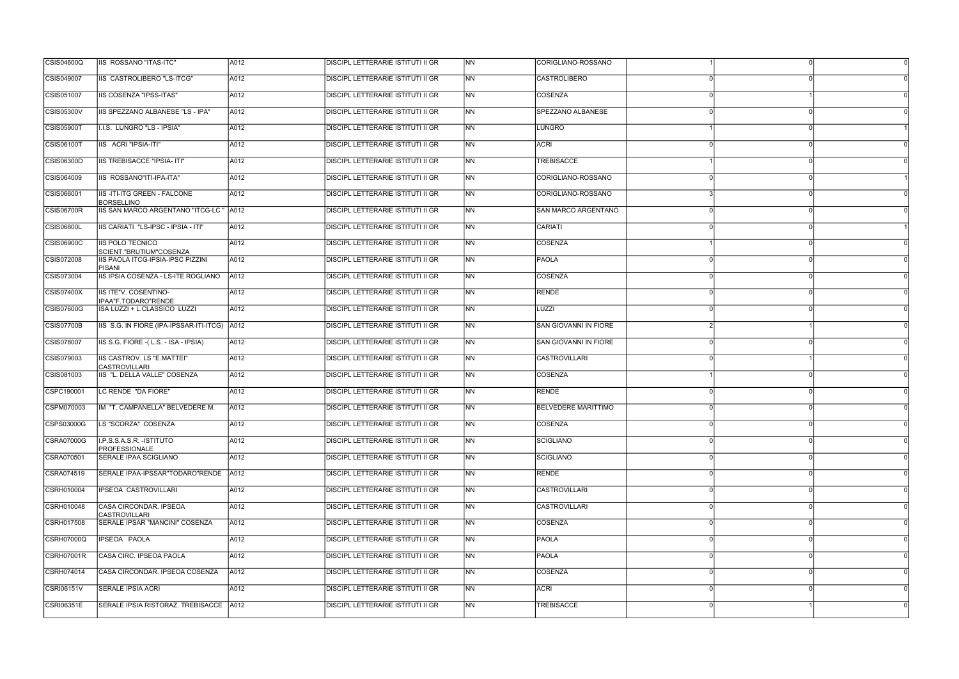| <b>CSIS04600Q</b> | IIIS ROSSANO "ITAS-ITC"                                 | A012 | <b>DISCIPL LETTERARIE ISTITUTI II GR</b> | <b>INN</b>               | CORIGLIANO-ROSSANO           |          |  |
|-------------------|---------------------------------------------------------|------|------------------------------------------|--------------------------|------------------------------|----------|--|
| CSIS049007        | IIS CASTROLIBERO "LS-ITCG"                              | A012 | <b>DISCIPL LETTERARIE ISTITUTI II GR</b> | N <sub>N</sub>           | CASTROLIBERO                 |          |  |
| CSIS051007        | <b>IIS COSENZA "IPSS-ITAS"</b>                          | A012 | <b>DISCIPL LETTERARIE ISTITUTI II GR</b> | <b>NN</b>                | <b>COSENZA</b>               |          |  |
| <b>CSIS05300V</b> | IIS SPEZZANO ALBANESE "LS - IPA"                        | A012 | <b>DISCIPL LETTERARIE ISTITUTI II GR</b> | <b>INN</b>               | SPEZZANO ALBANESE            |          |  |
| CSIS05900T        | I.I.S. LUNGRO "LS - IPSIA"                              | A012 | DISCIPL LETTERARIE ISTITUTI II GR        | <b>NN</b>                | LUNGRO                       |          |  |
| <b>CSIS06100T</b> | IIS ACRI "IPSIA-ITI"                                    | A012 | <b>DISCIPL LETTERARIE ISTITUTI II GR</b> | <b>NN</b>                | <b>ACRI</b>                  |          |  |
| CSIS06300D        | <b>IIS TREBISACCE "IPSIA- ITI"</b>                      | A012 | <b>DISCIPL LETTERARIE ISTITUTI II GR</b> | INN.                     | <b>TREBISACCE</b>            |          |  |
| CSIS064009        | IIS ROSSANO"ITI-IPA-ITA"                                | A012 | <b>DISCIPL LETTERARIE ISTITUTI II GR</b> | INN                      | CORIGLIANO-ROSSANO           |          |  |
| CSIS066001        | <b>IIS-ITI-ITG GREEN - FALCONE</b><br><b>BORSELLINO</b> | A012 | <b>DISCIPL LETTERARIE ISTITUTI II GR</b> | <b>INN</b>               | CORIGLIANO-ROSSANO           |          |  |
| <b>CSIS06700R</b> | IIS SAN MARCO ARGENTANO "ITCG-LC "                      | A012 | <b>DISCIPL LETTERARIE ISTITUTI II GR</b> | <b>NN</b>                | SAN MARCO ARGENTANO          |          |  |
| <b>CSIS06800L</b> | IIS CARIATI "LS-IPSC - IPSIA - ITI"                     | A012 | <b>DISCIPL LETTERARIE ISTITUTI II GR</b> | <b>NN</b>                | CARIATI                      |          |  |
| <b>CSIS06900C</b> | <b>IIS POLO TECNICO</b><br>SCIENT."BRUTIUM"COSENZA      | A012 | <b>DISCIPL LETTERARIE ISTITUTI II GR</b> | N <sub>N</sub>           | COSENZA                      |          |  |
| CSIS072008        | IIS PAOLA ITCG-IPSIA-IPSC PIZZINI<br>PISANI             | A012 | <b>DISCIPL LETTERARIE ISTITUTI II GR</b> | INN.                     | PAOLA                        |          |  |
| CSIS073004        | IIS IPSIA COSENZA - LS-ITE ROGLIANO                     | A012 | <b>DISCIPL LETTERARIE ISTITUTI II GR</b> | INN.                     | COSENZA                      |          |  |
| CSIS07400X        | IIS ITE"V. COSENTINO-<br>IPAA"F.TODARO"RENDE            | A012 | DISCIPL LETTERARIE ISTITUTI II GR        | N <sub>N</sub>           | RENDE                        |          |  |
| <b>CSIS07600G</b> | ISA LUZZI + L.CLASSICO LUZZI                            | A012 | <b>DISCIPL LETTERARIE ISTITUTI II GR</b> | N <sub>N</sub>           | LUZZI                        |          |  |
| <b>CSIS07700B</b> | IIS S.G. IN FIORE (IPA-IPSSAR-ITI-ITCG) A012            |      | <b>DISCIPL LETTERARIE ISTITUTI II GR</b> | <b>INN</b>               | SAN GIOVANNI IN FIORE        |          |  |
| CSIS078007        | IIS S.G. FIORE - (L.S. - ISA - IPSIA)                   | A012 | <b>DISCIPL LETTERARIE ISTITUTI II GR</b> | INN                      | <b>SAN GIOVANNI IN FIORE</b> |          |  |
| CSIS079003        | IIS CASTROV. LS "E.MATTEI"<br><b>CASTROVILLARI</b>      | A012 | <b>DISCIPL LETTERARIE ISTITUTI II GR</b> | INN.                     | <b>CASTROVILLARI</b>         |          |  |
| CSIS081003        | IIS "L. DELLA VALLE" COSENZA                            | A012 | <b>DISCIPL LETTERARIE ISTITUTI II GR</b> | N <sub>N</sub>           | <b>COSENZA</b>               |          |  |
| CSPC190001        | LC RENDE "DA FIORE"                                     | A012 | <b>DISCIPL LETTERARIE ISTITUTI II GR</b> | N <sub>N</sub>           | RENDE                        |          |  |
| CSPM070003        | IM "T. CAMPANELLA" BELVEDERE M.                         | A012 | DISCIPL LETTERARIE ISTITUTI II GR        | <b>NN</b>                | <b>BELVEDERE MARITTIMO</b>   |          |  |
| CSPS03000G        | LS "SCORZA" COSENZA                                     | A012 | <b>DISCIPL LETTERARIE ISTITUTI II GR</b> | <b>NN</b>                | COSENZA                      |          |  |
| CSRA07000G        | I.P.S.S.A.S.R. - ISTITUTO<br>PROFESSIONALE              | A012 | <b>DISCIPL LETTERARIE ISTITUTI II GR</b> | N <sub>N</sub>           | SCIGLIANO                    | $\Omega$ |  |
| CSRA070501        | SERALE IPAA SCIGLIANO                                   | A012 | DISCIPL LETTERARIE ISTITUTI II GR        | N <sub>N</sub>           | SCIGLIANO                    |          |  |
| CSRA074519        | SERALE IPAA-IPSSAR"TODARO"RENDE   A012                  |      | DISCIPL LETTERARIE ISTITUTI II GR        | N <sub>N</sub>           | RENDE                        |          |  |
| CSRH010004        | IPSEOA CASTROVILLARI                                    | A012 | <b>DISCIPL LETTERARIE ISTITUTI II GR</b> | N <sub>N</sub>           | <b>CASTROVILLARI</b>         |          |  |
| CSRH010048        | CASA CIRCONDAR. IPSEOA<br>CASTROVILLARI                 | A012 | <b>DISCIPL LETTERARIE ISTITUTI II GR</b> | N <sub>N</sub>           | CASTROVILLARI                |          |  |
| CSRH017508        | SERALE IPSAR "MANCINI" COSENZA                          | A012 | <b>DISCIPL LETTERARIE ISTITUTI II GR</b> | $\overline{\mathsf{NN}}$ | COSENZA                      |          |  |
| CSRH07000Q        | IPSEOA PAOLA                                            | A012 | DISCIPL LETTERARIE ISTITUTI II GR        | N <sub>N</sub>           | <b>PAOLA</b>                 |          |  |
| CSRH07001R        | CASA CIRC. IPSEOA PAOLA                                 | A012 | <b>DISCIPL LETTERARIE ISTITUTI II GR</b> | <b>NN</b>                | <b>PAOLA</b>                 |          |  |
| CSRH074014        | CASA CIRCONDAR. IPSEOA COSENZA                          | A012 | <b>DISCIPL LETTERARIE ISTITUTI II GR</b> | N <sub>N</sub>           | COSENZA                      |          |  |
| CSRI06151V        | SERALE IPSIA ACRI                                       | A012 | <b>DISCIPL LETTERARIE ISTITUTI II GR</b> | INN                      | <b>ACRI</b>                  |          |  |
| <b>CSRI06351E</b> | SERALE IPSIA RISTORAZ. TREBISACCE   A012                |      | <b>DISCIPL LETTERARIE ISTITUTI II GR</b> | N <sub>N</sub>           | <b>TREBISACCE</b>            |          |  |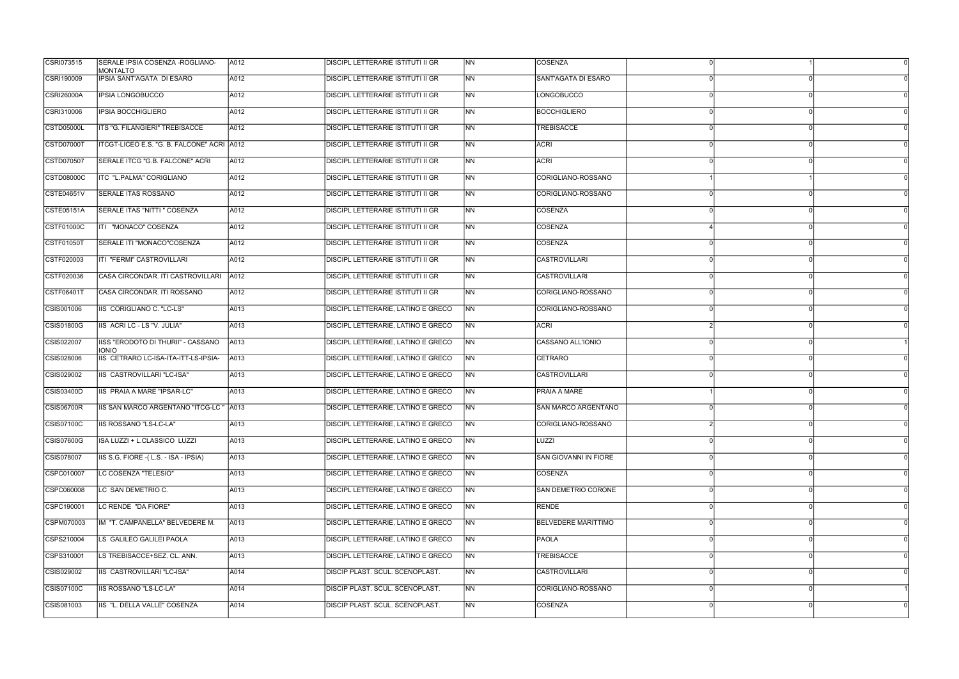| CSRI073515        | SERALE IPSIA COSENZA - ROGLIANO-<br><b>MONTALTO</b> | A012 | <b>DISCIPL LETTERARIE ISTITUTI II GR</b>  | <b>INN</b>     | <b>COSENZA</b>               |          |
|-------------------|-----------------------------------------------------|------|-------------------------------------------|----------------|------------------------------|----------|
| CSRI190009        | IPSIA SANT'AGATA DI ESARO                           | A012 | <b>DISCIPL LETTERARIE ISTITUTI II GR</b>  | N <sub>N</sub> | SANT'AGATA DI ESARO          |          |
| <b>CSRI26000A</b> | <b>IPSIA LONGOBUCCO</b>                             | A012 | <b>DISCIPL LETTERARIE ISTITUTI II GR</b>  | <b>NN</b>      | <b>LONGOBUCCO</b>            |          |
| CSRI310006        | <b>IPSIA BOCCHIGLIERO</b>                           | A012 | <b>DISCIPL LETTERARIE ISTITUTI II GR</b>  | N <sub>N</sub> | <b>BOCCHIGLIERO</b>          |          |
| CSTD05000L        | ITS "G. FILANGIERI" TREBISACCE                      | A012 | <b>DISCIPL LETTERARIE ISTITUTI II GR</b>  | <b>NN</b>      | <b>TREBISACCE</b>            |          |
| <b>CSTD07000T</b> | ITCGT-LICEO E.S. "G. B. FALCONE" ACRI A012          |      | <b>DISCIPL LETTERARIE ISTITUTI II GR</b>  | <b>NN</b>      | <b>ACRI</b>                  |          |
| CSTD070507        | SERALE ITCG "G.B. FALCONE" ACRI                     | A012 | <b>DISCIPL LETTERARIE ISTITUTI II GR</b>  | INN.           | <b>ACRI</b>                  |          |
| CSTD08000C        | ITC "L.PALMA" CORIGLIANO                            | A012 | <b>DISCIPL LETTERARIE ISTITUTI II GR</b>  | INN            | CORIGLIANO-ROSSANO           |          |
| CSTE04651V        | SERALE ITAS ROSSANO                                 | A012 | <b>DISCIPL LETTERARIE ISTITUTI II GR</b>  | INN.           | CORIGLIANO-ROSSANO           |          |
| CSTE05151A        | SERALE ITAS "NITTI " COSENZA                        | A012 | DISCIPL LETTERARIE ISTITUTI II GR         | <b>NN</b>      | COSENZA                      |          |
| <b>CSTF01000C</b> | ITI "MONACO" COSENZA                                | A012 | <b>DISCIPL LETTERARIE ISTITUTI II GR</b>  | <b>NN</b>      | COSENZA                      |          |
| CSTF01050T        | SERALE ITI "MONACO"COSENZA                          | A012 | <b>DISCIPL LETTERARIE ISTITUTI II GR</b>  | N <sub>N</sub> | <b>COSENZA</b>               |          |
| CSTF020003        | ITI "FERMI" CASTROVILLARI                           | A012 | <b>DISCIPL LETTERARIE ISTITUTI II GR</b>  | INN.           | <b>CASTROVILLARI</b>         |          |
| CSTF020036        | CASA CIRCONDAR. ITI CASTROVILLARI                   | A012 | <b>DISCIPL LETTERARIE ISTITUTI II GR</b>  | INN.           | <b>CASTROVILLARI</b>         |          |
| CSTF06401T        | CASA CIRCONDAR. ITI ROSSANO                         | A012 | DISCIPL LETTERARIE ISTITUTI II GR         | <b>NN</b>      | CORIGLIANO-ROSSANO           |          |
| CSIS001006        | IIS CORIGLIANO C. "LC-LS"                           | A013 | <b>DISCIPL LETTERARIE, LATINO E GRECO</b> | N <sub>N</sub> | CORIGLIANO-ROSSANO           |          |
| CSIS01800G        | IIS ACRI LC - LS "V. JULIA"                         | A013 | <b>DISCIPL LETTERARIE, LATINO E GRECO</b> | <b>INN</b>     | <b>ACRI</b>                  |          |
| CSIS022007        | IISS "ERODOTO DI THURII" - CASSANO<br><b>IONIO</b>  | A013 | DISCIPL LETTERARIE, LATINO E GRECO        | INN .          | CASSANO ALL'IONIO            |          |
| CSIS028006        | IIS CETRARO LC-ISA-ITA-ITT-LS-IPSIA-                | A013 | DISCIPL LETTERARIE, LATINO E GRECO        | <b>NN</b>      | <b>CETRARO</b>               |          |
| CSIS029002        | IIS CASTROVILLARI "LC-ISA"                          | A013 | DISCIPL LETTERARIE, LATINO E GRECO        | <b>NN</b>      | <b>CASTROVILLARI</b>         |          |
| CSIS03400D        | IIS PRAIA A MARE "IPSAR-LC"                         | A013 | DISCIPL LETTERARIE, LATINO E GRECO        | INN            | <b>PRAIA A MARE</b>          |          |
| <b>CSIS06700R</b> | IIS SAN MARCO ARGENTANO "ITCG-LC " A013             |      | DISCIPL LETTERARIE, LATINO E GRECO        | INN.           | SAN MARCO ARGENTANO          |          |
| CSIS07100C        | IIS ROSSANO "LS-LC-LA"                              | A013 | <b>DISCIPL LETTERARIE, LATINO E GRECO</b> | INN            | CORIGLIANO-ROSSANO           |          |
| CSIS07600G        | ISA LUZZI + L.CLASSICO LUZZI                        | A013 | <b>DISCIPL LETTERARIE, LATINO E GRECO</b> | NN             | LUZZI                        | $\Omega$ |
| CSIS078007        | IIS S.G. FIORE - (L.S. - ISA - IPSIA)               | A013 | DISCIPL LETTERARIE, LATINO E GRECO        | <b>NN</b>      | <b>SAN GIOVANNI IN FIORE</b> |          |
| CSPC010007        | LC COSENZA "TELESIO"                                | A013 | DISCIPL LETTERARIE, LATINO E GRECO        | N <sub>N</sub> | COSENZA                      |          |
| CSPC060008        | LC SAN DEMETRIO C.                                  | A013 | DISCIPL LETTERARIE, LATINO E GRECO        | <b>NN</b>      | SAN DEMETRIO CORONE          |          |
| CSPC190001        | LC RENDE "DA FIORE"                                 | A013 | DISCIPL LETTERARIE, LATINO E GRECO        | <b>NN</b>      | RENDE                        |          |
| CSPM070003        | IM "T. CAMPANELLA" BELVEDERE M.                     | A013 | <b>DISCIPL LETTERARIE, LATINO E GRECO</b> | <b>NN</b>      | <b>BELVEDERE MARITTIMO</b>   |          |
| CSPS210004        | LS GALILEO GALILEI PAOLA                            | A013 | DISCIPL LETTERARIE, LATINO E GRECO        | <b>NN</b>      | PAOLA                        |          |
| CSPS310001        | LS TREBISACCE+SEZ. CL. ANN.                         | A013 | DISCIPL LETTERARIE, LATINO E GRECO        | N <sub>N</sub> | <b>TREBISACCE</b>            |          |
| CSIS029002        | IIS CASTROVILLARI "LC-ISA"                          | A014 | <b>DISCIP PLAST. SCUL. SCENOPLAST.</b>    | N <sub>N</sub> | <b>CASTROVILLARI</b>         |          |
| CSIS07100C        | IIS ROSSANO "LS-LC-LA"                              | A014 | <b>DISCIP PLAST. SCUL. SCENOPLAST.</b>    | INN            | CORIGLIANO-ROSSANO           |          |
| CSIS081003        | IIS "L. DELLA VALLE" COSENZA                        | A014 | <b>DISCIP PLAST. SCUL. SCENOPLAST.</b>    | N <sub>N</sub> | COSENZA                      |          |
|                   |                                                     |      |                                           |                |                              |          |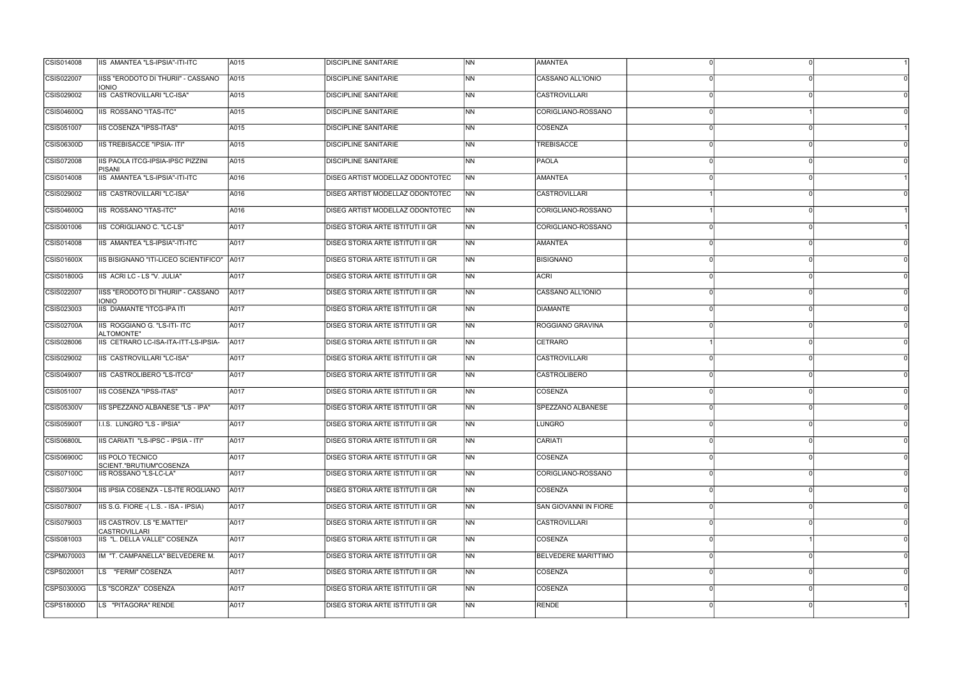| CSIS014008        | IIS AMANTEA "LS-IPSIA"-ITI-ITC                     | A015 | <b>DISCIPLINE SANITARIE</b>             | N <sub>N</sub>           | <b>AMANTEA</b>             |  |
|-------------------|----------------------------------------------------|------|-----------------------------------------|--------------------------|----------------------------|--|
| CSIS022007        | IISS "ERODOTO DI THURII" - CASSANO<br><b>IONIO</b> | A015 | DISCIPLINE SANITARIE                    | <b>INN</b>               | CASSANO ALL'IONIO          |  |
| CSIS029002        | <b>IIS CASTROVILLARI "LC-ISA"</b>                  | A015 | <b>DISCIPLINE SANITARIE</b>             | <b>NN</b>                | <b>CASTROVILLARI</b>       |  |
| <b>CSIS04600Q</b> | IIS ROSSANO "ITAS-ITC"                             | A015 | <b>DISCIPLINE SANITARIE</b>             | <b>NN</b>                | CORIGLIANO-ROSSANO         |  |
| CSIS051007        | IIS COSENZA "IPSS-ITAS"                            | A015 | DISCIPLINE SANITARIE                    | <b>NN</b>                | COSENZA                    |  |
| CSIS06300D        | IIS TREBISACCE "IPSIA- ITI"                        | A015 | <b>DISCIPLINE SANITARIE</b>             | N <sub>N</sub>           | <b>TREBISACCE</b>          |  |
| CSIS072008        | IIS PAOLA ITCG-IPSIA-IPSC PIZZINI<br>PISANI        | A015 | <b>DISCIPLINE SANITARIE</b>             | <b>INN</b>               | <b>PAOLA</b>               |  |
| CSIS014008        | IIS AMANTEA "LS-IPSIA"-ITI-ITC                     | A016 | <b>DISEG ARTIST MODELLAZ ODONTOTEC</b>  | <b>NN</b>                | <b>AMANTEA</b>             |  |
| CSIS029002        | IIS CASTROVILLARI "LC-ISA"                         | A016 | DISEG ARTIST MODELLAZ ODONTOTEC         | NN                       | <b>CASTROVILLARI</b>       |  |
| CSIS04600Q        | IIS ROSSANO "ITAS-ITC"                             | A016 | DISEG ARTIST MODELLAZ ODONTOTEC         | <b>NN</b>                | CORIGLIANO-ROSSANO         |  |
| CSIS001006        | IIS CORIGLIANO C. "LC-LS"                          | A017 | <b>DISEG STORIA ARTE ISTITUTI II GR</b> | <b>NN</b>                | CORIGLIANO-ROSSANO         |  |
| CSIS014008        | IIS AMANTEA "LS-IPSIA"-ITI-ITC                     | A017 | DISEG STORIA ARTE ISTITUTI II GR        | N <sub>N</sub>           | <b>AMANTEA</b>             |  |
| <b>CSIS01600X</b> | IIS BISIGNANO "ITI-LICEO SCIENTIFICO"              | A017 | <b>DISEG STORIA ARTE ISTITUTI II GR</b> | N <sub>N</sub>           | BISIGNANO                  |  |
| <b>CSIS01800G</b> | IIS ACRI LC - LS "V. JULIA"                        | A017 | DISEG STORIA ARTE ISTITUTI II GR        | <b>INN</b>               | <b>ACRI</b>                |  |
| CSIS022007        | IISS "ERODOTO DI THURII" - CASSANO<br><b>IONIO</b> | A017 | DISEG STORIA ARTE ISTITUTI II GR        | <b>NN</b>                | CASSANO ALL'IONIO          |  |
| CSIS023003        | <b>IIS DIAMANTE "ITCG-IPA ITI</b>                  | A017 | DISEG STORIA ARTE ISTITUTI II GR        | N <sub>N</sub>           | DIAMANTE                   |  |
| CSIS02700A        | IIS ROGGIANO G. "LS-ITI- ITC<br>ALTOMONTE"         | A017 | DISEG STORIA ARTE ISTITUTI II GR        | N <sub>N</sub>           | ROGGIANO GRAVINA           |  |
| CSIS028006        | IIS CETRARO LC-ISA-ITA-ITT-LS-IPSIA-               | A017 | <b>DISEG STORIA ARTE ISTITUTI II GR</b> | INN.                     | CETRARO                    |  |
| CSIS029002        | IIS CASTROVILLARI "LC-ISA"                         | A017 | DISEG STORIA ARTE ISTITUTI II GR        | <b>INN</b>               | <b>CASTROVILLARI</b>       |  |
| CSIS049007        | IIS CASTROLIBERO "LS-ITCG"                         | A017 | DISEG STORIA ARTE ISTITUTI II GR        | N <sub>N</sub>           | <b>CASTROLIBERO</b>        |  |
| CSIS051007        | IIS COSENZA "IPSS-ITAS"                            | A017 | <b>DISEG STORIA ARTE ISTITUTI II GR</b> | N <sub>N</sub>           | COSENZA                    |  |
| CSIS05300V        | IIS SPEZZANO ALBANESE "LS - IPA"                   | A017 | DISEG STORIA ARTE ISTITUTI II GR        | <b>NN</b>                | SPEZZANO ALBANESE          |  |
| <b>CSIS05900T</b> | I.I.S. LUNGRO "LS - IPSIA"                         | A017 | <b>DISEG STORIA ARTE ISTITUTI II GR</b> | <b>NN</b>                | LUNGRO                     |  |
| <b>CSIS06800L</b> | IIS CARIATI "LS-IPSC - IPSIA - ITI"                | A017 | DISEG STORIA ARTE ISTITUTI II GR        | N <sub>N</sub>           | CARIATI                    |  |
| <b>CSIS06900C</b> | <b>IIS POLO TECNICO</b><br>SCIENT."BRUTIUM"COSENZA | A017 | DISEG STORIA ARTE ISTITUTI II GR        | N <sub>N</sub>           | COSENZA                    |  |
| CSIS07100C        | IIS ROSSANO "LS-LC-LA"                             | A017 | <b>DISEG STORIA ARTE ISTITUTI II GR</b> | N <sub>N</sub>           | CORIGLIANO-ROSSANO         |  |
| CSIS073004        | IIS IPSIA COSENZA - LS-ITE ROGLIANO                | A017 | <b>DISEG STORIA ARTE ISTITUTI II GR</b> | N <sub>N</sub>           | COSENZA                    |  |
| CSIS078007        | IIS S.G. FIORE -(L.S. - ISA - IPSIA)               | A017 | DISEG STORIA ARTE ISTITUTI II GR        | NN                       | SAN GIOVANNI IN FIORE      |  |
| CSIS079003        | IIS CASTROV. LS "E.MATTEI"<br><b>CASTROVILLARI</b> | A017 | <b>DISEG STORIA ARTE ISTITUTI II GR</b> | $\overline{\mathsf{NN}}$ | <b>CASTROVILLARI</b>       |  |
| CSIS081003        | IIS "L. DELLA VALLE" COSENZA                       | A017 | DISEG STORIA ARTE ISTITUTI II GR        | N <sub>N</sub>           | COSENZA                    |  |
| CSPM070003        | IM "T. CAMPANELLA" BELVEDERE M.                    | A017 | DISEG STORIA ARTE ISTITUTI II GR        | N <sub>N</sub>           | <b>BELVEDERE MARITTIMO</b> |  |
| CSPS020001        | LS "FERMI" COSENZA                                 | A017 | DISEG STORIA ARTE ISTITUTI II GR        | N <sub>N</sub>           | COSENZA                    |  |
| CSPS03000G        | LS "SCORZA" COSENZA                                | A017 | DISEG STORIA ARTE ISTITUTI II GR        | <b>INN</b>               | COSENZA                    |  |
| CSPS18000D        | LS "PITAGORA" RENDE                                | A017 | <b>DISEG STORIA ARTE ISTITUTI II GR</b> | N <sub>N</sub>           | RENDE                      |  |
|                   |                                                    |      |                                         |                          |                            |  |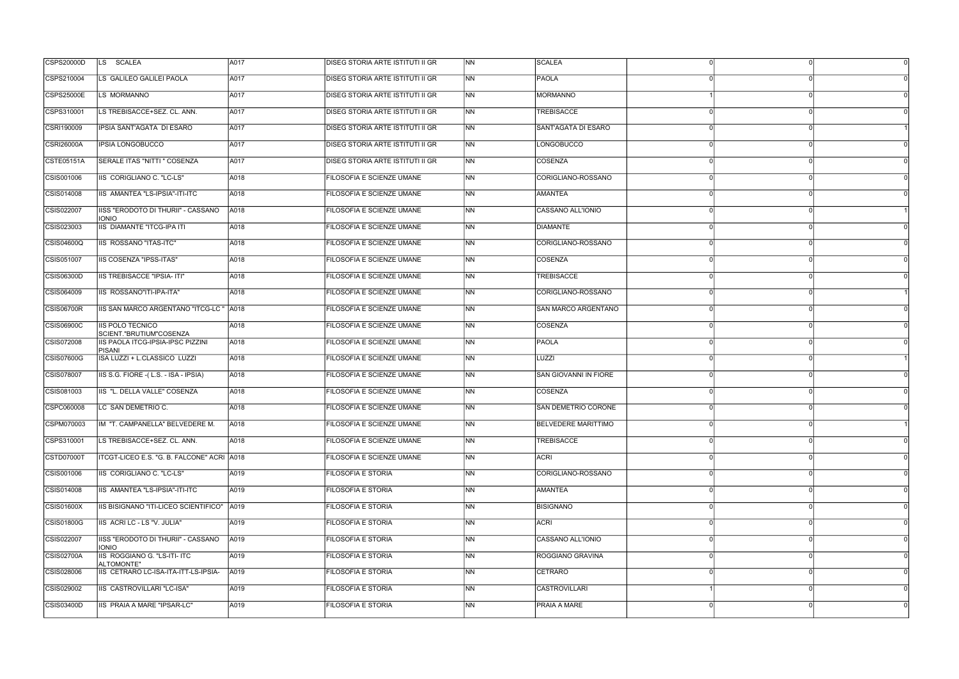| <b>CSPS20000D</b> | LS SCALEA                                          | A017 | <b>DISEG STORIA ARTE ISTITUTI II GR</b> | N <sub>N</sub> | <b>SCALEA</b>                |              |          |
|-------------------|----------------------------------------------------|------|-----------------------------------------|----------------|------------------------------|--------------|----------|
| CSPS210004        | LS GALILEO GALILEI PAOLA                           | A017 | DISEG STORIA ARTE ISTITUTI II GR        | N <sub>N</sub> | PAOLA                        |              |          |
| <b>CSPS25000E</b> | LS MORMANNO                                        | A017 | <b>DISEG STORIA ARTE ISTITUTI II GR</b> | NN             | MORMANNO                     |              |          |
| CSPS310001        | LS TREBISACCE+SEZ. CL. ANN.                        | A017 | <b>DISEG STORIA ARTE ISTITUTI II GR</b> | NN             | <b>TREBISACCE</b>            |              |          |
| CSRI190009        | IPSIA SANT'AGATA DI ESARO                          | A017 | DISEG STORIA ARTE ISTITUTI II GR        | <b>NN</b>      | SANT'AGATA DI ESARO          |              |          |
| <b>CSRI26000A</b> | <b>IPSIA LONGOBUCCO</b>                            | A017 | <b>DISEG STORIA ARTE ISTITUTI II GR</b> | N <sub>N</sub> | <b>LONGOBUCCO</b>            |              |          |
| <b>CSTE05151A</b> | SERALE ITAS "NITTI " COSENZA                       | A017 | <b>DISEG STORIA ARTE ISTITUTI II GR</b> | NN             | COSENZA                      |              |          |
| CSIS001006        | IIS CORIGLIANO C. "LC-LS"                          | A018 | FILOSOFIA E SCIENZE UMANE               | <b>NN</b>      | CORIGLIANO-ROSSANO           |              |          |
| CSIS014008        | IIS AMANTEA "LS-IPSIA"-ITI-ITC                     | A018 | <b>FILOSOFIA E SCIENZE UMANE</b>        | N <sub>N</sub> | <b>AMANTEA</b>               | ∩            |          |
| CSIS022007        | IISS "ERODOTO DI THURII" - CASSANO<br><b>IONIO</b> | A018 | FILOSOFIA E SCIENZE UMANE               | <b>NN</b>      | CASSANO ALL'IONIO            |              |          |
| CSIS023003        | <b>IIS DIAMANTE "ITCG-IPA ITI</b>                  | A018 | <b>FILOSOFIA E SCIENZE UMANE</b>        | N <sub>N</sub> | <b>DIAMANTE</b>              |              |          |
| CSIS04600Q        | <b>IIS ROSSANO "ITAS-ITC"</b>                      | A018 | FILOSOFIA E SCIENZE UMANE               | NN             | CORIGLIANO-ROSSANO           |              |          |
| CSIS051007        | <b>IIS COSENZA "IPSS-ITAS"</b>                     | A018 | FILOSOFIA E SCIENZE UMANE               | <b>NN</b>      | COSENZA                      | $\Omega$     | ∩        |
| CSIS06300D        | IIS TREBISACCE "IPSIA- ITI"                        | A018 | FILOSOFIA E SCIENZE UMANE               | <b>INN</b>     | <b>TREBISACCE</b>            |              |          |
| CSIS064009        | IIS ROSSANO"ITI-IPA-ITA"                           | A018 | FILOSOFIA E SCIENZE UMANE               | <b>NN</b>      | CORIGLIANO-ROSSANO           |              |          |
| <b>CSIS06700R</b> | IIS SAN MARCO ARGENTANO "ITCG-LC " A018            |      | FILOSOFIA E SCIENZE UMANE               | <b>NN</b>      | <b>SAN MARCO ARGENTANO</b>   |              |          |
| CSIS06900C        | <b>IIS POLO TECNICO</b><br>SCIENT."BRUTIUM"COSENZA | A018 | FILOSOFIA E SCIENZE UMANE               | <b>NN</b>      | COSENZA                      |              |          |
| CSIS072008        | IIS PAOLA ITCG-IPSIA-IPSC PIZZINI<br><b>PISANI</b> | A018 | FILOSOFIA E SCIENZE UMANE               | NN             | PAOLA                        |              |          |
| CSIS07600G        | ISA LUZZI + L.CLASSICO LUZZI                       | A018 | FILOSOFIA E SCIENZE UMANE               | N <sub>N</sub> | LUZZI                        |              |          |
| CSIS078007        | IIS S.G. FIORE - (L.S. - ISA - IPSIA)              | A018 | FILOSOFIA E SCIENZE UMANE               | <b>NN</b>      | <b>SAN GIOVANNI IN FIORE</b> |              | ∩        |
| CSIS081003        | IIS "L. DELLA VALLE" COSENZA                       | A018 | FILOSOFIA E SCIENZE UMANE               | N <sub>N</sub> | COSENZA                      |              |          |
| CSPC060008        | LC SAN DEMETRIO C.                                 | A018 | FILOSOFIA E SCIENZE UMANE               | <b>NN</b>      | SAN DEMETRIO CORONE          |              |          |
| CSPM070003        | IM "T. CAMPANELLA" BELVEDERE M.                    | A018 | FILOSOFIA E SCIENZE UMANE               | <b>NN</b>      | <b>BELVEDERE MARITTIMO</b>   |              |          |
| CSPS310001        | LS TREBISACCE+SEZ. CL. ANN.                        | A018 | FILOSOFIA E SCIENZE UMANE               | N <sub>N</sub> | <b>TREBISACCE</b>            | n            |          |
| CSTD07000T        | ITCGT-LICEO E.S. "G. B. FALCONE" ACRI   A018       |      | FILOSOFIA E SCIENZE UMANE               | <b>NN</b>      | ACRI                         |              |          |
| CSIS001006        | IIS CORIGLIANO C. "LC-LS"                          | A019 | FILOSOFIA E STORIA                      | <b>NN</b>      | CORIGLIANO-ROSSANO           |              |          |
| CSIS014008        | IIS AMANTEA "LS-IPSIA"-ITI-ITC                     | A019 | FILOSOFIA E STORIA                      | <b>NN</b>      | <b>AMANTEA</b>               |              |          |
| <b>CSIS01600X</b> | IIS BISIGNANO "ITI-LICEO SCIENTIFICO"   A019       |      | FILOSOFIA E STORIA                      | <b>NN</b>      | <b>BISIGNANO</b>             | $\Omega$     | $\Omega$ |
| CSIS01800G        | IIS ACRI LC - LS "V. JULIA"                        | A019 | <b>FILOSOFIA E STORIA</b>               | <b>NN</b>      | <b>ACRI</b>                  |              |          |
| CSIS022007        | IISS "ERODOTO DI THURII" - CASSANO<br><b>IONIO</b> | A019 | FILOSOFIA E STORIA                      | <b>NN</b>      | CASSANO ALL'IONIO            |              |          |
| CSIS02700A        | IIS ROGGIANO G. "LS-ITI- ITC<br>ALTOMONTE"         | A019 | <b>FILOSOFIA E STORIA</b>               | NN             | <b>ROGGIANO GRAVINA</b>      |              | ∩        |
| CSIS028006        | IIS CETRARO LC-ISA-ITA-ITT-LS-IPSIA-               | A019 | FILOSOFIA E STORIA                      | <b>NN</b>      | CETRARO                      |              |          |
| CSIS029002        | IIS CASTROVILLARI "LC-ISA"                         | A019 | <b>FILOSOFIA E STORIA</b>               | <b>NN</b>      | <b>CASTROVILLARI</b>         |              |          |
| CSIS03400D        | IIS PRAIA A MARE "IPSAR-LC"                        | A019 | FILOSOFIA E STORIA                      | N <sub>N</sub> | <b>PRAIA A MARE</b>          | <sup>n</sup> |          |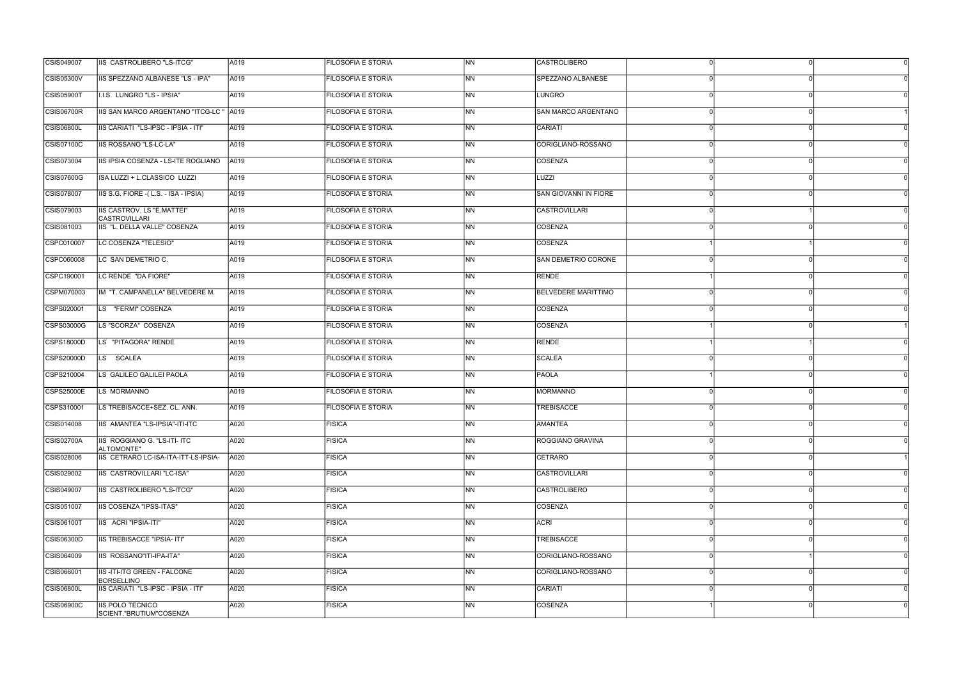| CSIS049007        | IIS CASTROLIBERO "LS-ITCG"                               | A019 | <b>FILOSOFIA E STORIA</b> | <b>INN</b>               | <b>CASTROLIBERO</b>        |          |
|-------------------|----------------------------------------------------------|------|---------------------------|--------------------------|----------------------------|----------|
| <b>CSIS05300V</b> | IIS SPEZZANO ALBANESE "LS - IPA"                         | A019 | <b>FILOSOFIA E STORIA</b> | INN.                     | SPEZZANO ALBANESE          |          |
| <b>CSIS05900T</b> | I.I.S. LUNGRO "LS - IPSIA"                               | A019 | <b>FILOSOFIA E STORIA</b> | <b>NN</b>                | <b>LUNGRO</b>              |          |
| <b>CSIS06700R</b> | IIS SAN MARCO ARGENTANO "ITCG-LC " A019                  |      | <b>FILOSOFIA E STORIA</b> | N <sub>N</sub>           | <b>SAN MARCO ARGENTANO</b> |          |
| <b>CSIS06800L</b> | IIS CARIATI "LS-IPSC - IPSIA - ITI"                      | A019 | <b>FILOSOFIA E STORIA</b> | N <sub>N</sub>           | CARIATI                    |          |
| <b>CSIS07100C</b> | <b>IIS ROSSANO "LS-LC-LA"</b>                            | A019 | <b>FILOSOFIA E STORIA</b> | N <sub>N</sub>           | CORIGLIANO-ROSSANO         |          |
| CSIS073004        | IIS IPSIA COSENZA - LS-ITE ROGLIANO                      | A019 | <b>FILOSOFIA E STORIA</b> | INN.                     | COSENZA                    |          |
| CSIS07600G        | ISA LUZZI + L.CLASSICO LUZZI                             | A019 | <b>FILOSOFIA E STORIA</b> | INN                      | LUZZI                      |          |
| CSIS078007        | IIS S.G. FIORE - (L.S. - ISA - IPSIA)                    | A019 | <b>FILOSOFIA E STORIA</b> | INN.                     | SAN GIOVANNI IN FIORE      |          |
| CSIS079003        | IIS CASTROV. LS "E.MATTEI"<br>CASTROVILLARI              | A019 | <b>FILOSOFIA E STORIA</b> | <b>NN</b>                | <b>CASTROVILLARI</b>       |          |
| CSIS081003        | IIS "L. DELLA VALLE" COSENZA                             | A019 | <b>FILOSOFIA E STORIA</b> | <b>NN</b>                | COSENZA                    |          |
| CSPC010007        | LC COSENZA "TELESIO"                                     | A019 | <b>FILOSOFIA E STORIA</b> | INN.                     | COSENZA                    |          |
| CSPC060008        | LC SAN DEMETRIO C.                                       | A019 | <b>FILOSOFIA E STORIA</b> | INN                      | SAN DEMETRIO CORONE        |          |
| CSPC190001        | LC RENDE "DA FIORE"                                      | A019 | <b>FILOSOFIA E STORIA</b> | INN.                     | RENDE                      |          |
| CSPM070003        | IM "T. CAMPANELLA" BELVEDERE M.                          | A019 | <b>FILOSOFIA E STORIA</b> | N <sub>N</sub>           | <b>BELVEDERE MARITTIMO</b> |          |
| CSPS020001        | LS "FERMI" COSENZA                                       | A019 | <b>FILOSOFIA E STORIA</b> | N <sub>N</sub>           | COSENZA                    |          |
| CSPS03000G        | LS "SCORZA" COSENZA                                      | A019 | <b>FILOSOFIA E STORIA</b> | <b>INN</b>               | COSENZA                    |          |
| CSPS18000D        | LS "PITAGORA" RENDE                                      | A019 | <b>FILOSOFIA E STORIA</b> | INN                      | RENDE                      |          |
| CSPS20000D        | LS SCALEA                                                | A019 | <b>FILOSOFIA E STORIA</b> | INN.                     | SCALEA                     |          |
| CSPS210004        | LS GALILEO GALILEI PAOLA                                 | A019 | <b>FILOSOFIA E STORIA</b> | N <sub>N</sub>           | PAOLA                      |          |
| <b>CSPS25000E</b> | LS MORMANNO                                              | A019 | <b>FILOSOFIA E STORIA</b> | N <sub>N</sub>           | MORMANNO                   |          |
| CSPS310001        | LS TREBISACCE+SEZ. CL. ANN.                              | A019 | <b>FILOSOFIA E STORIA</b> | INN                      | <b>TREBISACCE</b>          |          |
| CSIS014008        | IIS AMANTEA "LS-IPSIA"-ITI-ITC                           | A020 | <b>FISICA</b>             | <b>NN</b>                | AMANTEA                    |          |
| <b>CSIS02700A</b> | IIS ROGGIANO G. "LS-ITI- ITC<br>ALTOMONTE"               | A020 | <b>FISICA</b>             | $\overline{\mathsf{NN}}$ | ROGGIANO GRAVINA           | $\Omega$ |
| CSIS028006        | IIS CETRARO LC-ISA-ITA-ITT-LS-IPSIA-                     | A020 | <b>FISICA</b>             | N <sub>N</sub>           | <b>CETRARO</b>             |          |
| CSIS029002        | IIS CASTROVILLARI "LC-ISA"                               | A020 | <b>FISICA</b>             | N <sub>N</sub>           | <b>CASTROVILLARI</b>       |          |
| CSIS049007        | IIS CASTROLIBERO "LS-ITCG"                               | A020 | <b>FISICA</b>             | <b>NN</b>                | <b>CASTROLIBERO</b>        |          |
| CSIS051007        | IIS COSENZA "IPSS-ITAS"                                  | A020 | <b>FISICA</b>             | INN.                     | COSENZA                    |          |
| <b>CSIS06100T</b> | IIS ACRI "IPSIA-ITI"                                     | A020 | FISICA                    | $\overline{\mathsf{NN}}$ | <b>ACRI</b>                |          |
| <b>CSIS06300D</b> | <b>IIS TREBISACCE "IPSIA- ITI"</b>                       | A020 | <b>FISICA</b>             | N <sub>N</sub>           | <b>TREBISACCE</b>          |          |
| CSIS064009        | IIS ROSSANO"ITI-IPA-ITA"                                 | A020 | <b>FISICA</b>             | <b>NN</b>                | CORIGLIANO-ROSSANO         |          |
| CSIS066001        | <b>IIS-ITI-ITG GREEN - FALCONE</b>                       | A020 | <b>FISICA</b>             | <b>NN</b>                | CORIGLIANO-ROSSANO         |          |
| <b>CSIS06800L</b> | <b>BORSELLINO</b><br>IIS CARIATI "LS-IPSC - IPSIA - ITI" | A020 | <b>FISICA</b>             | <b>INN</b>               | CARIATI                    |          |
| <b>CSIS06900C</b> | <b>IS POLO TECNICO</b><br>SCIENT."BRUTIUM"COSENZA        | A020 | FISICA                    | <b>NN</b>                | COSENZA                    | $\Omega$ |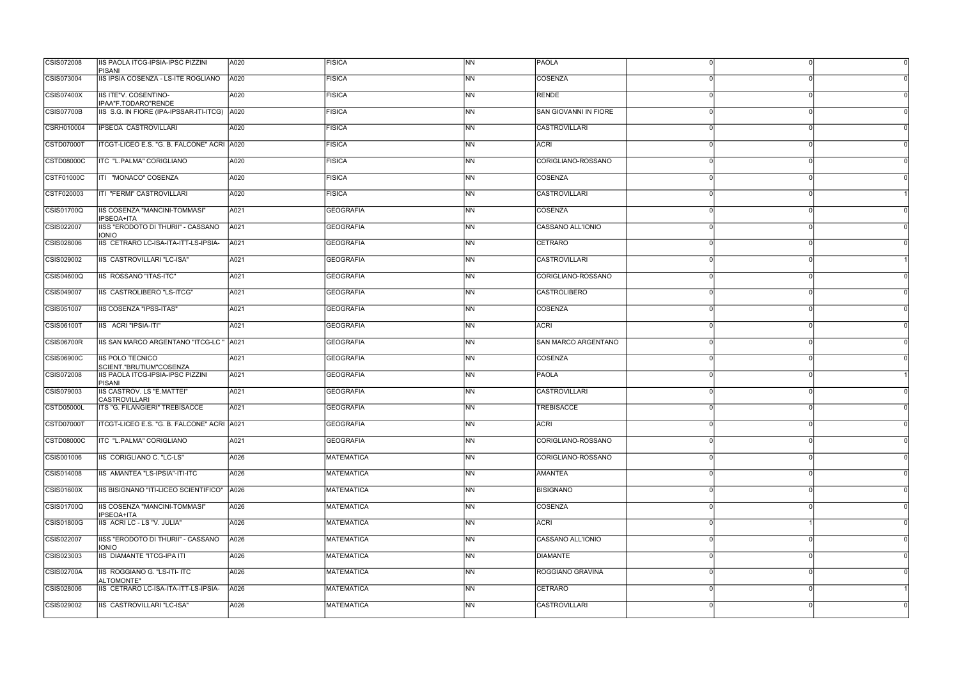| CSIS072008        | <b>IIS PAOLA ITCG-IPSIA-IPSC PIZZINI</b><br><b>PISANI</b> | A020 | <b>FISICA</b>     | <b>NN</b>                | <b>PAOLA</b>                 |          |                |
|-------------------|-----------------------------------------------------------|------|-------------------|--------------------------|------------------------------|----------|----------------|
| CSIS073004        | IIS IPSIA COSENZA - LS-ITE ROGLIANO                       | A020 | <b>FISICA</b>     | NN                       | COSENZA                      |          |                |
| CSIS07400X        | IIS ITE"V. COSENTINO-<br>IPAA"F.TODARO"RENDE              | A020 | <b>FISICA</b>     | NN                       | RENDE                        |          | $\Omega$       |
| <b>CSIS07700B</b> | IIS S.G. IN FIORE (IPA-IPSSAR-ITI-ITCG) A020              |      | <b>FISICA</b>     | NN.                      | <b>SAN GIOVANNI IN FIORE</b> |          |                |
| CSRH010004        | IPSEOA CASTROVILLARI                                      | A020 | <b>FISICA</b>     | NN.                      | CASTROVILLARI                |          | $\Omega$       |
| CSTD07000T        | ITCGT-LICEO E.S. "G. B. FALCONE" ACRI A020                |      | <b>FISICA</b>     | <b>NN</b>                | <b>ACRI</b>                  |          | ∩              |
| CSTD08000C        | ITC "L.PALMA" CORIGLIANO                                  | A020 | <b>FISICA</b>     | NN                       | CORIGLIANO-ROSSANO           |          | n              |
| <b>CSTF01000C</b> | ITI "MONACO" COSENZA                                      | A020 | <b>FISICA</b>     | NN                       | COSENZA                      |          | $\Omega$       |
| CSTF020003        | ITI "FERMI" CASTROVILLARI                                 | A020 | <b>FISICA</b>     | NN                       | <b>CASTROVILLARI</b>         |          | $\Omega$       |
| CSIS01700Q        | IIS COSENZA "MANCINI-TOMMASI"<br>IPSEOA+ITA               | A021 | <b>GEOGRAFIA</b>  | NN.                      | COSENZA                      |          | $\Omega$       |
| CSIS022007        | IISS "ERODOTO DI THURII" - CASSANO<br><b>IONIO</b>        | A021 | <b>GEOGRAFIA</b>  | <b>NN</b>                | CASSANO ALL'IONIO            |          |                |
| CSIS028006        | IIS CETRARO LC-ISA-ITA-ITT-LS-IPSIA-                      | A021 | <b>GEOGRAFIA</b>  | NN                       | CETRARO                      |          | ∩              |
| CSIS029002        | IIS CASTROVILLARI "LC-ISA"                                | A021 | <b>GEOGRAFIA</b>  | NN                       | CASTROVILLARI                | $\Omega$ | $\Omega$       |
| CSIS04600Q        | IIS ROSSANO "ITAS-ITC"                                    | A021 | <b>GEOGRAFIA</b>  | <b>NN</b>                | CORIGLIANO-ROSSANO           |          | ∩              |
| CSIS049007        | IIS CASTROLIBERO "LS-ITCG"                                | A021 | <b>GEOGRAFIA</b>  | NN                       | <b>CASTROLIBERO</b>          |          | ∩              |
| CSIS051007        | <b>IIS COSENZA "IPSS-ITAS"</b>                            | A021 | <b>GEOGRAFIA</b>  | <b>NN</b>                | COSENZA                      |          |                |
| CSIS06100T        | IIS ACRI "IPSIA-ITI"                                      | A021 | <b>GEOGRAFIA</b>  | <b>NN</b>                | <b>ACRI</b>                  |          | n              |
| <b>CSIS06700R</b> | IIS SAN MARCO ARGENTANO "ITCG-LC "                        | A021 | <b>GEOGRAFIA</b>  | NN                       | SAN MARCO ARGENTANO          |          | $\Omega$       |
| CSIS06900C        | IIS POLO TECNICO<br>SCIENT."BRUTIUM"COSENZA               | A021 | <b>GEOGRAFIA</b>  | <b>NN</b>                | COSENZA                      |          | $\Omega$       |
| CSIS072008        | IIS PAOLA ITCG-IPSIA-IPSC PIZZINI<br><b>PISANI</b>        | A021 | <b>GEOGRAFIA</b>  | NN.                      | PAOLA                        |          | $\Omega$       |
| CSIS079003        | <b>IIS CASTROV. LS "E.MATTEI"</b><br><b>CASTROVILLARI</b> | A021 | <b>GEOGRAFIA</b>  | <b>NN</b>                | <b>CASTROVILLARI</b>         |          | $\Omega$       |
| <b>CSTD05000L</b> | ITS "G. FILANGIERI" TREBISACCE                            | A021 | <b>GEOGRAFIA</b>  | ΝN                       | <b>TREBISACCE</b>            |          |                |
| CSTD07000T        | ITCGT-LICEO E.S. "G. B. FALCONE" ACRI   A021              |      | <b>GEOGRAFIA</b>  | <b>NN</b>                | ACRI                         |          | $\Omega$       |
| CSTD08000C        | ITC "L.PALMA" CORIGLIANO                                  | A021 | <b>GEOGRAFIA</b>  | <b>NN</b>                | CORIGLIANO-ROSSANO           | ∩        | $\Omega$<br>0l |
| CSIS001006        | IIS CORIGLIANO C. "LC-LS"                                 | A026 | <b>MATEMATICA</b> | NN                       | CORIGLIANO-ROSSANO           |          | $\Omega$       |
| CSIS014008        | IIS AMANTEA "LS-IPSIA"-ITI-ITC                            | A026 | <b>MATEMATICA</b> | <b>NN</b>                | <b>AMANTEA</b>               |          |                |
| CSIS01600X        | IIS BISIGNANO "ITI-LICEO SCIENTIFICO"   A026              |      | <b>MATEMATICA</b> | <b>NN</b>                | <b>BISIGNANO</b>             |          | $\Omega$       |
| CSIS01700Q        | IIS COSENZA "MANCINI-TOMMASI"<br>IPSEOA+ITA               | A026 | <b>MATEMATICA</b> | NN                       | COSENZA                      | $\Omega$ | $\Omega$       |
| CSIS01800G        | IIS ACRI LC - LS "V. JULIA"                               | A026 | <b>MATEMATICA</b> | <b>NN</b>                | <b>ACRI</b>                  |          |                |
| CSIS022007        | IISS "ERODOTO DI THURII" - CASSANO<br><b>IONIO</b>        | A026 | <b>MATEMATICA</b> | NN                       | CASSANO ALL'IONIO            |          | $\Omega$       |
| CSIS023003        | IIS DIAMANTE "ITCG-IPA ITI                                | A026 | MATEMATICA        | $\overline{\mathsf{NN}}$ | <b>DIAMANTE</b>              |          | $\Omega$       |
| <b>CSIS02700A</b> | IIS ROGGIANO G. "LS-ITI- ITC<br>ALTOMONTE"                | A026 | <b>MATEMATICA</b> | <b>NN</b>                | <b>ROGGIANO GRAVINA</b>      |          | n              |
| CSIS028006        | IIS CETRARO LC-ISA-ITA-ITT-LS-IPSIA-                      | A026 | <b>MATEMATICA</b> | <b>NN</b>                | CETRARO                      |          | $\Omega$       |
| CSIS029002        | IIS CASTROVILLARI "LC-ISA"                                | A026 | <b>MATEMATICA</b> | <b>NN</b>                | <b>CASTROVILLARI</b>         |          | $\Omega$<br> 0 |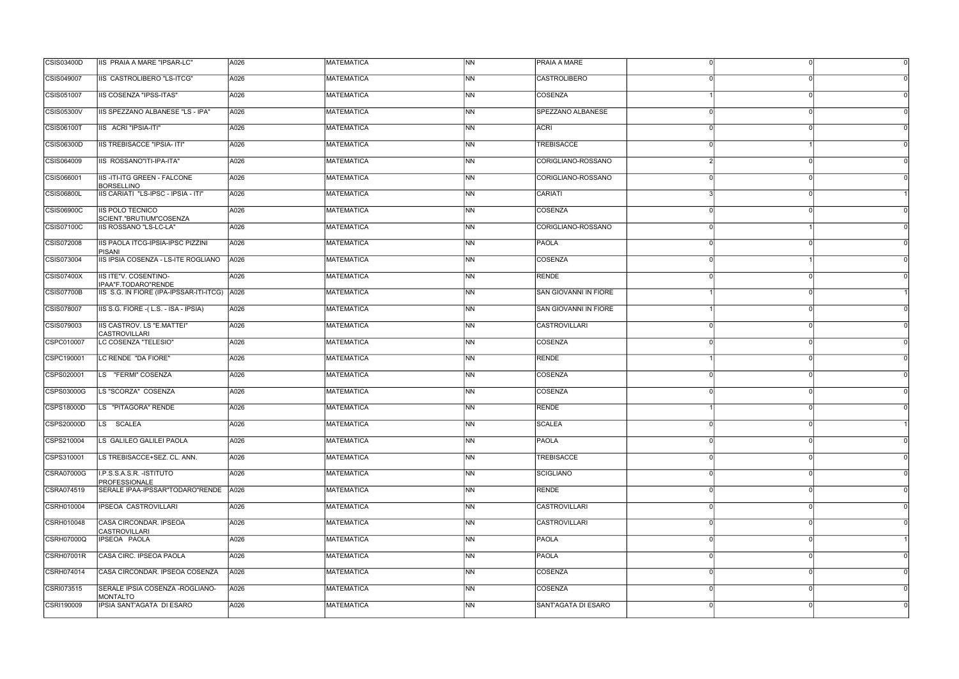| CSIS049007<br>IIS CASTROLIBERO "LS-ITCG"<br>A026<br>MATEMATICA<br>INN.<br><b>CASTROLIBERO</b><br>CSIS051007<br><b>IIS COSENZA "IPSS-ITAS"</b><br><b>MATEMATICA</b><br><b>NN</b><br><b>COSENZA</b><br>A026<br><b>CSIS05300V</b><br>IIS SPEZZANO ALBANESE "LS - IPA"<br><b>MATEMATICA</b><br><b>INN</b><br>SPEZZANO ALBANESE<br>A026<br><b>CSIS06100T</b><br>N <sub>N</sub><br>IIS ACRI "IPSIA-ITI"<br>A026<br>MATEMATICA<br><b>ACRI</b><br><b>NN</b><br><b>CSIS06300D</b><br><b>IIS TREBISACCE "IPSIA- ITI"</b><br>A026<br><b>MATEMATICA</b><br><b>TREBISACCE</b><br>CSIS064009<br>IIS ROSSANO"ITI-IPA-ITA"<br>A026<br>MATEMATICA<br>INN.<br>CORIGLIANO-ROSSANO |  |
|----------------------------------------------------------------------------------------------------------------------------------------------------------------------------------------------------------------------------------------------------------------------------------------------------------------------------------------------------------------------------------------------------------------------------------------------------------------------------------------------------------------------------------------------------------------------------------------------------------------------------------------------------------------|--|
|                                                                                                                                                                                                                                                                                                                                                                                                                                                                                                                                                                                                                                                                |  |
|                                                                                                                                                                                                                                                                                                                                                                                                                                                                                                                                                                                                                                                                |  |
|                                                                                                                                                                                                                                                                                                                                                                                                                                                                                                                                                                                                                                                                |  |
|                                                                                                                                                                                                                                                                                                                                                                                                                                                                                                                                                                                                                                                                |  |
|                                                                                                                                                                                                                                                                                                                                                                                                                                                                                                                                                                                                                                                                |  |
|                                                                                                                                                                                                                                                                                                                                                                                                                                                                                                                                                                                                                                                                |  |
| CORIGLIANO-ROSSANO<br>CSIS066001<br><b>IIS-ITI-ITG GREEN - FALCONE</b><br><b>MATEMATICA</b><br>A026<br>INN<br><b>BORSELLINO</b>                                                                                                                                                                                                                                                                                                                                                                                                                                                                                                                                |  |
| <b>CSIS06800L</b><br>IIS CARIATI "LS-IPSC - IPSIA - ITI"<br>MATEMATICA<br>INN.<br><b>CARIATI</b><br>A026                                                                                                                                                                                                                                                                                                                                                                                                                                                                                                                                                       |  |
| CSIS06900C<br><b>IIS POLO TECNICO</b><br><b>MATEMATICA</b><br>N <sub>N</sub><br>COSENZA<br>A026<br>SCIENT."BRUTIUM"COSENZA                                                                                                                                                                                                                                                                                                                                                                                                                                                                                                                                     |  |
| CORIGLIANO-ROSSANO<br>CSIS07100C<br><b>IIS ROSSANO "LS-LC-LA"</b><br><b>MATEMATICA</b><br><b>NN</b><br>A026                                                                                                                                                                                                                                                                                                                                                                                                                                                                                                                                                    |  |
| CSIS072008<br><b>IIS PAOLA ITCG-IPSIA-IPSC PIZZINI</b><br>A026<br>MATEMATICA<br>INN.<br><b>PAOLA</b><br><b>PISANI</b>                                                                                                                                                                                                                                                                                                                                                                                                                                                                                                                                          |  |
| CSIS073004<br>IIS IPSIA COSENZA - LS-ITE ROGLIANO<br><b>MATEMATICA</b><br>COSENZA<br>A026<br>INN                                                                                                                                                                                                                                                                                                                                                                                                                                                                                                                                                               |  |
| RENDE<br>CSIS07400X<br>IIS ITE"V. COSENTINO-<br>MATEMATICA<br>INN.<br>A026<br>IPAA"F.TODARO"RENDE                                                                                                                                                                                                                                                                                                                                                                                                                                                                                                                                                              |  |
| <b>CSIS07700B</b><br>IIS S.G. IN FIORE (IPA-IPSSAR-ITI-ITCG) A026<br><b>MATEMATICA</b><br><b>NN</b><br><b>SAN GIOVANNI IN FIORE</b>                                                                                                                                                                                                                                                                                                                                                                                                                                                                                                                            |  |
| <b>NN</b><br>CSIS078007<br>IS S.G. FIORE - (L.S. - ISA - IPSIA)<br><b>MATEMATICA</b><br><b>SAN GIOVANNI IN FIORE</b><br>A026                                                                                                                                                                                                                                                                                                                                                                                                                                                                                                                                   |  |
| <b>IIS CASTROV. LS "E.MATTEI"</b><br><b>CASTROVILLARI</b><br>CSIS079003<br>A026<br>MATEMATICA<br><b>INN</b><br><b>CASTROVILLARI</b>                                                                                                                                                                                                                                                                                                                                                                                                                                                                                                                            |  |
| CSPC010007<br>LC COSENZA "TELESIO"<br><b>MATEMATICA</b><br>COSENZA<br>A026<br>INN                                                                                                                                                                                                                                                                                                                                                                                                                                                                                                                                                                              |  |
| RENDE<br>CSPC190001<br>LC RENDE "DA FIORE"<br>MATEMATICA<br>INN.<br>A026                                                                                                                                                                                                                                                                                                                                                                                                                                                                                                                                                                                       |  |
| CSPS020001<br>LS "FERMI" COSENZA<br>N <sub>N</sub><br>COSENZA<br>A026<br><b>MATEMATICA</b>                                                                                                                                                                                                                                                                                                                                                                                                                                                                                                                                                                     |  |
| <b>MATEMATICA</b><br>N <sub>N</sub><br>COSENZA<br>CSPS03000G<br>LS "SCORZA" COSENZA<br>A026                                                                                                                                                                                                                                                                                                                                                                                                                                                                                                                                                                    |  |
| CSPS18000D<br>LS "PITAGORA" RENDE<br><b>MATEMATICA</b><br><b>NN</b><br><b>RENDE</b><br>A026                                                                                                                                                                                                                                                                                                                                                                                                                                                                                                                                                                    |  |
| <b>CSPS20000D</b><br>A026<br><b>NN</b><br>LS SCALEA<br><b>MATEMATICA</b><br>SCALEA                                                                                                                                                                                                                                                                                                                                                                                                                                                                                                                                                                             |  |
| CSPS210004<br>$\overline{\mathsf{NN}}$<br>PAOLA<br>LS GALILEO GALILEI PAOLA<br>A026<br><b>MATEMATICA</b><br>$\Omega$                                                                                                                                                                                                                                                                                                                                                                                                                                                                                                                                           |  |
| CSPS310001<br>N <sub>N</sub><br><b>TREBISACCE</b><br>LS TREBISACCE+SEZ. CL. ANN.<br>A026<br><b>MATEMATICA</b>                                                                                                                                                                                                                                                                                                                                                                                                                                                                                                                                                  |  |
| I.P.S.S.A.S.R. - ISTITUTO<br><b>MATEMATICA</b><br>N <sub>N</sub><br>SCIGLIANO<br><b>CSRA07000G</b><br>A026<br>PROFESSIONALE                                                                                                                                                                                                                                                                                                                                                                                                                                                                                                                                    |  |
| SERALE IPAA-IPSSAR"TODARO"RENDE<br>N <sub>N</sub><br><b>RENDE</b><br>CSRA074519<br>A026<br><b>MATEMATICA</b>                                                                                                                                                                                                                                                                                                                                                                                                                                                                                                                                                   |  |
| CSRH010004<br>N <sub>N</sub><br><b>CASTROVILLARI</b><br>IPSEOA CASTROVILLARI<br>A026<br><b>MATEMATICA</b><br>$\Omega$                                                                                                                                                                                                                                                                                                                                                                                                                                                                                                                                          |  |
| CSRH010048<br>CASA CIRCONDAR. IPSEOA<br><b>MATEMATICA</b><br>$\overline{\mathsf{NN}}$<br><b>CASTROVILLARI</b><br>A026<br><b>CASTROVILLARI</b>                                                                                                                                                                                                                                                                                                                                                                                                                                                                                                                  |  |
| N <sub>N</sub><br><b>CSRH07000Q</b><br>IPSEOA PAOLA<br>A026<br><b>MATEMATICA</b><br><b>PAOLA</b>                                                                                                                                                                                                                                                                                                                                                                                                                                                                                                                                                               |  |
| <b>NN</b><br><b>CSRH07001R</b><br>CASA CIRC. IPSEOA PAOLA<br>A026<br><b>MATEMATICA</b><br><b>PAOLA</b>                                                                                                                                                                                                                                                                                                                                                                                                                                                                                                                                                         |  |
| CSRH074014<br>N <sub>N</sub><br>COSENZA<br>CASA CIRCONDAR. IPSEOA COSENZA<br>A026<br><b>MATEMATICA</b>                                                                                                                                                                                                                                                                                                                                                                                                                                                                                                                                                         |  |
| CSRI073515<br>SERALE IPSIA COSENZA - ROGLIANO-<br><b>MATEMATICA</b><br>INN.<br>COSENZA<br>A026<br><b>MONTALTO</b>                                                                                                                                                                                                                                                                                                                                                                                                                                                                                                                                              |  |
| CSRI190009<br>IPSIA SANT'AGATA DI ESARO<br><b>NN</b><br><b>SANT'AGATA DI ESARO</b><br>A026<br><b>MATEMATICA</b><br>$\Omega$                                                                                                                                                                                                                                                                                                                                                                                                                                                                                                                                    |  |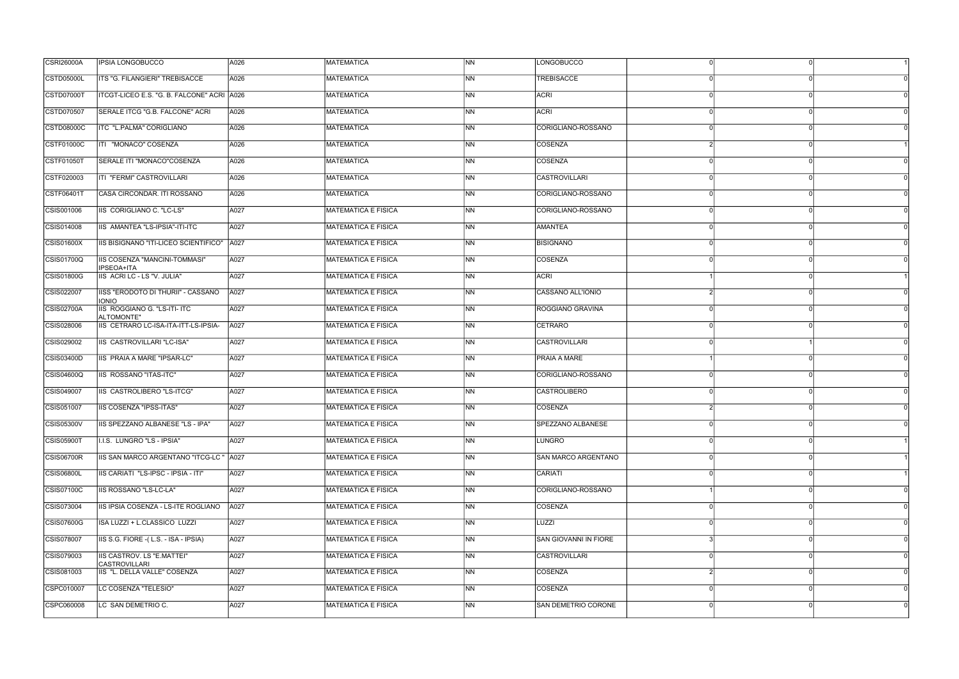| <b>CSRI26000A</b> | <b>IPSIA LONGOBUCCO</b>                                   | A026 | <b>MATEMATICA</b>          | <b>NN</b>                | LONGOBUCCO                 |          |  |
|-------------------|-----------------------------------------------------------|------|----------------------------|--------------------------|----------------------------|----------|--|
| <b>CSTD05000L</b> | ITS "G. FILANGIERI" TREBISACCE                            | A026 | MATEMATICA                 | INN.                     | <b>TREBISACCE</b>          |          |  |
| <b>CSTD07000T</b> | ITCGT-LICEO E.S. "G. B. FALCONE" ACRI A026                |      | <b>MATEMATICA</b>          | <b>NN</b>                | ACRI                       |          |  |
| CSTD070507        | SERALE ITCG "G.B. FALCONE" ACRI                           | A026 | <b>MATEMATICA</b>          | <b>INN</b>               | <b>ACRI</b>                |          |  |
| CSTD08000C        | ITC "L.PALMA" CORIGLIANO                                  | A026 | MATEMATICA                 | INN.                     | CORIGLIANO-ROSSANO         |          |  |
| <b>CSTF01000C</b> | ITI "MONACO" COSENZA                                      | A026 | <b>MATEMATICA</b>          | <b>NN</b>                | COSENZA                    |          |  |
| <b>CSTF01050T</b> | SERALE ITI "MONACO"COSENZA                                | A026 | MATEMATICA                 | INN.                     | COSENZA                    |          |  |
| CSTF020003        | ITI "FERMI" CASTROVILLARI                                 | A026 | <b>MATEMATICA</b>          | INN                      | <b>CASTROVILLARI</b>       |          |  |
| CSTF06401T        | CASA CIRCONDAR. ITI ROSSANO                               | A026 | <b>MATEMATICA</b>          | INN.                     | CORIGLIANO-ROSSANO         |          |  |
| CSIS001006        | IIS CORIGLIANO C. "LC-LS"                                 | A027 | MATEMATICA E FISICA        | <b>NN</b>                | CORIGLIANO-ROSSANO         |          |  |
| CSIS014008        | IIS AMANTEA "LS-IPSIA"-ITI-ITC                            | A027 | <b>MATEMATICA E FISICA</b> | <b>NN</b>                | <b>AMANTEA</b>             |          |  |
| CSIS01600X        | IIS BISIGNANO "ITI-LICEO SCIENTIFICO"                     | A027 | MATEMATICA E FISICA        | INN.                     | <b>BISIGNANO</b>           |          |  |
| <b>CSIS01700Q</b> | <b>IIS COSENZA "MANCINI-TOMMASI"</b><br><b>IPSEOA+ITA</b> | A027 | MATEMATICA E FISICA        | INN                      | COSENZA                    |          |  |
| CSIS01800G        | IIS ACRI LC - LS "V. JULIA"                               | A027 | <b>MATEMATICA E FISICA</b> | INN.                     | <b>ACRI</b>                |          |  |
| CSIS022007        | IISS "ERODOTO DI THURII" - CASSANO<br><b>IONIO</b>        | A027 | <b>MATEMATICA E FISICA</b> | <b>NN</b>                | CASSANO ALL'IONIO          |          |  |
| <b>CSIS02700A</b> | IS ROGGIANO G. "LS-ITI- ITC<br>ALTOMONTE"                 | A027 | MATEMATICA E FISICA        | <b>INN</b>               | ROGGIANO GRAVINA           |          |  |
| CSIS028006        | IIS CETRARO LC-ISA-ITA-ITT-LS-IPSIA-                      | A027 | <b>MATEMATICA E FISICA</b> | <b>INN</b>               | CETRARO                    |          |  |
| CSIS029002        | IIS CASTROVILLARI "LC-ISA"                                | A027 | <b>MATEMATICA E FISICA</b> | INN                      | <b>CASTROVILLARI</b>       |          |  |
| CSIS03400D        | IIS PRAIA A MARE "IPSAR-LC"                               | A027 | <b>MATEMATICA E FISICA</b> | INN.                     | <b>PRAIA A MARE</b>        |          |  |
| <b>CSIS04600Q</b> | IIS ROSSANO "ITAS-ITC"                                    | A027 | MATEMATICA E FISICA        | <b>NN</b>                | CORIGLIANO-ROSSANO         |          |  |
| CSIS049007        | IIS CASTROLIBERO "LS-ITCG"                                | A027 | <b>MATEMATICA E FISICA</b> | INN.                     | <b>CASTROLIBERO</b>        |          |  |
| CSIS051007        | <b>IIS COSENZA "IPSS-ITAS"</b>                            | A027 | <b>MATEMATICA E FISICA</b> | INN                      | <b>COSENZA</b>             |          |  |
| <b>CSIS05300V</b> | IIS SPEZZANO ALBANESE "LS - IPA"                          | A027 | <b>MATEMATICA E FISICA</b> | <b>NN</b>                | <b>SPEZZANO ALBANESE</b>   |          |  |
| <b>CSIS05900T</b> | I.I.S. LUNGRO "LS - IPSIA"                                | A027 | MATEMATICA E FISICA        | N <sub>N</sub>           | LUNGRO                     | $\Omega$ |  |
| <b>CSIS06700R</b> | IIS SAN MARCO ARGENTANO "ITCG-LC "                        | A027 | <b>MATEMATICA E FISICA</b> | N <sub>N</sub>           | <b>SAN MARCO ARGENTANO</b> |          |  |
| <b>CSIS06800L</b> | IIS CARIATI "LS-IPSC - IPSIA - ITI"                       | A027 | <b>MATEMATICA E FISICA</b> | N <sub>N</sub>           | CARIATI                    |          |  |
| CSIS07100C        | IIS ROSSANO "LS-LC-LA"                                    | A027 | MATEMATICA E FISICA        | N <sub>N</sub>           | CORIGLIANO-ROSSANO         |          |  |
| CSIS073004        | IIS IPSIA COSENZA - LS-ITE ROGLIANO                       | A027 | MATEMATICA E FISICA        | N <sub>N</sub>           | COSENZA                    |          |  |
| <b>CSIS07600G</b> | ISA LUZZI + L.CLASSICO LUZZI                              | A027 | MATEMATICA E FISICA        | $\overline{\mathsf{NN}}$ | LUZZI                      |          |  |
| CSIS078007        | IIS S.G. FIORE - (L.S. - ISA - IPSIA)                     | A027 | <b>MATEMATICA E FISICA</b> | N <sub>N</sub>           | SAN GIOVANNI IN FIORE      |          |  |
| CSIS079003        | IS CASTROV. LS "E.MATTEI"<br><b>CASTROVILLARI</b>         | A027 | MATEMATICA E FISICA        | N <sub>N</sub>           | <b>CASTROVILLARI</b>       |          |  |
| CSIS081003        | IIS "L. DELLA VALLE" COSENZA                              | A027 | MATEMATICA E FISICA        | N <sub>N</sub>           | COSENZA                    |          |  |
| CSPC010007        | LC COSENZA "TELESIO"                                      | A027 | MATEMATICA E FISICA        | INN.                     | COSENZA                    |          |  |
| CSPC060008        | LC SAN DEMETRIO C.                                        | A027 | MATEMATICA E FISICA        | N <sub>N</sub>           | <b>SAN DEMETRIO CORONE</b> | $\Omega$ |  |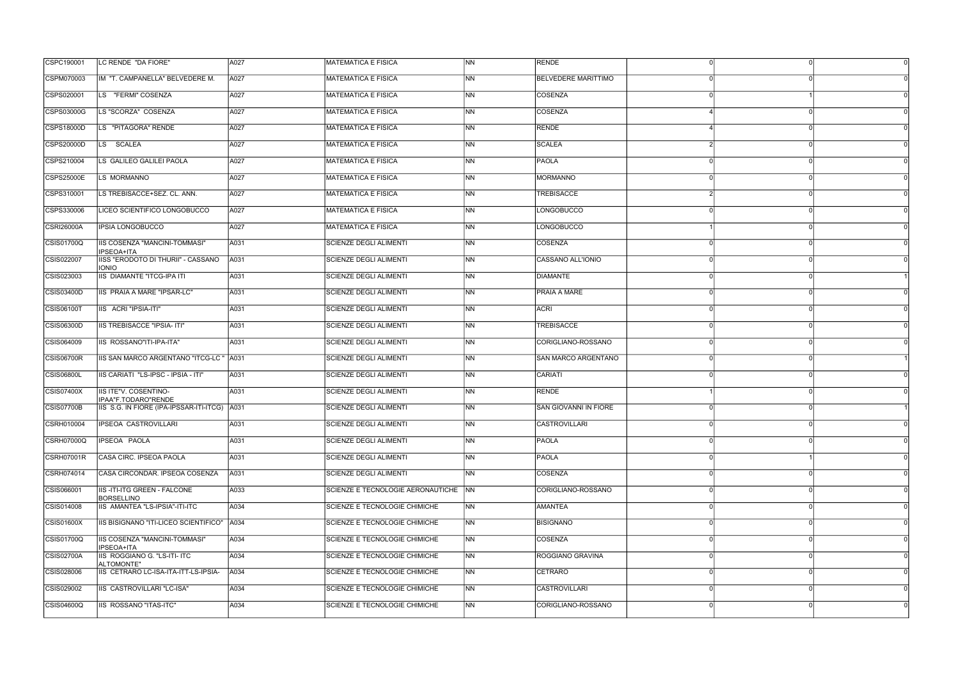| CSPC190001        | LC RENDE "DA FIORE"                                     | A027 | <b>MATEMATICA E FISICA</b>             | N <sub>N</sub> | <b>RENDE</b>               |          |  |
|-------------------|---------------------------------------------------------|------|----------------------------------------|----------------|----------------------------|----------|--|
| CSPM070003        | IM "T. CAMPANELLA" BELVEDERE M.                         | A027 | MATEMATICA E FISICA                    | <b>INN</b>     | <b>BELVEDERE MARITTIMO</b> |          |  |
| CSPS020001        | LS "FERMI" COSENZA                                      | A027 | <b>MATEMATICA E FISICA</b>             | <b>NN</b>      | COSENZA                    |          |  |
| CSPS03000G        | LS "SCORZA" COSENZA                                     | A027 | MATEMATICA E FISICA                    | <b>NN</b>      | COSENZA                    |          |  |
| CSPS18000D        | LS "PITAGORA" RENDE                                     | A027 | <b>MATEMATICA E FISICA</b>             | <b>NN</b>      | RENDE                      |          |  |
| CSPS20000D        | LS SCALEA                                               | A027 | <b>MATEMATICA E FISICA</b>             | N <sub>N</sub> | <b>SCALEA</b>              |          |  |
| CSPS210004        | LS GALILEO GALILEI PAOLA                                | A027 | <b>MATEMATICA E FISICA</b>             | <b>INN</b>     | <b>PAOLA</b>               |          |  |
| <b>CSPS25000E</b> | LS MORMANNO                                             | A027 | <b>MATEMATICA E FISICA</b>             | INN.           | MORMANNO                   |          |  |
| CSPS310001        | LS TREBISACCE+SEZ. CL. ANN.                             | A027 | <b>IMATEMATICA E FISICA</b>            | <b>INN</b>     | <b>TREBISACCE</b>          |          |  |
| CSPS330006        | LICEO SCIENTIFICO LONGOBUCCO                            | A027 | MATEMATICA E FISICA                    | <b>NN</b>      | LONGOBUCCO                 |          |  |
| <b>CSRI26000A</b> | <b>IPSIA LONGOBUCCO</b>                                 | A027 | <b>MATEMATICA E FISICA</b>             | <b>NN</b>      | LONGOBUCCO                 |          |  |
| CSIS01700Q        | IIS COSENZA "MANCINI-TOMMASI"<br><b>IPSEOA+ITA</b>      | A031 | <b>SCIENZE DEGLI ALIMENTI</b>          | <b>INN</b>     | <b>COSENZA</b>             |          |  |
| CSIS022007        | IISS "ERODOTO DI THURII" - CASSANO<br><b>IONIO</b>      | A031 | <b>SCIENZE DEGLI ALIMENTI</b>          | INN.           | CASSANO ALL'IONIO          |          |  |
| CSIS023003        | <b>IIS DIAMANTE "ITCG-IPA ITI</b>                       | A031 | <b>SCIENZE DEGLI ALIMENTI</b>          | <b>INN</b>     | DIAMANTE                   |          |  |
| CSIS03400D        | IIS PRAIA A MARE "IPSAR-LC"                             | A031 | SCIENZE DEGLI ALIMENTI                 | INN.           | <b>PRAIA A MARE</b>        |          |  |
| <b>CSIS06100T</b> | IIS ACRI "IPSIA-ITI"                                    | A031 | <b>SCIENZE DEGLI ALIMENTI</b>          | N <sub>N</sub> | <b>ACRI</b>                |          |  |
| CSIS06300D        | IIS TREBISACCE "IPSIA- ITI"                             | A031 | SCIENZE DEGLI ALIMENTI                 | <b>NN</b>      | TREBISACCE                 |          |  |
| CSIS064009        | IIS ROSSANO"ITI-IPA-ITA"                                | A031 | <b>SCIENZE DEGLI ALIMENTI</b>          | INN.           | CORIGLIANO-ROSSANO         |          |  |
| <b>CSIS06700R</b> | IIS SAN MARCO ARGENTANO "ITCG-LC "                      | A031 | <b>SCIENZE DEGLI ALIMENTI</b>          | <b>INN</b>     | <b>SAN MARCO ARGENTANO</b> |          |  |
| <b>CSIS06800L</b> | IIS CARIATI "LS-IPSC - IPSIA - ITI"                     | A031 | SCIENZE DEGLI ALIMENTI                 | <b>NN</b>      | CARIATI                    |          |  |
| CSIS07400X        | IIS ITE"V. COSENTINO-<br>IPAA"F.TODARO"RENDE            | A031 | <b>SCIENZE DEGLI ALIMENTI</b>          | <b>INN</b>     | RENDE                      |          |  |
| CSIS07700B        | IIS S.G. IN FIORE (IPA-IPSSAR-ITI-ITCG) A031            |      | SCIENZE DEGLI ALIMENTI                 | INN.           | SAN GIOVANNI IN FIORE      |          |  |
| <b>CSRH010004</b> | IPSEOA CASTROVILLARI                                    | A031 | SCIENZE DEGLI ALIMENTI                 | <b>NN</b>      | <b>CASTROVILLARI</b>       |          |  |
| <b>CSRH07000Q</b> | <b>IPSEOA PAOLA</b>                                     | A031 | SCIENZE DEGLI ALIMENTI                 | N <sub>N</sub> | <b>PAOLA</b>               |          |  |
| CSRH07001R        | CASA CIRC. IPSEOA PAOLA                                 | A031 | SCIENZE DEGLI ALIMENTI                 | <b>NN</b>      | PAOLA                      |          |  |
| CSRH074014        | CASA CIRCONDAR. IPSEOA COSENZA                          | A031 | SCIENZE DEGLI ALIMENTI                 | N <sub>N</sub> | COSENZA                    |          |  |
| CSIS066001        | <b>IIS-ITI-ITG GREEN - FALCONE</b><br><b>BORSELLINO</b> | A033 | SCIENZE E TECNOLOGIE AERONAUTICHE   NN |                | CORIGLIANO-ROSSANO         |          |  |
| CSIS014008        | IIS AMANTEA "LS-IPSIA"-ITI-ITC                          | A034 | SCIENZE E TECNOLOGIE CHIMICHE          | N <sub>N</sub> | <b>AMANTEA</b>             |          |  |
| CSIS01600X        | IIS BISIGNANO "ITI-LICEO SCIENTIFICO"                   | A034 | SCIENZE E TECNOLOGIE CHIMICHE          | <b>NN</b>      | <b>BISIGNANO</b>           |          |  |
| <b>CSIS01700Q</b> | IIS COSENZA "MANCINI-TOMMASI"<br>IPSEOA+ITA             | A034 | SCIENZE E TECNOLOGIE CHIMICHE          | N <sub>N</sub> | COSENZA                    |          |  |
| CSIS02700A        | IIS ROGGIANO G. "LS-ITI- ITC<br>ALTOMONTE"              | A034 | SCIENZE E TECNOLOGIE CHIMICHE          | N <sub>N</sub> | ROGGIANO GRAVINA           |          |  |
| CSIS028006        | IIS CETRARO LC-ISA-ITA-ITT-LS-IPSIA-                    | A034 | SCIENZE E TECNOLOGIE CHIMICHE          | N <sub>N</sub> | CETRARO                    |          |  |
| CSIS029002        | IIS CASTROVILLARI "LC-ISA"                              | A034 | SCIENZE E TECNOLOGIE CHIMICHE          | <b>INN</b>     | <b>CASTROVILLARI</b>       |          |  |
| <b>CSIS04600Q</b> | IIS ROSSANO "ITAS-ITC"                                  | A034 | SCIENZE E TECNOLOGIE CHIMICHE          | N <sub>N</sub> | CORIGLIANO-ROSSANO         | $\Omega$ |  |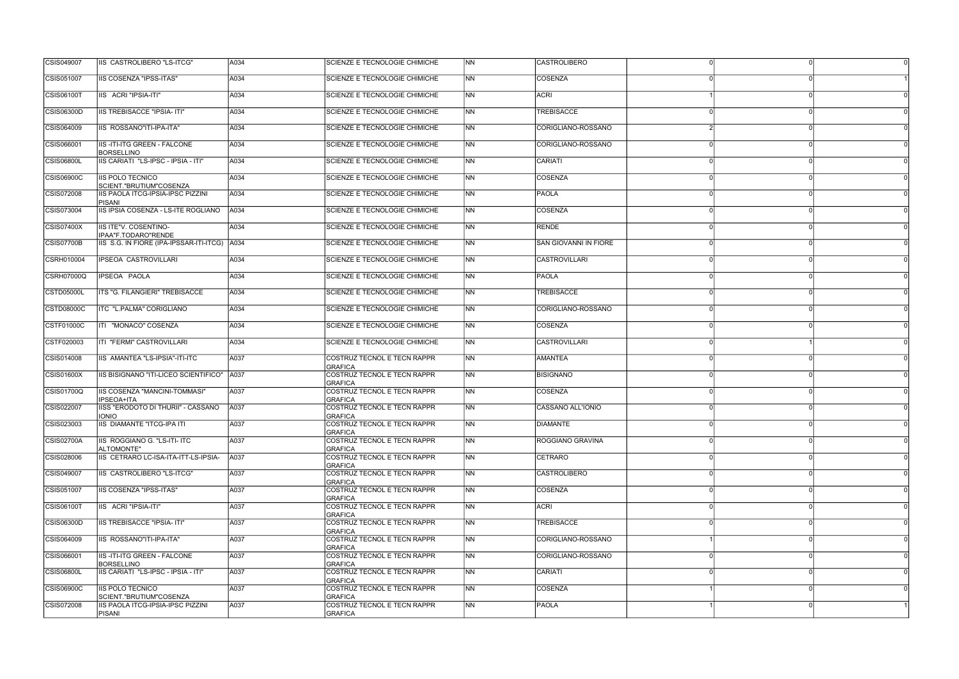| CSIS049007        | IIS CASTROLIBERO "LS-ITCG"                              | A034 | SCIENZE E TECNOLOGIE CHIMICHE                 | <b>NN</b> | <b>CASTROLIBERO</b>   |          |  |
|-------------------|---------------------------------------------------------|------|-----------------------------------------------|-----------|-----------------------|----------|--|
| CSIS051007        | IIS COSENZA "IPSS-ITAS"                                 | A034 | SCIENZE E TECNOLOGIE CHIMICHE                 | <b>NN</b> | COSENZA               |          |  |
| <b>CSIS06100T</b> | IIS ACRI "IPSIA-ITI"                                    | A034 | SCIENZE E TECNOLOGIE CHIMICHE                 | NN        | ACRI                  | $\Omega$ |  |
| <b>CSIS06300D</b> | <b>IIS TREBISACCE "IPSIA- ITI"</b>                      | A034 | SCIENZE E TECNOLOGIE CHIMICHE                 | <b>NN</b> | <b>TREBISACCE</b>     |          |  |
| CSIS064009        | IIS ROSSANO"ITI-IPA-ITA"                                | A034 | SCIENZE E TECNOLOGIE CHIMICHE                 | NN        | CORIGLIANO-ROSSANO    | $\Omega$ |  |
| CSIS066001        | IIS-ITI-ITG GREEN - FALCONE<br><b>BORSELLINO</b>        | A034 | SCIENZE E TECNOLOGIE CHIMICHE                 | <b>NN</b> | CORIGLIANO-ROSSANO    |          |  |
| <b>CSIS06800L</b> | IIS CARIATI "LS-IPSC - IPSIA - ITI"                     | A034 | SCIENZE E TECNOLOGIE CHIMICHE                 | <b>NN</b> | CARIATI               |          |  |
| CSIS06900C        | <b>IIS POLO TECNICO</b><br>SCIENT."BRUTIUM"COSENZA      | A034 | SCIENZE E TECNOLOGIE CHIMICHE                 | NN        | COSENZA               | $\Omega$ |  |
| CSIS072008        | IIS PAOLA ITCG-IPSIA-IPSC PIZZINI<br><b>PISANI</b>      | A034 | SCIENZE E TECNOLOGIE CHIMICHE                 | <b>NN</b> | <b>PAOLA</b>          | ∩        |  |
| CSIS073004        | IIS IPSIA COSENZA - LS-ITE ROGLIANO                     | A034 | SCIENZE E TECNOLOGIE CHIMICHE                 | NN        | COSENZA               | $\Omega$ |  |
| <b>CSIS07400X</b> | <b>IIS ITE"V. COSENTINO-</b><br>IPAA"F.TODARO"RENDE     | A034 | <b>SCIENZE E TECNOLOGIE CHIMICHE</b>          | <b>NN</b> | RENDE                 |          |  |
| CSIS07700B        | IIS S.G. IN FIORE (IPA-IPSSAR-ITI-ITCG)   A034          |      | SCIENZE E TECNOLOGIE CHIMICHE                 | NN        | SAN GIOVANNI IN FIORE | ∩        |  |
| CSRH010004        | IPSEOA CASTROVILLARI                                    | A034 | SCIENZE E TECNOLOGIE CHIMICHE                 | NN        | CASTROVILLARI         | $\Omega$ |  |
| <b>CSRH07000Q</b> | IPSEOA PAOLA                                            | A034 | SCIENZE E TECNOLOGIE CHIMICHE                 | <b>NN</b> | <b>PAOLA</b>          |          |  |
| <b>CSTD05000L</b> | ITS "G. FILANGIERI" TREBISACCE                          | A034 | SCIENZE E TECNOLOGIE CHIMICHE                 | NN        | <b>TREBISACCE</b>     |          |  |
| <b>CSTD08000C</b> | ITC "L.PALMA" CORIGLIANO                                | A034 | SCIENZE E TECNOLOGIE CHIMICHE                 | <b>NN</b> | CORIGLIANO-ROSSANO    |          |  |
| <b>CSTF01000C</b> | ITI "MONACO" COSENZA                                    | A034 | SCIENZE E TECNOLOGIE CHIMICHE                 | NN        | <b>COSENZA</b>        |          |  |
| CSTF020003        | ITI "FERMI" CASTROVILLARI                               | A034 | SCIENZE E TECNOLOGIE CHIMICHE                 | ΝN        | <b>CASTROVILLARI</b>  |          |  |
| CSIS014008        | IIS AMANTEA "LS-IPSIA"-ITI-ITC                          | A037 | COSTRUZ TECNOL E TECN RAPPR<br><b>GRAFICA</b> | <b>NN</b> | AMANTEA               | ∩        |  |
| CSIS01600X        | IIS BISIGNANO "ITI-LICEO SCIENTIFICO"   A037            |      | COSTRUZ TECNOL E TECN RAPPR<br><b>GRAFICA</b> | NN.       | <b>BISIGNANO</b>      | $\Omega$ |  |
| CSIS01700Q        | <b>IIS COSENZA "MANCINI-TOMMASI"</b><br>IPSEOA+ITA      | A037 | COSTRUZ TECNOL E TECN RAPPR<br><b>GRAFICA</b> | <b>NN</b> | COSENZA               |          |  |
| CSIS022007        | IISS "ERODOTO DI THURII" - CASSANO<br><b>IONIO</b>      | A037 | COSTRUZ TECNOL E TECN RAPPR<br><b>GRAFICA</b> | NN.       | CASSANO ALL'IONIO     |          |  |
| CSIS023003        | IIS DIAMANTE "ITCG-IPA ITI                              | A037 | <b>COSTRUZ TECNOL E TECN RAPPR</b><br>GRAFICA | <b>NN</b> | <b>DIAMANTE</b>       |          |  |
| <b>CSIS02700A</b> | IIS ROGGIANO G. "LS-ITI- ITC<br>ALTOMONTE"              | A037 | COSTRUZ TECNOL E TECN RAPPR<br><b>GRAFICA</b> | <b>NN</b> | ROGGIANO GRAVINA      | $\Omega$ |  |
| CSIS028006        | IIS CETRARO LC-ISA-ITA-ITT-LS-IPSIA-                    | A037 | COSTRUZ TECNOL E TECN RAPPR<br><b>GRAFICA</b> | NN.       | <b>CETRARO</b>        | n        |  |
| CSIS049007        | IIS CASTROLIBERO "LS-ITCG"                              | A037 | COSTRUZ TECNOL E TECN RAPPR<br>GRAFICA        | <b>NN</b> | <b>CASTROLIBERO</b>   |          |  |
| CSIS051007        | <b>IIS COSENZA "IPSS-ITAS"</b>                          | A037 | COSTRUZ TECNOL E TECN RAPPR<br>GRAFICA        | NN.       | COSENZA               |          |  |
| CSIS06100T        | IIS ACRI "IPSIA-ITI"                                    | A037 | COSTRUZ TECNOL E TECN RAPPR<br><b>GRAFICA</b> | NN.       | ACRI                  | $\Omega$ |  |
| CSIS06300D        | IIS TREBISACCE "IPSIA- ITI"                             | A037 | COSTRUZ TECNOL E TECN RAPPR<br>GRAFICA        | <b>NN</b> | <b>TREBISACCE</b>     |          |  |
| CSIS064009        | IIS ROSSANO"ITI-IPA-ITA"                                | A037 | COSTRUZ TECNOL E TECN RAPPR<br><b>GRAFICA</b> | NN        | CORIGLIANO-ROSSANO    | $\Omega$ |  |
| CSIS066001        | <b>IIS-ITI-ITG GREEN - FALCONE</b><br><b>BORSELLINO</b> | A037 | COSTRUZ TECNOL E TECN RAPPR<br>GRAFICA        | <b>NN</b> | CORIGLIANO-ROSSANO    | $\Omega$ |  |
| CSIS06800L        | IIS CARIATI "LS-IPSC - IPSIA - ITI"                     | A037 | COSTRUZ TECNOL E TECN RAPPR<br><b>GRAFICA</b> | NN.       | CARIATI               |          |  |
| <b>CSIS06900C</b> | IIS POLO TECNICO<br>SCIENT."BRUTIUM"COSENZA             | A037 | COSTRUZ TECNOL E TECN RAPPR<br><b>GRAFICA</b> | NN.       | COSENZA               |          |  |
| CSIS072008        | IIS PAOLA ITCG-IPSIA-IPSC PIZZINI<br><b>PISANI</b>      | A037 | COSTRUZ TECNOL E TECN RAPPR<br>GRAFICA        | <b>NN</b> | PAOLA                 | ∩        |  |
|                   |                                                         |      |                                               |           |                       |          |  |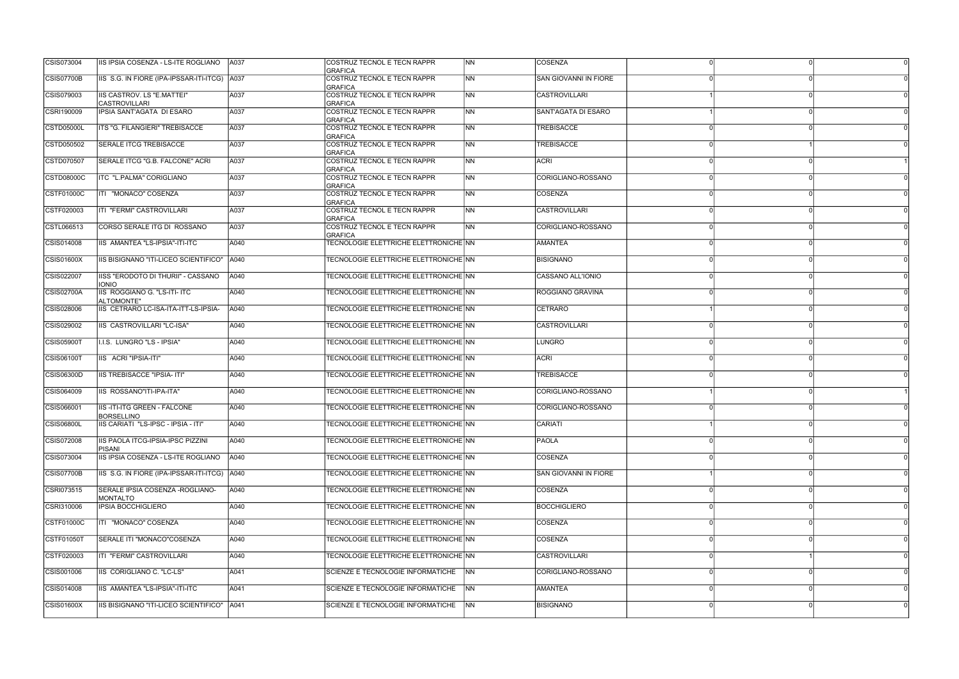| CSIS073004        | IIS IPSIA COSENZA - LS-ITE ROGLIANO                 | A037 | COSTRUZ TECNOL E TECN RAPPR                   | <b>INN</b> | <b>COSENZA</b>        |  |  |
|-------------------|-----------------------------------------------------|------|-----------------------------------------------|------------|-----------------------|--|--|
| CSIS07700B        | IIS S.G. IN FIORE (IPA-IPSSAR-ITI-ITCG) A037        |      | <b>GRAFICA</b><br>COSTRUZ TECNOL E TECN RAPPR | INN.       | SAN GIOVANNI IN FIORE |  |  |
|                   |                                                     |      | <b>GRAFICA</b>                                |            |                       |  |  |
| CSIS079003        | IIS CASTROV. LS "E.MATTEI"<br><b>CASTROVILLARI</b>  | A037 | COSTRUZ TECNOL E TECN RAPPR<br><b>GRAFICA</b> | INN.       | CASTROVILLARI         |  |  |
| CSRI190009        | IPSIA SANT'AGATA DI ESARO                           | A037 | COSTRUZ TECNOL E TECN RAPPR<br><b>GRAFICA</b> | <b>NN</b>  | SANT'AGATA DI ESARO   |  |  |
| CSTD05000L        | ITS "G. FILANGIERI" TREBISACCE                      | A037 | COSTRUZ TECNOL E TECN RAPPR<br>GRAFICA        | <b>NN</b>  | <b>TREBISACCE</b>     |  |  |
| CSTD050502        | <b>SERALE ITCG TREBISACCE</b>                       | A037 | COSTRUZ TECNOL E TECN RAPPR<br><b>GRAFICA</b> | <b>NN</b>  | <b>TREBISACCE</b>     |  |  |
| CSTD070507        | SERALE ITCG "G.B. FALCONE" ACRI                     | A037 | COSTRUZ TECNOL E TECN RAPPR<br><b>GRAFICA</b> | INN.       | <b>ACRI</b>           |  |  |
| CSTD08000C        | ITC "L.PALMA" CORIGLIANO                            | A037 | COSTRUZ TECNOL E TECN RAPPR<br><b>GRAFICA</b> | INN.       | CORIGLIANO-ROSSANO    |  |  |
| CSTF01000C        | ITI "MONACO" COSENZA                                | A037 | COSTRUZ TECNOL E TECN RAPPR<br>GRAFICA        | INN.       | COSENZA               |  |  |
| CSTF020003        | ITI "FERMI" CASTROVILLARI                           | A037 | COSTRUZ TECNOL E TECN RAPPR<br>GRAFICA        | INN.       | CASTROVILLARI         |  |  |
| CSTL066513        | CORSO SERALE ITG DI ROSSANO                         | A037 | COSTRUZ TECNOL E TECN RAPPR<br><b>GRAFICA</b> | <b>NN</b>  | CORIGLIANO-ROSSANO    |  |  |
| CSIS014008        | IIS AMANTEA "LS-IPSIA"-ITI-ITC                      | A040 | TECNOLOGIE ELETTRICHE ELETTRONICHE NN         |            | <b>AMANTEA</b>        |  |  |
| <b>CSIS01600X</b> | IIS BISIGNANO "ITI-LICEO SCIENTIFICO"               | A040 | TECNOLOGIE ELETTRICHE ELETTRONICHE NN         |            | <b>BISIGNANO</b>      |  |  |
| CSIS022007        | IISS "ERODOTO DI THURII" - CASSANO<br><b>IONIO</b>  | A040 | TECNOLOGIE ELETTRICHE ELETTRONICHE NN         |            | CASSANO ALL'IONIO     |  |  |
| CSIS02700A        | IIS ROGGIANO G. "LS-ITI- ITC<br>ALTOMONTE"          | A040 | TECNOLOGIE ELETTRICHE ELETTRONICHE NN         |            | ROGGIANO GRAVINA      |  |  |
| CSIS028006        | IIS CETRARO LC-ISA-ITA-ITT-LS-IPSIA-                | A040 | TECNOLOGIE ELETTRICHE ELETTRONICHE NN         |            | <b>CETRARO</b>        |  |  |
| CSIS029002        | IIS CASTROVILLARI "LC-ISA"                          | A040 | TECNOLOGIE ELETTRICHE ELETTRONICHE NN         |            | <b>CASTROVILLARI</b>  |  |  |
| <b>CSIS05900T</b> | I.I.S. LUNGRO "LS - IPSIA"                          | A040 | TECNOLOGIE ELETTRICHE ELETTRONICHE NN         |            | LUNGRO                |  |  |
| CSIS06100T        | IIS ACRI "IPSIA-ITI"                                | A040 | TECNOLOGIE ELETTRICHE ELETTRONICHE NN         |            | <b>ACRI</b>           |  |  |
| <b>CSIS06300D</b> | IIS TREBISACCE "IPSIA- ITI"                         | A040 | TECNOLOGIE ELETTRICHE ELETTRONICHE NN         |            | <b>TREBISACCE</b>     |  |  |
| CSIS064009        | IIS ROSSANO"ITI-IPA-ITA"                            | A040 | TECNOLOGIE ELETTRICHE ELETTRONICHE NN         |            | CORIGLIANO-ROSSANO    |  |  |
| CSIS066001        | IIS-ITI-ITG GREEN - FALCONE<br><b>BORSELLINO</b>    | A040 | TECNOLOGIE ELETTRICHE ELETTRONICHE NN         |            | CORIGLIANO-ROSSANO    |  |  |
| CSIS06800L        | IIS CARIATI "LS-IPSC - IPSIA - ITI"                 | A040 | TECNOLOGIE ELETTRICHE ELETTRONICHE NN         |            | CARIATI               |  |  |
| CSIS072008        | IIS PAOLA ITCG-IPSIA-IPSC PIZZINI<br>PISANI         | A040 | TECNOLOGIE ELETTRICHE ELETTRONICHE NN         |            | PAOLA                 |  |  |
| CSIS073004        | IIS IPSIA COSENZA - LS-ITE ROGLIANO                 | A040 | TECNOLOGIE ELETTRICHE ELETTRONICHE NN         |            | COSENZA               |  |  |
| <b>CSIS07700B</b> | IIS S.G. IN FIORE (IPA-IPSSAR-ITI-ITCG) A040        |      | TECNOLOGIE ELETTRICHE ELETTRONICHE NN         |            | SAN GIOVANNI IN FIORE |  |  |
| CSRI073515        | SERALE IPSIA COSENZA - ROGLIANO-<br><b>MONTALTO</b> | A040 | TECNOLOGIE ELETTRICHE ELETTRONICHE NN         |            | COSENZA               |  |  |
| CSRI310006        | <b>IPSIA BOCCHIGLIERO</b>                           | A040 | <b>TECNOLOGIE ELETTRICHE ELETTRONICHE NN</b>  |            | <b>BOCCHIGLIERO</b>   |  |  |
| CSTF01000C        | ITI "MONACO" COSENZA                                | A040 | TECNOLOGIE ELETTRICHE ELETTRONICHE NN         |            | COSENZA               |  |  |
| <b>CSTF01050T</b> | SERALE ITI "MONACO"COSENZA                          | A040 | TECNOLOGIE ELETTRICHE ELETTRONICHE NN         |            | <b>COSENZA</b>        |  |  |
| CSTF020003        | ITI "FERMI" CASTROVILLARI                           | A040 | TECNOLOGIE ELETTRICHE ELETTRONICHE NN         |            | <b>CASTROVILLARI</b>  |  |  |
| CSIS001006        | IIS CORIGLIANO C. "LC-LS"                           | A041 | SCIENZE E TECNOLOGIE INFORMATICHE             | <b>INN</b> | CORIGLIANO-ROSSANO    |  |  |
| CSIS014008        | IIS AMANTEA "LS-IPSIA"-ITI-ITC                      | A041 | SCIENZE E TECNOLOGIE INFORMATICHE             | <b>INN</b> | <b>AMANTEA</b>        |  |  |
| <b>CSIS01600X</b> | IIS BISIGNANO "ITI-LICEO SCIENTIFICO"   A041        |      | SCIENZE E TECNOLOGIE INFORMATICHE NN          |            | <b>BISIGNANO</b>      |  |  |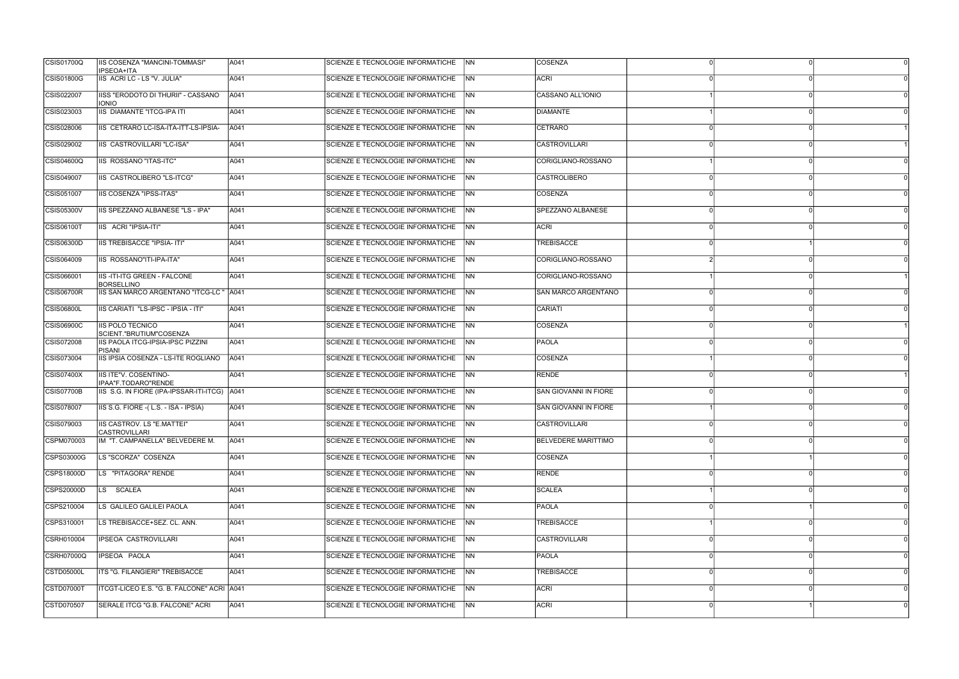| <b>CSIS01700Q</b> | IIS COSENZA "MANCINI-TOMMASI"<br><b>IPSEOA+ITA</b> | A041 | ISCIENZE E TECNOLOGIE INFORMATICHE     | <b>INN</b> | <b>COSENZA</b>             |  |  |
|-------------------|----------------------------------------------------|------|----------------------------------------|------------|----------------------------|--|--|
| CSIS01800G        | IIS ACRI LC - LS "V. JULIA"                        | A041 | SCIENZE E TECNOLOGIE INFORMATICHE      | <b>INN</b> | <b>ACRI</b>                |  |  |
| CSIS022007        | IISS "ERODOTO DI THURII" - CASSANO<br><b>IONIO</b> | A041 | SCIENZE E TECNOLOGIE INFORMATICHE      | INN        | CASSANO ALL'IONIO          |  |  |
| CSIS023003        | IIS DIAMANTE "ITCG-IPA ITI                         | A041 | SCIENZE E TECNOLOGIE INFORMATICHE      | <b>INN</b> | DIAMANTE                   |  |  |
| CSIS028006        | IIS CETRARO LC-ISA-ITA-ITT-LS-IPSIA-               | A041 | SCIENZE E TECNOLOGIE INFORMATICHE      | NN         | <b>CETRARO</b>             |  |  |
| CSIS029002        | <b>IIS CASTROVILLARI "LC-ISA"</b>                  | A041 | SCIENZE E TECNOLOGIE INFORMATICHE      | <b>INN</b> | <b>CASTROVILLARI</b>       |  |  |
| <b>CSIS04600Q</b> | IIS ROSSANO "ITAS-ITC"                             | A041 | SCIENZE E TECNOLOGIE INFORMATICHE      | <b>INN</b> | CORIGLIANO-ROSSANO         |  |  |
| CSIS049007        | IIS CASTROLIBERO "LS-ITCG"                         | A041 | SCIENZE E TECNOLOGIE INFORMATICHE      | INN.       | <b>CASTROLIBERO</b>        |  |  |
| CSIS051007        | IIS COSENZA "IPSS-ITAS"                            | A041 | SCIENZE E TECNOLOGIE INFORMATICHE      | <b>INN</b> | COSENZA                    |  |  |
| <b>CSIS05300V</b> | IIS SPEZZANO ALBANESE "LS - IPA"                   | A041 | SCIENZE E TECNOLOGIE INFORMATICHE      | <b>INN</b> | SPEZZANO ALBANESE          |  |  |
| <b>CSIS06100T</b> | IIS ACRI "IPSIA-ITI"                               | A041 | SCIENZE E TECNOLOGIE INFORMATICHE      | <b>INN</b> | <b>ACRI</b>                |  |  |
| CSIS06300D        | <b>IIS TREBISACCE "IPSIA- ITI"</b>                 | A041 | SCIENZE E TECNOLOGIE INFORMATICHE      | <b>INN</b> | <b>TREBISACCE</b>          |  |  |
| CSIS064009        | IIS ROSSANO"ITI-IPA-ITA"                           | A041 | SCIENZE E TECNOLOGIE INFORMATICHE      | INN.       | CORIGLIANO-ROSSANO         |  |  |
| CSIS066001        | IIS-ITI-ITG GREEN - FALCONE<br><b>BORSELLINO</b>   | A041 | SCIENZE E TECNOLOGIE INFORMATICHE      | <b>INN</b> | CORIGLIANO-ROSSANO         |  |  |
| CSIS06700R        | IIS SAN MARCO ARGENTANO "ITCG-LC "                 | A041 | SCIENZE E TECNOLOGIE INFORMATICHE      | <b>NN</b>  | SAN MARCO ARGENTANO        |  |  |
| <b>CSIS06800L</b> | IIS CARIATI "LS-IPSC - IPSIA - ITI"                | A041 | SCIENZE E TECNOLOGIE INFORMATICHE      | <b>INN</b> | <b>CARIATI</b>             |  |  |
| <b>CSIS06900C</b> | <b>IIS POLO TECNICO</b><br>SCIENT."BRUTIUM"COSENZA | A041 | SCIENZE E TECNOLOGIE INFORMATICHE      | <b>INN</b> | COSENZA                    |  |  |
| CSIS072008        | IIS PAOLA ITCG-IPSIA-IPSC PIZZINI<br><b>PISANI</b> | A041 | SCIENZE E TECNOLOGIE INFORMATICHE      | INN.       | <b>PAOLA</b>               |  |  |
| CSIS073004        | IIS IPSIA COSENZA - LS-ITE ROGLIANO                | A041 | SCIENZE E TECNOLOGIE INFORMATICHE      | INN.       | <b>COSENZA</b>             |  |  |
| CSIS07400X        | IIS ITE"V. COSENTINO-<br>IPAA"F.TODARO"RENDE       | A041 | SCIENZE E TECNOLOGIE INFORMATICHE      | <b>NN</b>  | RENDE                      |  |  |
| <b>CSIS07700B</b> | IIS S.G. IN FIORE (IPA-IPSSAR-ITI-ITCG) A041       |      | SCIENZE E TECNOLOGIE INFORMATICHE      | <b>INN</b> | SAN GIOVANNI IN FIORE      |  |  |
| CSIS078007        | IIS S.G. FIORE - (L.S. - ISA - IPSIA)              | A041 | SCIENZE E TECNOLOGIE INFORMATICHE      | INN.       | SAN GIOVANNI IN FIORE      |  |  |
| CSIS079003        | IIS CASTROV. LS "E.MATTEI"<br><b>CASTROVILLARI</b> | A041 | SCIENZE E TECNOLOGIE INFORMATICHE      | <b>INN</b> | <b>CASTROVILLARI</b>       |  |  |
| CSPM070003        | IM "T. CAMPANELLA" BELVEDERE M.                    | A041 | SCIENZE E TECNOLOGIE INFORMATICHE      | <b>INN</b> | <b>BELVEDERE MARITTIMO</b> |  |  |
| CSPS03000G        | LS "SCORZA" COSENZA                                | A041 | SCIENZE E TECNOLOGIE INFORMATICHE      | <b>INN</b> | <b>COSENZA</b>             |  |  |
| CSPS18000D        | LS "PITAGORA" RENDE                                | A041 | SCIENZE E TECNOLOGIE INFORMATICHE      | <b>INN</b> | <b>RENDE</b>               |  |  |
| CSPS20000D        | LS SCALEA                                          | A041 | SCIENZE E TECNOLOGIE INFORMATICHE      | <b>NN</b>  | <b>SCALEA</b>              |  |  |
| CSPS210004        | LS GALILEO GALILEI PAOLA                           | A041 | SCIENZE E TECNOLOGIE INFORMATICHE      | INN.       | PAOLA                      |  |  |
| CSPS310001        | LS TREBISACCE+SEZ. CL. ANN.                        | A041 | SCIENZE E TECNOLOGIE INFORMATICHE NN   |            | <b>TREBISACCE</b>          |  |  |
| CSRH010004        | IPSEOA CASTROVILLARI                               | A041 | SCIENZE E TECNOLOGIE INFORMATICHE      | NN         | <b>CASTROVILLARI</b>       |  |  |
| CSRH07000Q        | IPSEOA PAOLA                                       | A041 | SCIENZE E TECNOLOGIE INFORMATICHE      | <b>INN</b> | <b>PAOLA</b>               |  |  |
| CSTD05000L        | ITS "G. FILANGIERI" TREBISACCE                     | A041 | SCIENZE E TECNOLOGIE INFORMATICHE      | <b>INN</b> | <b>TREBISACCE</b>          |  |  |
| CSTD07000T        | ITCGT-LICEO E.S. "G. B. FALCONE" ACRI   A041       |      | SCIENZE E TECNOLOGIE INFORMATICHE      | <b>INN</b> | <b>ACRI</b>                |  |  |
| CSTD070507        | SERALE ITCG "G.B. FALCONE" ACRI                    | A041 | SCIENZE E TECNOLOGIE INFORMATICHE   NN |            | <b>ACRI</b>                |  |  |
|                   |                                                    |      |                                        |            |                            |  |  |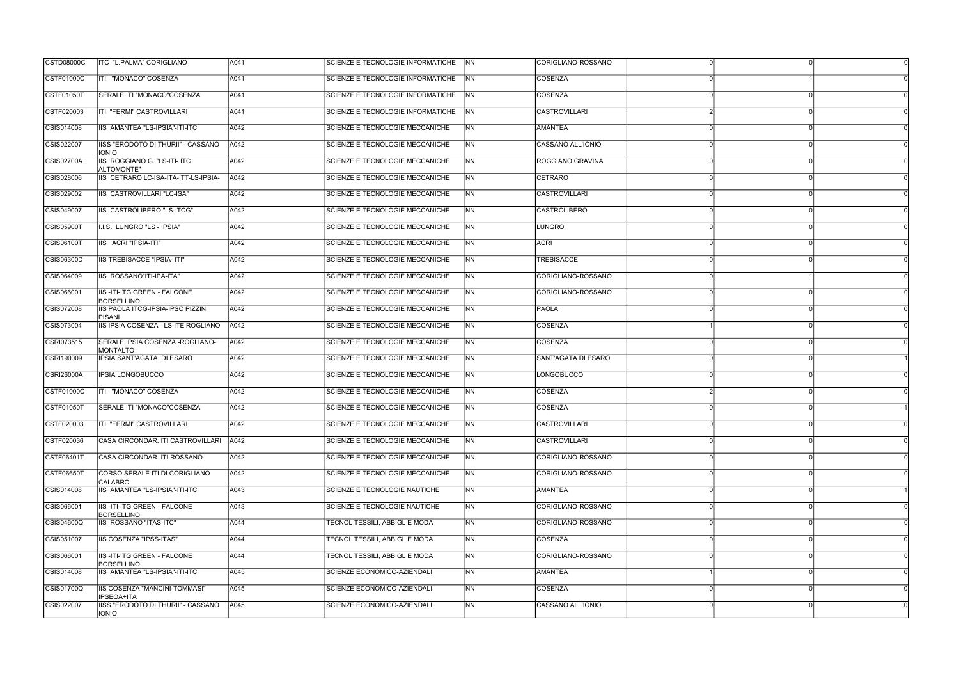| <b>CSTD08000C</b> | ITC "L.PALMA" CORIGLIANO                                | A041 | SCIENZE E TECNOLOGIE INFORMATICHE      | <b>NN</b> | CORIGLIANO-ROSSANO   |    |
|-------------------|---------------------------------------------------------|------|----------------------------------------|-----------|----------------------|----|
| CSTF01000C        | ITI "MONACO" COSENZA                                    | A041 | SCIENZE E TECNOLOGIE INFORMATICHE      | <b>NN</b> | COSENZA              |    |
| CSTF01050T        | SERALE ITI "MONACO"COSENZA                              | A041 | SCIENZE E TECNOLOGIE INFORMATICHE      | NN        | COSENZA              |    |
| CSTF020003        | ITI "FERMI" CASTROVILLARI                               | A041 | SCIENZE E TECNOLOGIE INFORMATICHE      | <b>NN</b> | <b>CASTROVILLARI</b> |    |
| CSIS014008        | IIS AMANTEA "LS-IPSIA"-ITI-ITC                          | A042 | SCIENZE E TECNOLOGIE MECCANICHE        | <b>NN</b> | <b>AMANTEA</b>       |    |
| CSIS022007        | IISS "ERODOTO DI THURII" - CASSANO<br><b>IONIO</b>      | A042 | SCIENZE E TECNOLOGIE MECCANICHE        | <b>NN</b> | CASSANO ALL'IONIO    |    |
| <b>CSIS02700A</b> | IIS ROGGIANO G. "LS-ITI- ITC<br>ALTOMONTE"              | A042 | SCIENZE E TECNOLOGIE MECCANICHE        | <b>NN</b> | ROGGIANO GRAVINA     |    |
| CSIS028006        | IIS CETRARO LC-ISA-ITA-ITT-LS-IPSIA-                    | A042 | <b>SCIENZE E TECNOLOGIE MECCANICHE</b> | NN        | CETRARO              |    |
| CSIS029002        | IIS CASTROVILLARI "LC-ISA"                              | A042 | SCIENZE E TECNOLOGIE MECCANICHE        | <b>NN</b> | <b>CASTROVILLARI</b> |    |
| CSIS049007        | IIS CASTROLIBERO "LS-ITCG"                              | A042 | SCIENZE E TECNOLOGIE MECCANICHE        | <b>NN</b> | <b>CASTROLIBERO</b>  |    |
| <b>CSIS05900T</b> | I.I.S. LUNGRO "LS - IPSIA"                              | A042 | <b>SCIENZE E TECNOLOGIE MECCANICHE</b> | <b>NN</b> | <b>LUNGRO</b>        |    |
| CSIS06100T        | IIS ACRI "IPSIA-ITI"                                    | A042 | SCIENZE E TECNOLOGIE MECCANICHE        | <b>NN</b> | ACRI                 |    |
| <b>CSIS06300D</b> | <b>IIS TREBISACCE "IPSIA- ITI"</b>                      | A042 | <b>SCIENZE E TECNOLOGIE MECCANICHE</b> | <b>NN</b> | <b>TREBISACCE</b>    |    |
| CSIS064009        | IIS ROSSANO"ITI-IPA-ITA"                                | A042 | SCIENZE E TECNOLOGIE MECCANICHE        | <b>NN</b> | CORIGLIANO-ROSSANO   |    |
| CSIS066001        | <b>IIS-ITI-ITG GREEN - FALCONE</b><br><b>BORSELLINO</b> | A042 | SCIENZE E TECNOLOGIE MECCANICHE        | <b>NN</b> | CORIGLIANO-ROSSANO   |    |
| CSIS072008        | <b>IIS PAOLA ITCG-IPSIA-IPSC PIZZINI</b><br>PISANI      | A042 | SCIENZE E TECNOLOGIE MECCANICHE        | <b>NN</b> | <b>PAOLA</b>         |    |
| CSIS073004        | IIS IPSIA COSENZA - LS-ITE ROGLIANO                     | A042 | SCIENZE E TECNOLOGIE MECCANICHE        | <b>NN</b> | COSENZA              |    |
| CSRI073515        | SERALE IPSIA COSENZA - ROGLIANO-<br><b>MONTALTO</b>     | A042 | <b>SCIENZE E TECNOLOGIE MECCANICHE</b> | <b>NN</b> | COSENZA              |    |
| CSRI190009        | IPSIA SANT'AGATA DI ESARO                               | A042 | SCIENZE E TECNOLOGIE MECCANICHE        | NN        | SANT'AGATA DI ESARO  |    |
| <b>CSRI26000A</b> | <b>IPSIA LONGOBUCCO</b>                                 | A042 | SCIENZE E TECNOLOGIE MECCANICHE        | NN        | <b>LONGOBUCCO</b>    |    |
| CSTF01000C        | ITI "MONACO" COSENZA                                    | A042 | SCIENZE E TECNOLOGIE MECCANICHE        | <b>NN</b> | COSENZA              |    |
| CSTF01050T        | SERALE ITI "MONACO"COSENZA                              | A042 | SCIENZE E TECNOLOGIE MECCANICHE        | <b>NN</b> | COSENZA              |    |
| CSTF020003        | <b>ITI "FERMI" CASTROVILLARI</b>                        | A042 | SCIENZE E TECNOLOGIE MECCANICHE        | <b>NN</b> | <b>CASTROVILLARI</b> |    |
| CSTF020036        | CASA CIRCONDAR. ITI CASTROVILLARI A042                  |      | SCIENZE E TECNOLOGIE MECCANICHE        | NN        | <b>CASTROVILLARI</b> | 0l |
| CSTF06401T        | CASA CIRCONDAR. ITI ROSSANO                             | A042 | SCIENZE E TECNOLOGIE MECCANICHE        | NN        | CORIGLIANO-ROSSANO   |    |
| <b>CSTF06650T</b> | CORSO SERALE ITI DI CORIGLIANO<br><b>CALABRO</b>        | A042 | SCIENZE E TECNOLOGIE MECCANICHE        | NN        | CORIGLIANO-ROSSANO   |    |
| CSIS014008        | IIS AMANTEA "LS-IPSIA"-ITI-ITC                          | A043 | SCIENZE E TECNOLOGIE NAUTICHE          | NN        | <b>AMANTEA</b>       |    |
| CSIS066001        | IIS-ITI-ITG GREEN - FALCONE<br><b>BORSELLINO</b>        | A043 | SCIENZE E TECNOLOGIE NAUTICHE          | NN        | CORIGLIANO-ROSSANO   |    |
| <b>CSIS04600Q</b> | <b>IIS ROSSANO "ITAS-ITC"</b>                           | A044 | TECNOL TESSILI, ABBIGL E MODA          | <b>NN</b> | CORIGLIANO-ROSSANO   |    |
| CSIS051007        | <b>IIS COSENZA "IPSS-ITAS"</b>                          | A044 | <b>TECNOL TESSILI, ABBIGL E MODA</b>   | NN        | COSENZA              |    |
| CSIS066001        | <b>IIS-ITI-ITG GREEN - FALCONE</b><br><b>BORSELLINO</b> | A044 | TECNOL TESSILI, ABBIGL E MODA          | <b>NN</b> | CORIGLIANO-ROSSANO   |    |
| CSIS014008        | IIS AMANTEA "LS-IPSIA"-ITI-ITC                          | A045 | SCIENZE ECONOMICO-AZIENDALI            | <b>NN</b> | <b>AMANTEA</b>       |    |
| CSIS01700Q        | IIS COSENZA "MANCINI-TOMMASI"<br><b>IPSEOA+ITA</b>      | A045 | SCIENZE ECONOMICO-AZIENDALI            | NN.       | COSENZA              |    |
| CSIS022007        | IISS "ERODOTO DI THURII" - CASSANO<br><b>IONIO</b>      | A045 | SCIENZE ECONOMICO-AZIENDALI            | <b>NN</b> | CASSANO ALL'IONIO    |    |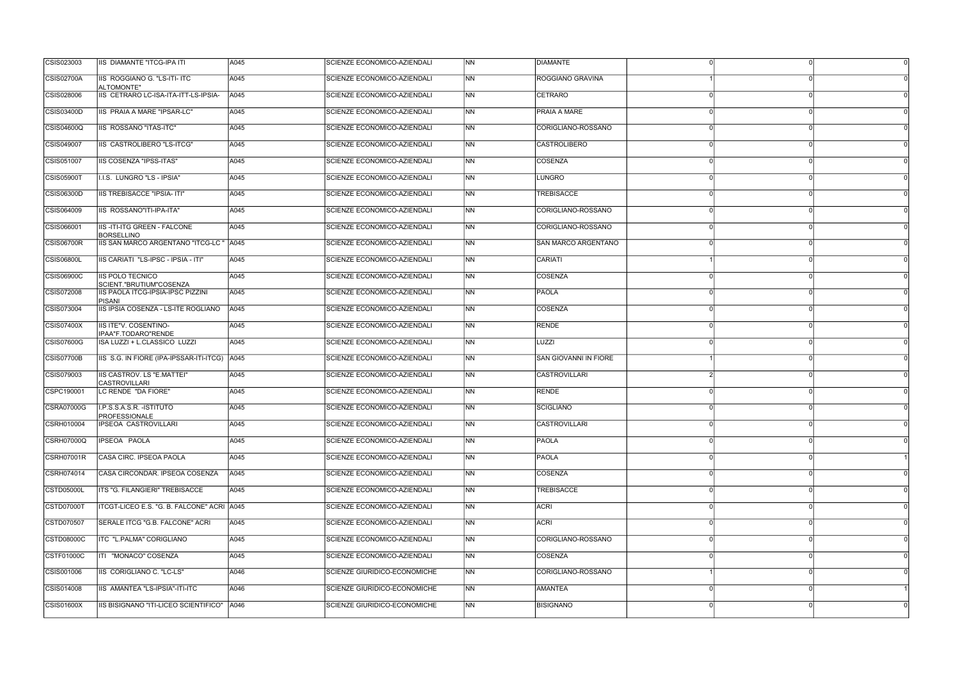| CSIS023003        | IIS DIAMANTE "ITCG-IPA ITI                              | A045 | SCIENZE ECONOMICO-AZIENDALI  | <b>NN</b>                | <b>DIAMANTE</b>       |  |  |
|-------------------|---------------------------------------------------------|------|------------------------------|--------------------------|-----------------------|--|--|
| CSIS02700A        | IIS ROGGIANO G. "LS-ITI- ITC<br>ALTOMONTE"              | A045 | SCIENZE ECONOMICO-AZIENDALI  | INN.                     | ROGGIANO GRAVINA      |  |  |
| CSIS028006        | IIS CETRARO LC-ISA-ITA-ITT-LS-IPSIA-                    | A045 | SCIENZE ECONOMICO-AZIENDALI  | <b>NN</b>                | <b>CETRARO</b>        |  |  |
| <b>CSIS03400D</b> | <b>IIS PRAIA A MARE "IPSAR-LC"</b>                      | A045 | SCIENZE ECONOMICO-AZIENDALI  | <b>INN</b>               | <b>PRAIA A MARE</b>   |  |  |
| <b>CSIS04600Q</b> | IIS ROSSANO "ITAS-ITC"                                  | A045 | SCIENZE ECONOMICO-AZIENDALI  | N <sub>N</sub>           | CORIGLIANO-ROSSANO    |  |  |
| CSIS049007        | IIS CASTROLIBERO "LS-ITCG"                              | A045 | SCIENZE ECONOMICO-AZIENDALI  | <b>NN</b>                | <b>CASTROLIBERO</b>   |  |  |
| CSIS051007        | IIS COSENZA "IPSS-ITAS"                                 | A045 | SCIENZE ECONOMICO-AZIENDALI  | INN.                     | COSENZA               |  |  |
| <b>CSIS05900T</b> | I.I.S. LUNGRO "LS - IPSIA"                              | A045 | SCIENZE ECONOMICO-AZIENDALI  | <b>NN</b>                | LUNGRO                |  |  |
| <b>CSIS06300D</b> | IIS TREBISACCE "IPSIA- ITI"                             | A045 | SCIENZE ECONOMICO-AZIENDALI  | INN.                     | <b>TREBISACCE</b>     |  |  |
| CSIS064009        | IIS ROSSANO"ITI-IPA-ITA"                                | A045 | SCIENZE ECONOMICO-AZIENDALI  | N <sub>N</sub>           | CORIGLIANO-ROSSANO    |  |  |
| CSIS066001        | <b>IIS-ITI-ITG GREEN - FALCONE</b><br><b>BORSELLINO</b> | A045 | SCIENZE ECONOMICO-AZIENDALI  | <b>NN</b>                | CORIGLIANO-ROSSANO    |  |  |
| <b>CSIS06700R</b> | IIS SAN MARCO ARGENTANO "ITCG-LC "                      | A045 | SCIENZE ECONOMICO-AZIENDALI  | INN.                     | SAN MARCO ARGENTANO   |  |  |
| <b>CSIS06800L</b> | IIS CARIATI "LS-IPSC - IPSIA - ITI"                     | A045 | SCIENZE ECONOMICO-AZIENDALI  | <b>NN</b>                | CARIATI               |  |  |
| <b>CSIS06900C</b> | IIS POLO TECNICO<br>SCIENT."BRUTIUM"COSENZA             | A045 | SCIENZE ECONOMICO-AZIENDALI  | INN.                     | COSENZA               |  |  |
| CSIS072008        | IIS PAOLA ITCG-IPSIA-IPSC PIZZINI<br><b>PISANI</b>      | A045 | SCIENZE ECONOMICO-AZIENDALI  | <b>INN</b>               | <b>PAOLA</b>          |  |  |
| CSIS073004        | IIS IPSIA COSENZA - LS-ITE ROGLIANO                     | A045 | SCIENZE ECONOMICO-AZIENDALI  | <b>NN</b>                | COSENZA               |  |  |
| CSIS07400X        | IIS ITE"V. COSENTINO-<br>IPAA"F.TODARO"RENDE            | A045 | SCIENZE ECONOMICO-AZIENDALI  | <b>INN</b>               | <b>RENDE</b>          |  |  |
| <b>CSIS07600G</b> | ISA LUZZI + L.CLASSICO LUZZI                            | A045 | SCIENZE ECONOMICO-AZIENDALI  | INN                      | LUZZI                 |  |  |
| <b>CSIS07700B</b> | IIS S.G. IN FIORE (IPA-IPSSAR-ITI-ITCG) A045            |      | SCIENZE ECONOMICO-AZIENDALI  | INN.                     | SAN GIOVANNI IN FIORE |  |  |
| CSIS079003        | IIS CASTROV. LS "E.MATTEI"<br><b>CASTROVILLARI</b>      | A045 | SCIENZE ECONOMICO-AZIENDALI  | <b>NN</b>                | <b>CASTROVILLARI</b>  |  |  |
| CSPC190001        | LC RENDE "DA FIORE"                                     | A045 | SCIENZE ECONOMICO-AZIENDALI  | N <sub>N</sub>           | RENDE                 |  |  |
| CSRA07000G        | I.P.S.S.A.S.R. - ISTITUTO<br>PROFESSIONALE              | A045 | SCIENZE ECONOMICO-AZIENDALI  | <b>NN</b>                | SCIGLIANO             |  |  |
| CSRH010004        | IPSEOA CASTROVILLARI                                    | A045 | SCIENZE ECONOMICO-AZIENDALI  | <b>NN</b>                | <b>CASTROVILLARI</b>  |  |  |
| <b>CSRH07000Q</b> | IPSEOA PAOLA                                            | A045 | SCIENZE ECONOMICO-AZIENDALI  | $\overline{\mathsf{NN}}$ | <b>PAOLA</b>          |  |  |
| <b>CSRH07001R</b> | CASA CIRC. IPSEOA PAOLA                                 | A045 | SCIENZE ECONOMICO-AZIENDALI  | N <sub>N</sub>           | PAOLA                 |  |  |
| CSRH074014        | CASA CIRCONDAR. IPSEOA COSENZA                          | A045 | SCIENZE ECONOMICO-AZIENDALI  | N <sub>N</sub>           | <b>COSENZA</b>        |  |  |
| <b>CSTD05000L</b> | ITS "G. FILANGIERI" TREBISACCE                          | A045 | SCIENZE ECONOMICO-AZIENDALI  | N <sub>N</sub>           | <b>TREBISACCE</b>     |  |  |
| CSTD07000T        | ITCGT-LICEO E.S. "G. B. FALCONE" ACRI   A045            |      | SCIENZE ECONOMICO-AZIENDALI  | NN                       | <b>ACRI</b>           |  |  |
| CSTD070507        | SERALE ITCG "G.B. FALCONE" ACRI                         | A045 | SCIENZE ECONOMICO-AZIENDALI  | $\overline{\mathsf{NN}}$ | <b>ACRI</b>           |  |  |
| CSTD08000C        | ITC "L.PALMA" CORIGLIANO                                | A045 | SCIENZE ECONOMICO-AZIENDALI  | N <sub>N</sub>           | CORIGLIANO-ROSSANO    |  |  |
| CSTF01000C        | ITI "MONACO" COSENZA                                    | A045 | SCIENZE ECONOMICO-AZIENDALI  | <b>NN</b>                | COSENZA               |  |  |
| CSIS001006        | IIS CORIGLIANO C. "LC-LS"                               | A046 | SCIENZE GIURIDICO-ECONOMICHE | N <sub>N</sub>           | CORIGLIANO-ROSSANO    |  |  |
| CSIS014008        | IIS AMANTEA "LS-IPSIA"-ITI-ITC                          | A046 | SCIENZE GIURIDICO-ECONOMICHE | INN                      | <b>AMANTEA</b>        |  |  |
| <b>CSIS01600X</b> | IIS BISIGNANO "ITI-LICEO SCIENTIFICO"   A046            |      | SCIENZE GIURIDICO-ECONOMICHE | N <sub>N</sub>           | <b>BISIGNANO</b>      |  |  |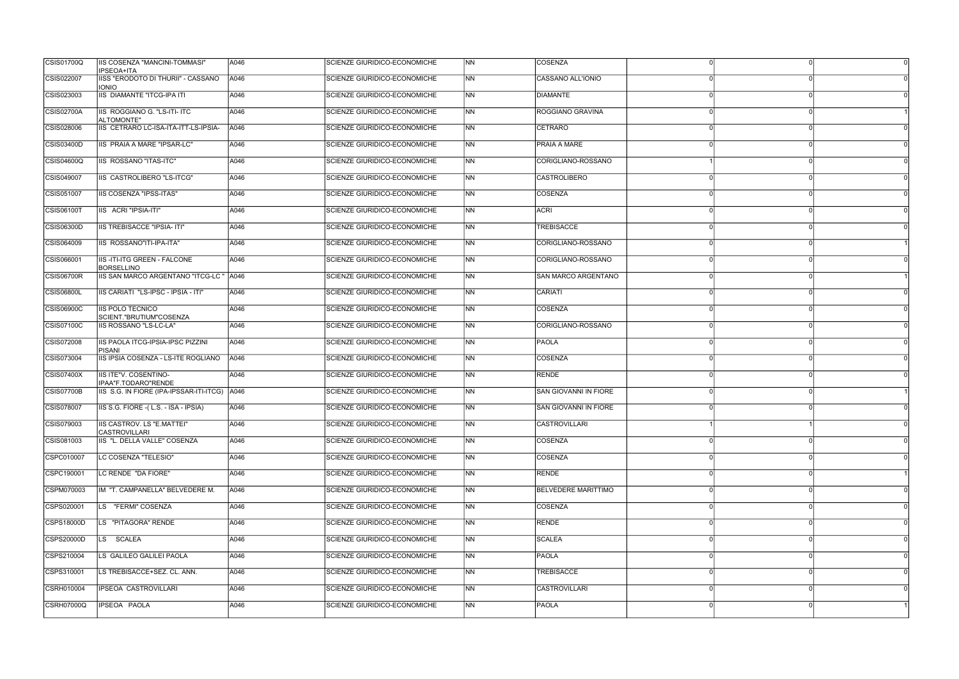| CSIS01700Q        | IIS COSENZA "MANCINI-TOMMASI"<br>IPSEOA+ITA               | A046 | SCIENZE GIURIDICO-ECONOMICHE        | N <sub>N</sub> | <b>COSENZA</b>             |              |   |
|-------------------|-----------------------------------------------------------|------|-------------------------------------|----------------|----------------------------|--------------|---|
| CSIS022007        | IISS "ERODOTO DI THURII" - CASSANO<br><b>IONIO</b>        | A046 | SCIENZE GIURIDICO-ECONOMICHE        | NN             | CASSANO ALL'IONIO          |              |   |
| CSIS023003        | <b>IIS DIAMANTE "ITCG-IPA ITI</b>                         | A046 | SCIENZE GIURIDICO-ECONOMICHE        | <b>NN</b>      | <b>DIAMANTE</b>            | $\Omega$     |   |
| <b>CSIS02700A</b> | <b>IIS ROGGIANO G. "LS-ITI- ITC</b><br>ALTOMONTE"         | A046 | SCIENZE GIURIDICO-ECONOMICHE        | NN             | <b>ROGGIANO GRAVINA</b>    |              |   |
| CSIS028006        | IIS CETRARO LC-ISA-ITA-ITT-LS-IPSIA-                      | A046 | SCIENZE GIURIDICO-ECONOMICHE        | <b>NN</b>      | <b>CETRARO</b>             |              |   |
| <b>CSIS03400D</b> | IIS PRAIA A MARE "IPSAR-LC"                               | A046 | SCIENZE GIURIDICO-ECONOMICHE        | N <sub>N</sub> | <b>PRAIA A MARE</b>        |              |   |
| <b>CSIS04600Q</b> | IIS ROSSANO "ITAS-ITC"                                    | A046 | SCIENZE GIURIDICO-ECONOMICHE        | NN             | CORIGLIANO-ROSSANO         |              |   |
| CSIS049007        | IIS CASTROLIBERO "LS-ITCG"                                | A046 | SCIENZE GIURIDICO-ECONOMICHE        | <b>NN</b>      | <b>CASTROLIBERO</b>        |              |   |
| CSIS051007        | IIS COSENZA "IPSS-ITAS"                                   | A046 | SCIENZE GIURIDICO-ECONOMICHE        | N <sub>N</sub> | COSENZA                    | ∩            |   |
| CSIS06100T        | IIS ACRI "IPSIA-ITI"                                      | A046 | SCIENZE GIURIDICO-ECONOMICHE        | <b>NN</b>      | <b>ACRI</b>                |              |   |
| <b>CSIS06300D</b> | <b>IIS TREBISACCE "IPSIA- ITI"</b>                        | A046 | <b>SCIENZE GIURIDICO-ECONOMICHE</b> | N <sub>N</sub> | <b>TREBISACCE</b>          |              |   |
| CSIS064009        | IIS ROSSANO"ITI-IPA-ITA"                                  | A046 | SCIENZE GIURIDICO-ECONOMICHE        | N <sub>N</sub> | CORIGLIANO-ROSSANO         |              |   |
| CSIS066001        | <b>IIS-ITI-ITG GREEN - FALCONE</b><br><b>BORSELLINO</b>   | A046 | SCIENZE GIURIDICO-ECONOMICHE        | <b>NN</b>      | CORIGLIANO-ROSSANO         | $\Omega$     | ∩ |
| <b>CSIS06700R</b> | IIS SAN MARCO ARGENTANO "ITCG-LC "   A046                 |      | SCIENZE GIURIDICO-ECONOMICHE        | <b>INN</b>     | SAN MARCO ARGENTANO        |              |   |
| <b>CSIS06800L</b> | IIS CARIATI "LS-IPSC - IPSIA - ITI"                       | A046 | SCIENZE GIURIDICO-ECONOMICHE        | <b>NN</b>      | CARIATI                    |              |   |
| <b>CSIS06900C</b> | <b>IIS POLO TECNICO</b><br>SCIENT."BRUTIUM"COSENZA        | A046 | SCIENZE GIURIDICO-ECONOMICHE        | N <sub>N</sub> | COSENZA                    |              |   |
| CSIS07100C        | IIS ROSSANO "LS-LC-LA"                                    | A046 | SCIENZE GIURIDICO-ECONOMICHE        | NN             | CORIGLIANO-ROSSANO         |              |   |
| CSIS072008        | IIS PAOLA ITCG-IPSIA-IPSC PIZZINI<br><b>PISANI</b>        | A046 | SCIENZE GIURIDICO-ECONOMICHE        | <b>NN</b>      | PAOLA                      |              |   |
| CSIS073004        | IIS IPSIA COSENZA - LS-ITE ROGLIANO                       | A046 | SCIENZE GIURIDICO-ECONOMICHE        | N <sub>N</sub> | COSENZA                    |              |   |
| CSIS07400X        | IIS ITE"V. COSENTINO-<br>IPAA"F.TODARO"RENDE              | A046 | SCIENZE GIURIDICO-ECONOMICHE        | <b>NN</b>      | <b>RENDE</b>               |              |   |
| <b>CSIS07700B</b> | IIS S.G. IN FIORE (IPA-IPSSAR-ITI-ITCG) A046              |      | SCIENZE GIURIDICO-ECONOMICHE        | N <sub>N</sub> | SAN GIOVANNI IN FIORE      |              |   |
| CSIS078007        | IS S.G. FIORE - (L.S. - ISA - IPSIA)                      | A046 | SCIENZE GIURIDICO-ECONOMICHE        | <b>NN</b>      | SAN GIOVANNI IN FIORE      |              |   |
| CSIS079003        | <b>IIS CASTROV. LS "E.MATTEI"</b><br><b>CASTROVILLARI</b> | A046 | SCIENZE GIURIDICO-ECONOMICHE        | <b>NN</b>      | CASTROVILLARI              |              |   |
| CSIS081003        | IIS "L. DELLA VALLE" COSENZA                              | A046 | SCIENZE GIURIDICO-ECONOMICHE        | N <sub>N</sub> | COSENZA                    | <sup>n</sup> |   |
| CSPC010007        | LC COSENZA "TELESIO"                                      | A046 | SCIENZE GIURIDICO-ECONOMICHE        | <b>NN</b>      | COSENZA                    |              |   |
| CSPC190001        | LC RENDE "DA FIORE"                                       | A046 | SCIENZE GIURIDICO-ECONOMICHE        | N <sub>N</sub> | RENDE                      |              |   |
| CSPM070003        | IM "T. CAMPANELLA" BELVEDERE M.                           | A046 | SCIENZE GIURIDICO-ECONOMICHE        | N <sub>N</sub> | <b>BELVEDERE MARITTIMO</b> |              |   |
| CSPS020001        | LS "FERMI" COSENZA                                        | A046 | SCIENZE GIURIDICO-ECONOMICHE        | NN             | COSENZA                    | $\Omega$     | n |
| CSPS18000D        | LS "PITAGORA" RENDE                                       | A046 | SCIENZE GIURIDICO-ECONOMICHE        | <b>NN</b>      | <b>RENDE</b>               |              |   |
| CSPS20000D        | LS SCALEA                                                 | A046 | SCIENZE GIURIDICO-ECONOMICHE        | <b>NN</b>      | <b>SCALEA</b>              |              |   |
| CSPS210004        | LS GALILEO GALILEI PAOLA                                  | A046 | SCIENZE GIURIDICO-ECONOMICHE        | N <sub>N</sub> | PAOLA                      |              |   |
| CSPS310001        | LS TREBISACCE+SEZ. CL. ANN.                               | A046 | <b>SCIENZE GIURIDICO-ECONOMICHE</b> | N <sub>N</sub> | <b>TREBISACCE</b>          |              |   |
| CSRH010004        | IPSEOA CASTROVILLARI                                      | A046 | SCIENZE GIURIDICO-ECONOMICHE        | <b>NN</b>      | <b>CASTROVILLARI</b>       |              |   |
| <b>CSRH07000Q</b> | IPSEOA PAOLA                                              | A046 | SCIENZE GIURIDICO-ECONOMICHE        | N <sub>N</sub> | PAOLA                      |              |   |
|                   |                                                           |      |                                     |                |                            |              |   |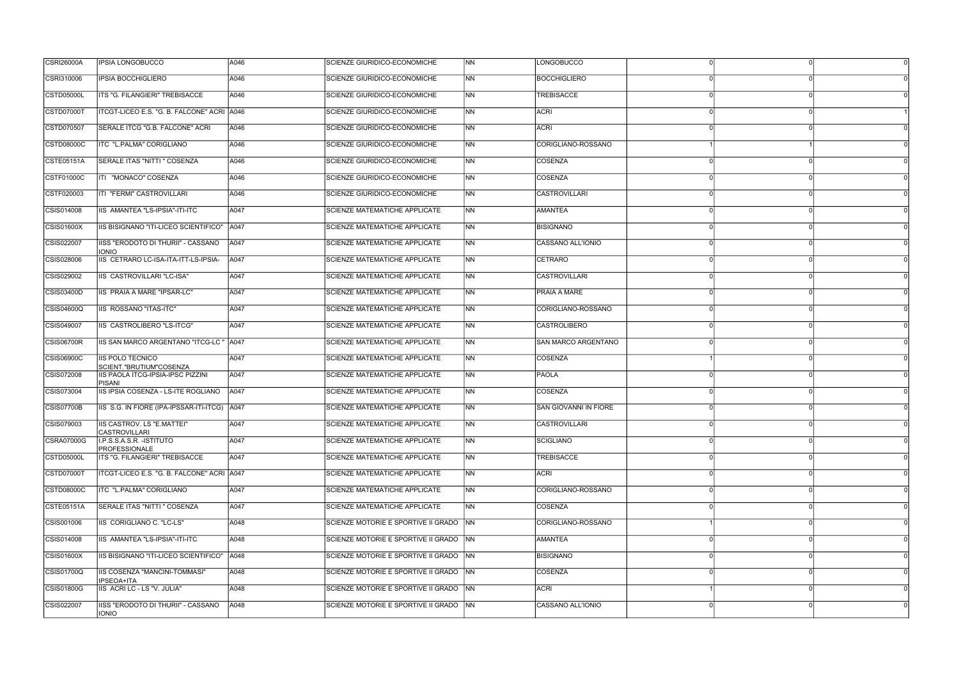| <b>CSRI26000A</b> | <b>IPSIA LONGOBUCCO</b>                            | A046 | SCIENZE GIURIDICO-ECONOMICHE            | <b>INN</b>     | <b>LONGOBUCCO</b>     |          |  |
|-------------------|----------------------------------------------------|------|-----------------------------------------|----------------|-----------------------|----------|--|
| CSRI310006        | <b>IPSIA BOCCHIGLIERO</b>                          | A046 | SCIENZE GIURIDICO-ECONOMICHE            | INN.           | <b>BOCCHIGLIERO</b>   |          |  |
| <b>CSTD05000L</b> | ITS "G. FILANGIERI" TREBISACCE                     | A046 | SCIENZE GIURIDICO-ECONOMICHE            | N <sub>N</sub> | <b>TREBISACCE</b>     |          |  |
| CSTD07000T        | ITCGT-LICEO E.S. "G. B. FALCONE" ACRI A046         |      | SCIENZE GIURIDICO-ECONOMICHE            | <b>NN</b>      | <b>ACRI</b>           |          |  |
| CSTD070507        | SERALE ITCG "G.B. FALCONE" ACRI                    | A046 | SCIENZE GIURIDICO-ECONOMICHE            | <b>NN</b>      | <b>ACRI</b>           |          |  |
| <b>CSTD08000C</b> | ITC "L.PALMA" CORIGLIANO                           | A046 | SCIENZE GIURIDICO-ECONOMICHE            | N <sub>N</sub> | CORIGLIANO-ROSSANO    |          |  |
| CSTE05151A        | SERALE ITAS "NITTI" COSENZA                        | A046 | SCIENZE GIURIDICO-ECONOMICHE            | INN.           | COSENZA               |          |  |
| CSTF01000C        | ITI "MONACO" COSENZA                               | A046 | SCIENZE GIURIDICO-ECONOMICHE            | INN            | <b>COSENZA</b>        |          |  |
| CSTF020003        | ITI "FERMI" CASTROVILLARI                          | A046 | SCIENZE GIURIDICO-ECONOMICHE            | INN.           | <b>CASTROVILLARI</b>  |          |  |
| CSIS014008        | IIS AMANTEA "LS-IPSIA"-ITI-ITC                     | A047 | <b>SCIENZE MATEMATICHE APPLICATE</b>    | INN            | <b>AMANTEA</b>        |          |  |
| <b>CSIS01600X</b> | IIS BISIGNANO "ITI-LICEO SCIENTIFICO"   A047       |      | <b>SCIENZE MATEMATICHE APPLICATE</b>    | <b>NN</b>      | <b>BISIGNANO</b>      |          |  |
| CSIS022007        | IISS "ERODOTO DI THURII" - CASSANO<br><b>IONIO</b> | A047 | SCIENZE MATEMATICHE APPLICATE           | INN.           | CASSANO ALL'IONIO     |          |  |
| CSIS028006        | IIS CETRARO LC-ISA-ITA-ITT-LS-IPSIA-               | A047 | <b>SCIENZE MATEMATICHE APPLICATE</b>    | <b>NN</b>      | <b>CETRARO</b>        |          |  |
| CSIS029002        | IIS CASTROVILLARI "LC-ISA"                         | A047 | SCIENZE MATEMATICHE APPLICATE           | INN            | <b>CASTROVILLARI</b>  |          |  |
| CSIS03400D        | IIS PRAIA A MARE "IPSAR-LC"                        | A047 | SCIENZE MATEMATICHE APPLICATE           | <b>NN</b>      | <b>PRAIA A MARE</b>   |          |  |
| <b>CSIS04600Q</b> | IIS ROSSANO "ITAS-ITC"                             | A047 | <b>SCIENZE MATEMATICHE APPLICATE</b>    | N <sub>N</sub> | CORIGLIANO-ROSSANO    |          |  |
| CSIS049007        | IIS CASTROLIBERO "LS-ITCG"                         | A047 | SCIENZE MATEMATICHE APPLICATE           | <b>INN</b>     | <b>CASTROLIBERO</b>   |          |  |
| CSIS06700R        | IIS SAN MARCO ARGENTANO "ITCG-LC " A047            |      | <b>SCIENZE MATEMATICHE APPLICATE</b>    | <b>NN</b>      | SAN MARCO ARGENTANO   |          |  |
| CSIS06900C        | IIS POLO TECNICO<br>SCIENT."BRUTIUM"COSENZA        | A047 | <b>SCIENZE MATEMATICHE APPLICATE</b>    | <b>NN</b>      | COSENZA               |          |  |
| CSIS072008        | IIS PAOLA ITCG-IPSIA-IPSC PIZZINI<br><b>PISANI</b> | A047 | SCIENZE MATEMATICHE APPLICATE           | <b>NN</b>      | <b>PAOLA</b>          |          |  |
| CSIS073004        | IIS IPSIA COSENZA - LS-ITE ROGLIANO                | A047 | SCIENZE MATEMATICHE APPLICATE           | INN.           | COSENZA               |          |  |
| CSIS07700B        | IIS S.G. IN FIORE (IPA-IPSSAR-ITI-ITCG) A047       |      | <b>SCIENZE MATEMATICHE APPLICATE</b>    | INN            | SAN GIOVANNI IN FIORE |          |  |
| CSIS079003        | IIS CASTROV. LS "E.MATTEI"<br><b>CASTROVILLARI</b> | A047 | <b>SCIENZE MATEMATICHE APPLICATE</b>    | <b>NN</b>      | CASTROVILLARI         |          |  |
| CSRA07000G        | I.P.S.S.A.S.R. - ISTITUTO<br>PROFESSIONALE         | A047 | SCIENZE MATEMATICHE APPLICATE           | INN.           | SCIGLIANO             | $\Omega$ |  |
| CSTD05000L        | <b>ITS "G. FILANGIERI" TREBISACCE</b>              | A047 | SCIENZE MATEMATICHE APPLICATE           | INN            | <b>TREBISACCE</b>     |          |  |
| <b>CSTD07000T</b> | ITCGT-LICEO E.S. "G. B. FALCONE" ACRI A047         |      | SCIENZE MATEMATICHE APPLICATE           | N <sub>N</sub> | ACRI                  |          |  |
| CSTD08000C        | ITC "L.PALMA" CORIGLIANO                           | A047 | SCIENZE MATEMATICHE APPLICATE           | N <sub>N</sub> | CORIGLIANO-ROSSANO    |          |  |
| CSTE05151A        | SERALE ITAS "NITTI " COSENZA                       | A047 | <b>SCIENZE MATEMATICHE APPLICATE</b>    | INN I          | COSENZA               |          |  |
| CSIS001006        | IIS CORIGLIANO C. "LC-LS"                          | A048 | SCIENZE MOTORIE E SPORTIVE II GRADO NN  |                | CORIGLIANO-ROSSANO    |          |  |
| CSIS014008        | IIS AMANTEA "LS-IPSIA"-ITI-ITC                     | A048 | SCIENZE MOTORIE E SPORTIVE II GRADO NN  |                | AMANTEA               |          |  |
| CSIS01600X        | IIS BISIGNANO "ITI-LICEO SCIENTIFICO"   A048       |      | SCIENZE MOTORIE E SPORTIVE II GRADO NN  |                | <b>BISIGNANO</b>      |          |  |
| CSIS01700Q        | IIS COSENZA "MANCINI-TOMMASI"<br>IPSEOA+ITA        | A048 | SCIENZE MOTORIE E SPORTIVE II GRADO INN |                | COSENZA               |          |  |
| CSIS01800G        | IIS ACRI LC - LS "V. JULIA"                        | A048 | SCIENZE MOTORIE E SPORTIVE II GRADO NN  |                | <b>ACRI</b>           |          |  |
| CSIS022007        | IISS "ERODOTO DI THURII" - CASSANO<br><b>IONIO</b> | A048 | SCIENZE MOTORIE E SPORTIVE II GRADO NN  |                | CASSANO ALL'IONIO     | $\Omega$ |  |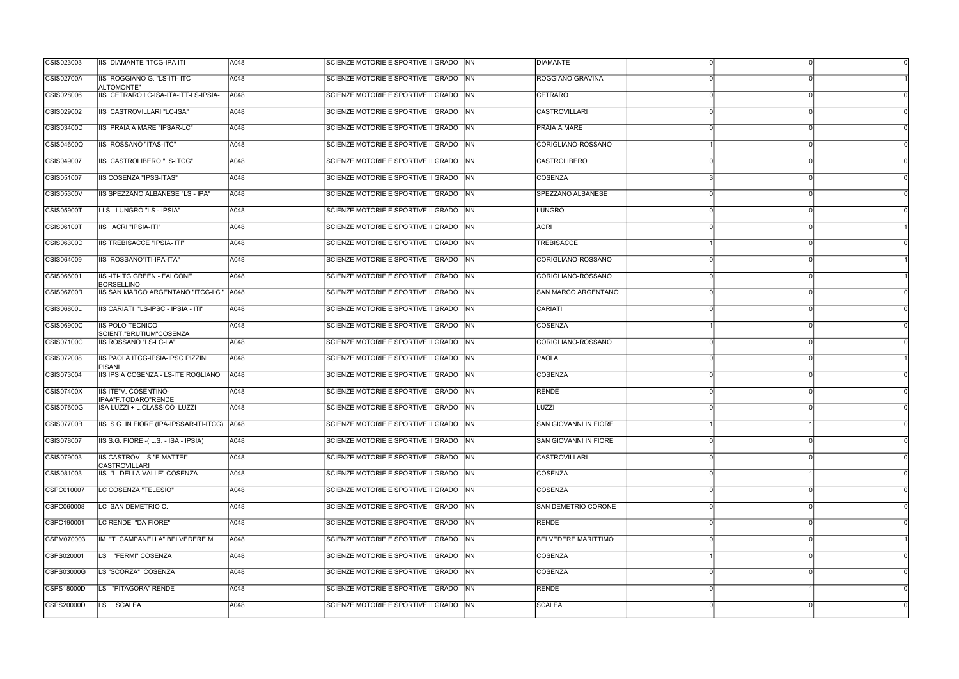| CSIS023003        | <b>IIS DIAMANTE "ITCG-IPA ITI</b>                         | A048 | SCIENZE MOTORIE E SPORTIVE II GRADO NN | <b>DIAMANTE</b>            |  |
|-------------------|-----------------------------------------------------------|------|----------------------------------------|----------------------------|--|
| CSIS02700A        | IIS ROGGIANO G. "LS-ITI- ITC<br>ALTOMONTE"                | A048 | SCIENZE MOTORIE E SPORTIVE II GRADO NN | ROGGIANO GRAVINA           |  |
| CSIS028006        | IIS CETRARO LC-ISA-ITA-ITT-LS-IPSIA-                      | A048 | SCIENZE MOTORIE E SPORTIVE II GRADO NN | CETRARO                    |  |
| CSIS029002        | IIS CASTROVILLARI "LC-ISA"                                | A048 | SCIENZE MOTORIE E SPORTIVE II GRADO NN | <b>CASTROVILLARI</b>       |  |
| CSIS03400D        | IIS PRAIA A MARE "IPSAR-LC"                               | A048 | SCIENZE MOTORIE E SPORTIVE II GRADO NN | <b>PRAIA A MARE</b>        |  |
| <b>CSIS04600Q</b> | IIS ROSSANO "ITAS-ITC"                                    | A048 | SCIENZE MOTORIE E SPORTIVE II GRADO NN | CORIGLIANO-ROSSANO         |  |
| CSIS049007        | IIS CASTROLIBERO "LS-ITCG"                                | A048 | SCIENZE MOTORIE E SPORTIVE II GRADO NN | <b>CASTROLIBERO</b>        |  |
| CSIS051007        | IIS COSENZA "IPSS-ITAS"                                   | A048 | SCIENZE MOTORIE E SPORTIVE II GRADO NN | COSENZA                    |  |
| <b>CSIS05300V</b> | IIS SPEZZANO ALBANESE "LS - IPA"                          | A048 | SCIENZE MOTORIE E SPORTIVE II GRADO NN | SPEZZANO ALBANESE          |  |
| <b>CSIS05900T</b> | I.I.S. LUNGRO "LS - IPSIA"                                | A048 | SCIENZE MOTORIE E SPORTIVE II GRADO NN | LUNGRO                     |  |
| <b>CSIS06100T</b> | IIS ACRI "IPSIA-ITI"                                      | A048 | SCIENZE MOTORIE E SPORTIVE II GRADO NN | <b>ACRI</b>                |  |
| CSIS06300D        | IIS TREBISACCE "IPSIA- ITI"                               | A048 | SCIENZE MOTORIE E SPORTIVE II GRADO NN | TREBISACCE                 |  |
| CSIS064009        | IIS ROSSANO"ITI-IPA-ITA"                                  | A048 | SCIENZE MOTORIE E SPORTIVE II GRADO NN | CORIGLIANO-ROSSANO         |  |
| CSIS066001        | <b>IIS-ITI-ITG GREEN - FALCONE</b><br><b>BORSELLINO</b>   | A048 | SCIENZE MOTORIE E SPORTIVE II GRADO NN | CORIGLIANO-ROSSANO         |  |
| CSIS06700R        | IIS SAN MARCO ARGENTANO "ITCG-LC " A048                   |      | SCIENZE MOTORIE E SPORTIVE II GRADO NN | SAN MARCO ARGENTANO        |  |
| <b>CSIS06800L</b> | IIS CARIATI "LS-IPSC - IPSIA - ITI"                       | A048 | SCIENZE MOTORIE E SPORTIVE II GRADO NN | CARIATI                    |  |
| CSIS06900C        | <b>IIS POLO TECNICO</b><br>SCIENT."BRUTIUM"COSENZA        | A048 | SCIENZE MOTORIE E SPORTIVE II GRADO NN | <b>COSENZA</b>             |  |
| CSIS07100C        | IIS ROSSANO "LS-LC-LA"                                    | A048 | SCIENZE MOTORIE E SPORTIVE II GRADO NN | CORIGLIANO-ROSSANO         |  |
| CSIS072008        | <b>IIS PAOLA ITCG-IPSIA-IPSC PIZZINI</b><br>PISANI        | A048 | SCIENZE MOTORIE E SPORTIVE II GRADO NN | <b>PAOLA</b>               |  |
| CSIS073004        | IIS IPSIA COSENZA - LS-ITE ROGLIANO                       | A048 | SCIENZE MOTORIE E SPORTIVE II GRADO NN | COSENZA                    |  |
| CSIS07400X        | IIS ITE"V. COSENTINO-<br>IPAA"F.TODARO"RENDE              | A048 | SCIENZE MOTORIE E SPORTIVE II GRADO NN | RENDE                      |  |
| CSIS07600G        | ISA LUZZI + L.CLASSICO LUZZI                              | A048 | SCIENZE MOTORIE E SPORTIVE II GRADO NN | LUZZI                      |  |
| <b>CSIS07700B</b> | IIS S.G. IN FIORE (IPA-IPSSAR-ITI-ITCG) A048              |      | SCIENZE MOTORIE E SPORTIVE II GRADO NN | SAN GIOVANNI IN FIORE      |  |
| CSIS078007        | IIS S.G. FIORE - (L.S. - ISA - IPSIA)                     | A048 | SCIENZE MOTORIE E SPORTIVE II GRADO NN | SAN GIOVANNI IN FIORE      |  |
| CSIS079003        | <b>IIS CASTROV. LS "E.MATTEI"</b><br><b>CASTROVILLARI</b> | A048 | SCIENZE MOTORIE E SPORTIVE II GRADO NN | <b>CASTROVILLARI</b>       |  |
| CSIS081003        | IIS "L. DELLA VALLE" COSENZA                              | A048 | SCIENZE MOTORIE E SPORTIVE II GRADO NN | COSENZA                    |  |
| CSPC010007        | LC COSENZA "TELESIO"                                      | A048 | SCIENZE MOTORIE E SPORTIVE II GRADO NN | <b>COSENZA</b>             |  |
| CSPC060008        | LC SAN DEMETRIO C.                                        | A048 | SCIENZE MOTORIE E SPORTIVE II GRADO NN | SAN DEMETRIO CORONE        |  |
| CSPC190001        | LC RENDE "DA FIORE"                                       | A048 | SCIENZE MOTORIE E SPORTIVE II GRADO NN | RENDE                      |  |
| CSPM070003        | IM "T. CAMPANELLA" BELVEDERE M.                           | A048 | SCIENZE MOTORIE E SPORTIVE II GRADO NN | <b>BELVEDERE MARITTIMO</b> |  |
| CSPS020001        | LS "FERMI" COSENZA                                        | A048 | SCIENZE MOTORIE E SPORTIVE II GRADO NN | COSENZA                    |  |
| CSPS03000G        | LS "SCORZA" COSENZA                                       | A048 | SCIENZE MOTORIE E SPORTIVE II GRADO NN | COSENZA                    |  |
| CSPS18000D        | LS "PITAGORA" RENDE                                       | A048 | SCIENZE MOTORIE E SPORTIVE II GRADO NN | <b>RENDE</b>               |  |
| CSPS20000D        | LS SCALEA                                                 | A048 | SCIENZE MOTORIE E SPORTIVE II GRADO NN | SCALEA                     |  |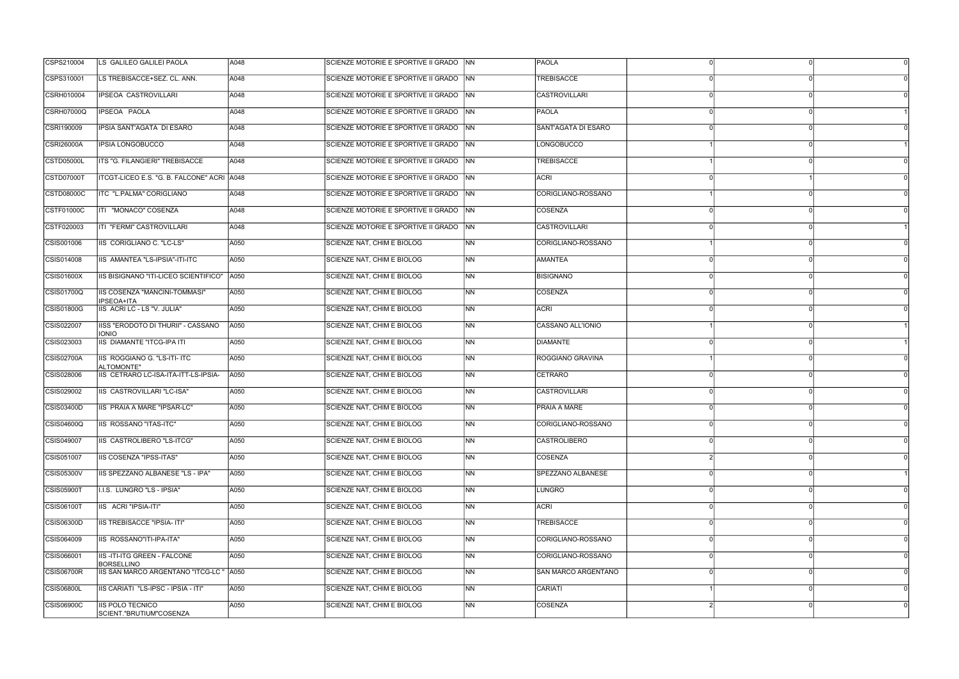| CSPS210004        | LS GALILEO GALILEI PAOLA                                | A048 | SCIENZE MOTORIE E SPORTIVE II GRADO NN   |                | <b>PAOLA</b>         |  |
|-------------------|---------------------------------------------------------|------|------------------------------------------|----------------|----------------------|--|
| CSPS310001        | LS TREBISACCE+SEZ. CL. ANN.                             | A048 | SCIENZE MOTORIE E SPORTIVE II GRADO NN   |                | TREBISACCE           |  |
| CSRH010004        | <b>IPSEOA CASTROVILLARI</b>                             | A048 | SCIENZE MOTORIE E SPORTIVE II GRADO NN   |                | CASTROVILLARI        |  |
| <b>CSRH07000Q</b> | IPSEOA PAOLA                                            | A048 | SCIENZE MOTORIE E SPORTIVE II GRADO NN   |                | PAOLA                |  |
| CSRI190009        | IPSIA SANT'AGATA DI ESARO                               | A048 | SCIENZE MOTORIE E SPORTIVE II GRADO   NN |                | SANT'AGATA DI ESARO  |  |
| <b>CSRI26000A</b> | <b>IPSIA LONGOBUCCO</b>                                 | A048 | SCIENZE MOTORIE E SPORTIVE II GRADO NN   |                | <b>LONGOBUCCO</b>    |  |
| <b>CSTD05000L</b> | ITS "G. FILANGIERI" TREBISACCE                          | A048 | SCIENZE MOTORIE E SPORTIVE II GRADO NN   |                | TREBISACCE           |  |
| CSTD07000T        | ITCGT-LICEO E.S. "G. B. FALCONE" ACRI A048              |      | SCIENZE MOTORIE E SPORTIVE II GRADO NN   |                | ACRI                 |  |
| CSTD08000C        | ITC "L.PALMA" CORIGLIANO                                | A048 | SCIENZE MOTORIE E SPORTIVE II GRADO NN   |                | CORIGLIANO-ROSSANO   |  |
| CSTF01000C        | ITI "MONACO" COSENZA                                    | A048 | SCIENZE MOTORIE E SPORTIVE II GRADO   NN |                | COSENZA              |  |
| CSTF020003        | ITI "FERMI" CASTROVILLARI                               | A048 | SCIENZE MOTORIE E SPORTIVE II GRADO NN   |                | <b>CASTROVILLARI</b> |  |
| CSIS001006        | IIS CORIGLIANO C. "LC-LS"                               | A050 | <b>SCIENZE NAT, CHIM E BIOLOG</b>        | N <sub>N</sub> | CORIGLIANO-ROSSANO   |  |
| CSIS014008        | IIS AMANTEA "LS-IPSIA"-ITI-ITC                          | A050 | SCIENZE NAT, CHIM E BIOLOG               | <b>NN</b>      | <b>AMANTEA</b>       |  |
| CSIS01600X        | IIS BISIGNANO "ITI-LICEO SCIENTIFICO"                   | A050 | SCIENZE NAT, CHIM E BIOLOG               | <b>INN</b>     | <b>BISIGNANO</b>     |  |
| CSIS01700Q        | IIS COSENZA "MANCINI-TOMMASI"<br>IPSEOA+ITA             | A050 | SCIENZE NAT, CHIM E BIOLOG               | <b>NN</b>      | COSENZA              |  |
| CSIS01800G        | IIS ACRI LC - LS "V. JULIA"                             | A050 | SCIENZE NAT, CHIM E BIOLOG               | N <sub>N</sub> | <b>ACRI</b>          |  |
| CSIS022007        | IISS "ERODOTO DI THURII" - CASSANO<br><b>IONIO</b>      | A050 | SCIENZE NAT, CHIM E BIOLOG               | <b>INN</b>     | CASSANO ALL'IONIO    |  |
| CSIS023003        | <b>IIS DIAMANTE "ITCG-IPA ITI</b>                       | A050 | <b>SCIENZE NAT, CHIM E BIOLOG</b>        | INN.           | <b>DIAMANTE</b>      |  |
| <b>CSIS02700A</b> | IIS ROGGIANO G. "LS-ITI- ITC<br>ALTOMONTE"              | A050 | <b>SCIENZE NAT, CHIM E BIOLOG</b>        | <b>INN</b>     | ROGGIANO GRAVINA     |  |
| CSIS028006        | IIS CETRARO LC-ISA-ITA-ITT-LS-IPSIA-                    | A050 | SCIENZE NAT, CHIM E BIOLOG               | <b>NN</b>      | CETRARO              |  |
| CSIS029002        | IIS CASTROVILLARI "LC-ISA"                              | A050 | <b>SCIENZE NAT, CHIM E BIOLOG</b>        | N <sub>N</sub> | <b>CASTROVILLARI</b> |  |
| CSIS03400D        | IIS PRAIA A MARE "IPSAR-LC"                             | A050 | SCIENZE NAT, CHIM E BIOLOG               | <b>NN</b>      | PRAIA A MARE         |  |
| <b>CSIS04600Q</b> | IIS ROSSANO "ITAS-ITC"                                  | A050 | SCIENZE NAT, CHIM E BIOLOG               | <b>NN</b>      | CORIGLIANO-ROSSANO   |  |
| CSIS049007        | IIS CASTROLIBERO "LS-ITCG"                              | A050 | SCIENZE NAT, CHIM E BIOLOG               | N <sub>N</sub> | CASTROLIBERO         |  |
| CSIS051007        | <b>IIS COSENZA "IPSS-ITAS"</b>                          | A050 | SCIENZE NAT, CHIM E BIOLOG               | N <sub>N</sub> | COSENZA              |  |
| CSIS05300V        | IIS SPEZZANO ALBANESE "LS - IPA"                        | A050 | SCIENZE NAT, CHIM E BIOLOG               | N <sub>N</sub> | SPEZZANO ALBANESE    |  |
| <b>CSIS05900T</b> | I.I.S. LUNGRO "LS - IPSIA"                              | A050 | SCIENZE NAT, CHIM E BIOLOG               | N <sub>N</sub> | <b>LUNGRO</b>        |  |
| <b>CSIS06100T</b> | IIS ACRI "IPSIA-ITI"                                    | A050 | SCIENZE NAT. CHIM E BIOLOG               | NN             | <b>ACRI</b>          |  |
| CSIS06300D        | <b>IIS TREBISACCE "IPSIA- ITI"</b>                      | A050 | <b>SCIENZE NAT, CHIM E BIOLOG</b>        | <b>NN</b>      | TREBISACCE           |  |
| CSIS064009        | IIS ROSSANO"ITI-IPA-ITA"                                | A050 | <b>SCIENZE NAT, CHIM E BIOLOG</b>        | N <sub>N</sub> | CORIGLIANO-ROSSANO   |  |
| CSIS066001        | <b>IIS-ITI-ITG GREEN - FALCONE</b><br><b>BORSELLINO</b> | A050 | SCIENZE NAT, CHIM E BIOLOG               | N <sub>N</sub> | CORIGLIANO-ROSSANO   |  |
| <b>CSIS06700R</b> | IIS SAN MARCO ARGENTANO "ITCG-LC "                      | A050 | SCIENZE NAT, CHIM E BIOLOG               | N <sub>N</sub> | SAN MARCO ARGENTANO  |  |
| <b>CSIS06800L</b> | IIS CARIATI "LS-IPSC - IPSIA - ITI"                     | A050 | SCIENZE NAT, CHIM E BIOLOG               | INN            | CARIATI              |  |
| CSIS06900C        | <b>IIS POLO TECNICO</b><br>SCIENT."BRUTIUM"COSENZA      | A050 | SCIENZE NAT, CHIM E BIOLOG               | N <sub>N</sub> | COSENZA              |  |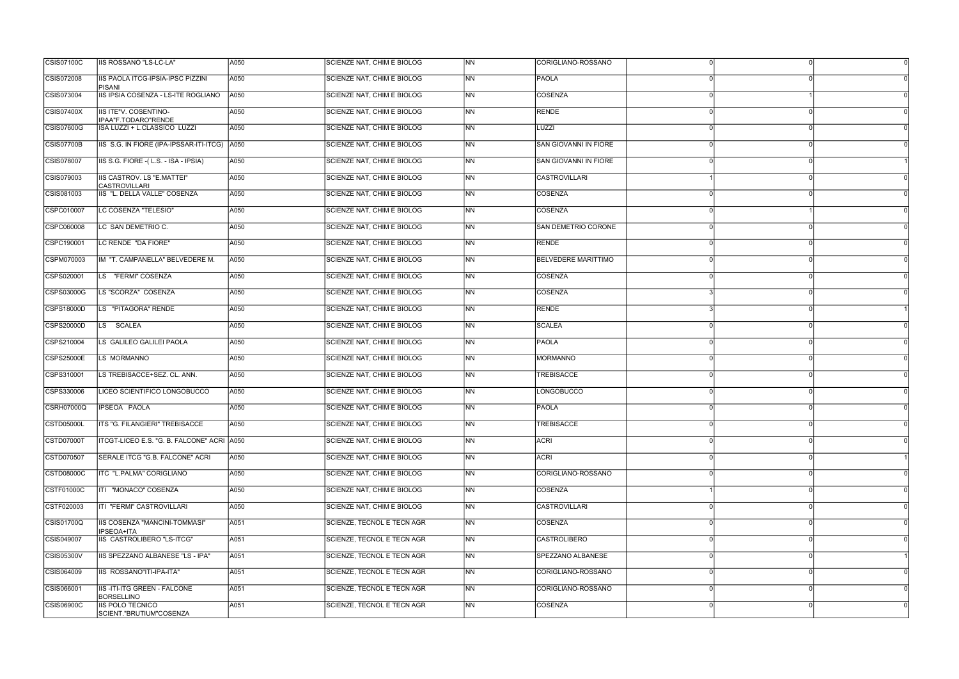| <b>CSIS07100C</b> | IIS ROSSANO "LS-LC-LA"                              | A050 | SCIENZE NAT, CHIM E BIOLOG        | <b>NN</b>                | CORIGLIANO-ROSSANO           |          |
|-------------------|-----------------------------------------------------|------|-----------------------------------|--------------------------|------------------------------|----------|
| CSIS072008        | IIS PAOLA ITCG-IPSIA-IPSC PIZZINI<br>PISANI         | A050 | SCIENZE NAT, CHIM E BIOLOG        | INN.                     | <b>PAOLA</b>                 |          |
| CSIS073004        | IIS IPSIA COSENZA - LS-ITE ROGLIANO                 | A050 | SCIENZE NAT, CHIM E BIOLOG        | <b>NN</b>                | COSENZA                      |          |
| <b>CSIS07400X</b> | <b>IIS ITE"V. COSENTINO-</b><br>IPAA"F.TODARO"RENDE | A050 | <b>SCIENZE NAT, CHIM E BIOLOG</b> | N <sub>N</sub>           | RENDE                        |          |
| CSIS07600G        | ISA LUZZI + L.CLASSICO LUZZI                        | A050 | SCIENZE NAT, CHIM E BIOLOG        | N <sub>N</sub>           | LUZZI                        |          |
| <b>CSIS07700B</b> | IIS S.G. IN FIORE (IPA-IPSSAR-ITI-ITCG) A050        |      | SCIENZE NAT, CHIM E BIOLOG        | <b>NN</b>                | <b>SAN GIOVANNI IN FIORE</b> |          |
| CSIS078007        | IIS S.G. FIORE -(L.S. - ISA - IPSIA)                | A050 | SCIENZE NAT, CHIM E BIOLOG        | INN.                     | SAN GIOVANNI IN FIORE        |          |
| CSIS079003        | IIS CASTROV. LS "E.MATTEI"<br><b>CASTROVILLARI</b>  | A050 | <b>SCIENZE NAT, CHIM E BIOLOG</b> | <b>NN</b>                | <b>CASTROVILLARI</b>         |          |
| CSIS081003        | IIS "L. DELLA VALLE" COSENZA                        | A050 | SCIENZE NAT, CHIM E BIOLOG        | INN.                     | COSENZA                      |          |
| CSPC010007        | LC COSENZA "TELESIO"                                | A050 | SCIENZE NAT, CHIM E BIOLOG        | N <sub>N</sub>           | COSENZA                      |          |
| CSPC060008        | LC SAN DEMETRIO C.                                  | A050 | SCIENZE NAT, CHIM E BIOLOG        | <b>NN</b>                | <b>SAN DEMETRIO CORONE</b>   |          |
| CSPC190001        | LC RENDE "DA FIORE"                                 | A050 | <b>SCIENZE NAT, CHIM E BIOLOG</b> | INN.                     | RENDE                        |          |
| CSPM070003        | IM "T. CAMPANELLA" BELVEDERE M.                     | A050 | <b>SCIENZE NAT, CHIM E BIOLOG</b> | <b>NN</b>                | <b>BELVEDERE MARITTIMO</b>   |          |
| CSPS020001        | LS "FERMI" COSENZA                                  | A050 | <b>SCIENZE NAT, CHIM E BIOLOG</b> | INN.                     | COSENZA                      |          |
| CSPS03000G        | LS "SCORZA" COSENZA                                 | A050 | SCIENZE NAT, CHIM E BIOLOG        | N <sub>N</sub>           | COSENZA                      |          |
| <b>CSPS18000D</b> | LS "PITAGORA" RENDE                                 | A050 | <b>SCIENZE NAT, CHIM E BIOLOG</b> | N <sub>N</sub>           | <b>RENDE</b>                 |          |
| CSPS20000D        | LS SCALEA                                           | A050 | SCIENZE NAT, CHIM E BIOLOG        | <b>INN</b>               | SCALEA                       |          |
| CSPS210004        | LS GALILEO GALILEI PAOLA                            | A050 | <b>SCIENZE NAT, CHIM E BIOLOG</b> | INN.                     | PAOLA                        |          |
| <b>CSPS25000E</b> | LS MORMANNO                                         | A050 | SCIENZE NAT, CHIM E BIOLOG        | INN.                     | <b>MORMANNO</b>              |          |
| CSPS310001        | LS TREBISACCE+SEZ. CL. ANN.                         | A050 | <b>SCIENZE NAT, CHIM E BIOLOG</b> | N <sub>N</sub>           | <b>TREBISACCE</b>            |          |
| CSPS330006        | LICEO SCIENTIFICO LONGOBUCCO                        | A050 | SCIENZE NAT, CHIM E BIOLOG        | N <sub>N</sub>           | <b>LONGOBUCCO</b>            |          |
| <b>CSRH07000Q</b> | <b>IPSEOA PAOLA</b>                                 | A050 | <b>SCIENZE NAT, CHIM E BIOLOG</b> | <b>NN</b>                | <b>PAOLA</b>                 |          |
| CSTD05000L        | <b>ITS "G. FILANGIERI" TREBISACCE</b>               | A050 | SCIENZE NAT, CHIM E BIOLOG        | <b>NN</b>                | <b>TREBISACCE</b>            |          |
| <b>CSTD07000T</b> | ITCGT-LICEO E.S. "G. B. FALCONE" ACRI A050          |      | SCIENZE NAT, CHIM E BIOLOG        | N <sub>N</sub>           | <b>ACRI</b>                  | $\Omega$ |
| CSTD070507        | SERALE ITCG "G.B. FALCONE" ACRI                     | A050 | SCIENZE NAT, CHIM E BIOLOG        | N <sub>N</sub>           | <b>ACRI</b>                  |          |
| CSTD08000C        | ITC "L.PALMA" CORIGLIANO                            | A050 | SCIENZE NAT, CHIM E BIOLOG        | N <sub>N</sub>           | CORIGLIANO-ROSSANO           |          |
| CSTF01000C        | ITI "MONACO" COSENZA                                | A050 | SCIENZE NAT, CHIM E BIOLOG        | N <sub>N</sub>           | COSENZA                      |          |
| CSTF020003        | ITI "FERMI" CASTROVILLARI                           | A050 | SCIENZE NAT, CHIM E BIOLOG        | NN                       | <b>CASTROVILLARI</b>         |          |
| <b>CSIS01700Q</b> | <b>IIS COSENZA "MANCINI-TOMMASI"</b><br>IPSEOA+ITA  | A051 | SCIENZE, TECNOL E TECN AGR        | $\overline{\mathsf{NN}}$ | COSENZA                      |          |
| CSIS049007        | IIS CASTROLIBERO "LS-ITCG"                          | A051 | SCIENZE, TECNOL E TECN AGR        | N <sub>N</sub>           | <b>CASTROLIBERO</b>          |          |
| CSIS05300V        | IIS SPEZZANO ALBANESE "LS - IPA"                    | A051 | SCIENZE, TECNOL E TECN AGR        | <b>NN</b>                | SPEZZANO ALBANESE            |          |
| CSIS064009        | IIS ROSSANO"ITI-IPA-ITA"                            | A051 | SCIENZE, TECNOL E TECN AGR        | N <sub>N</sub>           | CORIGLIANO-ROSSANO           |          |
| CSIS066001        | IIS-ITI-ITG GREEN - FALCONE<br><b>BORSELLINO</b>    | A051 | SCIENZE, TECNOL E TECN AGR        | INN                      | CORIGLIANO-ROSSANO           |          |
| <b>CSIS06900C</b> | <b>IIS POLO TECNICO</b><br>SCIENT."BRUTIUM"COSENZA  | A051 | <b>SCIENZE, TECNOL E TECN AGR</b> | N <sub>N</sub>           | COSENZA                      |          |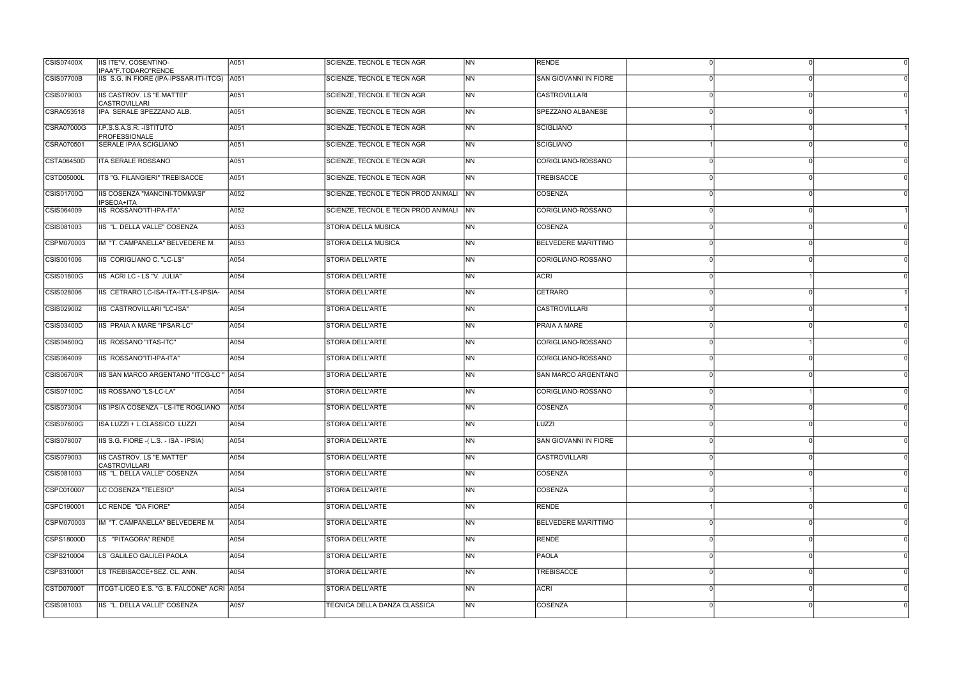| <b>CSIS07400X</b> | IIS ITE"V. COSENTINO-                                               | A051 | SCIENZE. TECNOL E TECN AGR          | N <sub>N</sub> | <b>RENDE</b>               |              |   |
|-------------------|---------------------------------------------------------------------|------|-------------------------------------|----------------|----------------------------|--------------|---|
| <b>CSIS07700B</b> | IPAA"F.TODARO"RENDE<br>IIS S.G. IN FIORE (IPA-IPSSAR-ITI-ITCG) A051 |      | SCIENZE, TECNOL E TECN AGR          | NN             | SAN GIOVANNI IN FIORE      |              |   |
| CSIS079003        | IIS CASTROV. LS "E.MATTEI"                                          | A051 | SCIENZE, TECNOL E TECN AGR          | <b>NN</b>      | <b>CASTROVILLARI</b>       |              |   |
| CSRA053518        | <b>CASTROVILLARI</b><br>IPA SERALE SPEZZANO ALB.                    | A051 | <b>SCIENZE, TECNOL E TECN AGR</b>   | <b>NN</b>      | <b>SPEZZANO ALBANESE</b>   |              |   |
| <b>CSRA07000G</b> | I.P.S.S.A.S.R. - ISTITUTO                                           | A051 | <b>SCIENZE, TECNOL E TECN AGR</b>   | NN             | SCIGLIANO                  |              |   |
| CSRA070501        | PROFESSIONALE<br><b>SERALE IPAA SCIGLIANO</b>                       | A051 | <b>SCIENZE, TECNOL E TECN AGR</b>   | NN             | SCIGLIANO                  |              |   |
| <b>CSTA06450D</b> | <b>ITA SERALE ROSSANO</b>                                           | A051 | SCIENZE, TECNOL E TECN AGR          | NN             | CORIGLIANO-ROSSANO         |              |   |
| <b>CSTD05000L</b> | ITS "G. FILANGIERI" TREBISACCE                                      | A051 | SCIENZE, TECNOL E TECN AGR          | <b>NN</b>      | <b>TREBISACCE</b>          |              |   |
| CSIS01700Q        | IIS COSENZA "MANCINI-TOMMASI"                                       | A052 | SCIENZE, TECNOL E TECN PROD ANIMALI | <b>INN</b>     | COSENZA                    |              |   |
| CSIS064009        | <b>IPSEOA+ITA</b><br>IIS ROSSANO"ITI-IPA-ITA"                       | A052 | SCIENZE, TECNOL E TECN PROD ANIMALI | <b>NN</b>      | CORIGLIANO-ROSSANO         |              |   |
| CSIS081003        | IIS "L. DELLA VALLE" COSENZA                                        | A053 | <b>STORIA DELLA MUSICA</b>          | <b>NN</b>      | <b>COSENZA</b>             |              |   |
| CSPM070003        | IM "T. CAMPANELLA" BELVEDERE M.                                     | A053 | STORIA DELLA MUSICA                 | NN             | <b>BELVEDERE MARITTIMO</b> |              |   |
| CSIS001006        | IIS CORIGLIANO C. "LC-LS"                                           | A054 | STORIA DELL'ARTE                    | <b>NN</b>      | CORIGLIANO-ROSSANO         | $\cap$       | ∩ |
| <b>CSIS01800G</b> | IIS ACRI LC - LS "V. JULIA"                                         | A054 | STORIA DELL'ARTE                    | <b>NN</b>      | <b>ACRI</b>                |              |   |
| CSIS028006        | IIS CETRARO LC-ISA-ITA-ITT-LS-IPSIA-                                | A054 | STORIA DELL'ARTE                    | <b>NN</b>      | CETRARO                    |              |   |
| CSIS029002        | IIS CASTROVILLARI "LC-ISA"                                          | A054 | <b>STORIA DELL'ARTE</b>             | NN             | <b>CASTROVILLARI</b>       |              |   |
| CSIS03400D        | IIS PRAIA A MARE "IPSAR-LC"                                         | A054 | STORIA DELL'ARTE                    | <b>NN</b>      | <b>PRAIA A MARE</b>        |              |   |
| <b>CSIS04600Q</b> | IIS ROSSANO "ITAS-ITC"                                              | A054 | <b>STORIA DELL'ARTE</b>             | <b>NN</b>      | CORIGLIANO-ROSSANO         |              |   |
| CSIS064009        | IIS ROSSANO"ITI-IPA-ITA"                                            | A054 | STORIA DELL'ARTE                    | NN             | CORIGLIANO-ROSSANO         |              |   |
| <b>CSIS06700R</b> | IIS SAN MARCO ARGENTANO "ITCG-LC " A054                             |      | STORIA DELL'ARTE                    | <b>NN</b>      | SAN MARCO ARGENTANO        |              |   |
| CSIS07100C        | IIS ROSSANO "LS-LC-LA"                                              | A054 | STORIA DELL'ARTE                    | <b>NN</b>      | CORIGLIANO-ROSSANO         |              |   |
| CSIS073004        | IIS IPSIA COSENZA - LS-ITE ROGLIANO                                 | A054 | STORIA DELL'ARTE                    | <b>NN</b>      | COSENZA                    |              |   |
| <b>CSIS07600G</b> | ISA LUZZI + L.CLASSICO LUZZI                                        | A054 | STORIA DELL'ARTE                    | <b>NN</b>      | LUZZI                      |              |   |
| CSIS078007        | IIS S.G. FIORE - (L.S. - ISA - IPSIA)                               | A054 | STORIA DELL'ARTE                    | NN             | SAN GIOVANNI IN FIORE      | n            |   |
| CSIS079003        | <b>IIS CASTROV. LS "E.MATTEI"</b><br><b>CASTROVILLARI</b>           | A054 | STORIA DELL'ARTE                    | <b>NN</b>      | <b>CASTROVILLARI</b>       |              |   |
| CSIS081003        | IIS "L. DELLA VALLE" COSENZA                                        | A054 | STORIA DELL'ARTE                    | <b>NN</b>      | COSENZA                    |              |   |
| CSPC010007        | LC COSENZA "TELESIO"                                                | A054 | STORIA DELL'ARTE                    | <b>NN</b>      | COSENZA                    |              |   |
| CSPC190001        | LC RENDE "DA FIORE"                                                 | A054 | STORIA DELL'ARTE                    | <b>NN</b>      | RENDE                      |              | ∩ |
| CSPM070003        | IM "T. CAMPANELLA" BELVEDERE M.                                     | A054 | STORIA DELL'ARTE                    | <b>NN</b>      | <b>BELVEDERE MARITTIMO</b> |              |   |
| CSPS18000D        | LS "PITAGORA" RENDE                                                 | A054 | STORIA DELL'ARTE                    | <b>NN</b>      | <b>RENDE</b>               |              |   |
| CSPS210004        | LS GALILEO GALILEI PAOLA                                            | A054 | STORIA DELL'ARTE                    | N <sub>N</sub> | PAOLA                      | $\Omega$     | ∩ |
| CSPS310001        | LS TREBISACCE+SEZ. CL. ANN.                                         | A054 | STORIA DELL'ARTE                    | <b>NN</b>      | <b>TREBISACCE</b>          |              |   |
| CSTD07000T        | ITCGT-LICEO E.S. "G. B. FALCONE" ACRI A054                          |      | STORIA DELL'ARTE                    | <b>NN</b>      | <b>ACRI</b>                |              |   |
| CSIS081003        | IIS "L. DELLA VALLE" COSENZA                                        | A057 | TECNICA DELLA DANZA CLASSICA        | N <sub>N</sub> | COSENZA                    | <sup>n</sup> |   |
|                   |                                                                     |      |                                     |                |                            |              |   |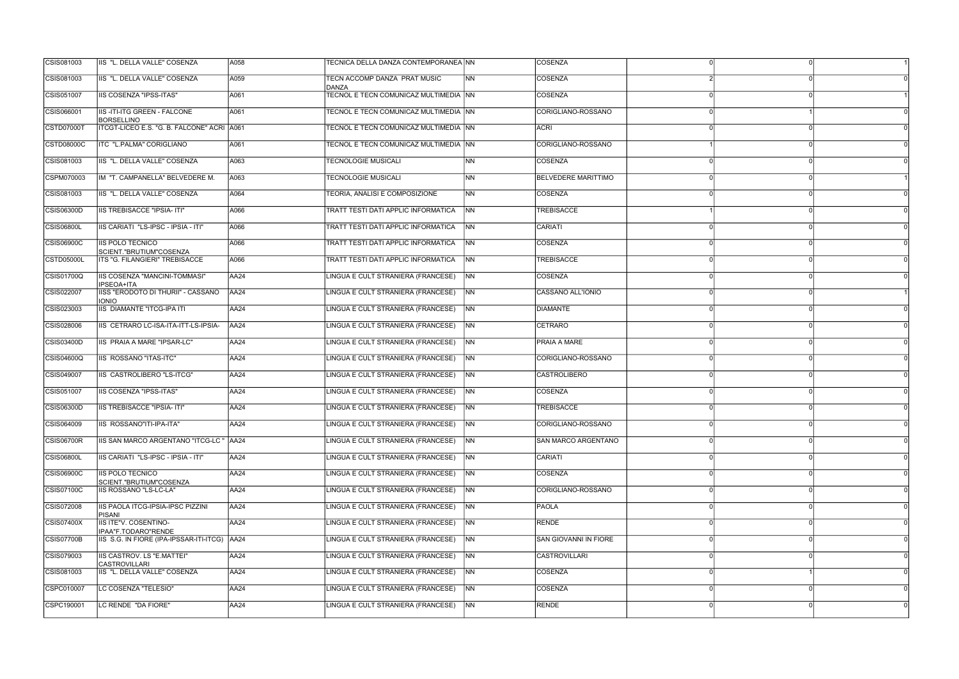| CSIS081003        | IIS "L. DELLA VALLE" COSENZA                              | A058        | TECNICA DELLA DANZA CONTEMPORANEA NN   |                 | <b>COSENZA</b>               |  |  |
|-------------------|-----------------------------------------------------------|-------------|----------------------------------------|-----------------|------------------------------|--|--|
| CSIS081003        | IIS "L. DELLA VALLE" COSENZA                              | A059        | TECN ACCOMP DANZA PRAT MUSIC<br>DANZA  | <b>INN</b>      | COSENZA                      |  |  |
| CSIS051007        | <b>IIS COSENZA "IPSS-ITAS"</b>                            | A061        | TECNOL E TECN COMUNICAZ MULTIMEDIA INN |                 | COSENZA                      |  |  |
| CSIS066001        | <b>IIS-ITI-ITG GREEN - FALCONE</b><br><b>BORSELLINO</b>   | A061        | TECNOL E TECN COMUNICAZ MULTIMEDIA INN |                 | CORIGLIANO-ROSSANO           |  |  |
| CSTD07000T        | ITCGT-LICEO E.S. "G. B. FALCONE" ACRI A061                |             | TECNOL E TECN COMUNICAZ MULTIMEDIA NN  |                 | ACRI                         |  |  |
| <b>CSTD08000C</b> | ITC "L.PALMA" CORIGLIANO                                  | A061        | TECNOL E TECN COMUNICAZ MULTIMEDIA INN |                 | CORIGLIANO-ROSSANO           |  |  |
| CSIS081003        | IIS "L. DELLA VALLE" COSENZA                              | A063        | <b>TECNOLOGIE MUSICALI</b>             | <b>INN</b>      | COSENZA                      |  |  |
| CSPM070003        | IM "T. CAMPANELLA" BELVEDERE M.                           | A063        | <b>TECNOLOGIE MUSICALI</b>             | INN.            | <b>BELVEDERE MARITTIMO</b>   |  |  |
| CSIS081003        | IIS "L. DELLA VALLE" COSENZA                              | A064        | TEORIA, ANALISI E COMPOSIZIONE         | <b>INN</b>      | COSENZA                      |  |  |
| CSIS06300D        | <b>IIS TREBISACCE "IPSIA- ITI"</b>                        | A066        | TRATT TESTI DATI APPLIC INFORMATICA    | <b>NN</b>       | TREBISACCE                   |  |  |
| <b>CSIS06800L</b> | IIS CARIATI "LS-IPSC - IPSIA - ITI"                       | A066        | TRATT TESTI DATI APPLIC INFORMATICA    | <b>NN</b>       | CARIATI                      |  |  |
| CSIS06900C        | IIS POLO TECNICO<br>SCIENT."BRUTIUM"COSENZA               | A066        | TRATT TESTI DATI APPLIC INFORMATICA    | <b>NN</b>       | <b>COSENZA</b>               |  |  |
| <b>CSTD05000L</b> | ITS "G. FILANGIERI" TREBISACCE                            | A066        | TRATT TESTI DATI APPLIC INFORMATICA    | INN.            | <b>TREBISACCE</b>            |  |  |
| <b>CSIS01700Q</b> | <b>IIS COSENZA "MANCINI-TOMMASI"</b><br>IPSEOA+ITA        | AA24        | LINGUA E CULT STRANIERA (FRANCESE)     | <b>INN</b>      | COSENZA                      |  |  |
| CSIS022007        | IISS "ERODOTO DI THURII" - CASSANO<br><b>IONIO</b>        | AA24        | LINGUA E CULT STRANIERA (FRANCESE)     | <b>NN</b>       | CASSANO ALL'IONIO            |  |  |
| CSIS023003        | <b>IIS DIAMANTE "ITCG-IPA ITI</b>                         | <b>AA24</b> | LINGUA E CULT STRANIERA (FRANCESE)     | $\overline{NN}$ | DIAMANTE                     |  |  |
| CSIS028006        | IIS CETRARO LC-ISA-ITA-ITT-LS-IPSIA-                      | AA24        | LINGUA E CULT STRANIERA (FRANCESE)     | <b>NN</b>       | CETRARO                      |  |  |
| CSIS03400D        | <b>IIS PRAIA A MARE "IPSAR-LC"</b>                        | AA24        | LINGUA E CULT STRANIERA (FRANCESE)     | <b>NN</b>       | <b>PRAIA A MARE</b>          |  |  |
| CSIS04600Q        | IIS ROSSANO "ITAS-ITC"                                    | AA24        | LINGUA E CULT STRANIERA (FRANCESE)     | <b>INN</b>      | CORIGLIANO-ROSSANO           |  |  |
| CSIS049007        | IIS CASTROLIBERO "LS-ITCG"                                | AA24        | LINGUA E CULT STRANIERA (FRANCESE)     | <b>NN</b>       | <b>CASTROLIBERO</b>          |  |  |
| CSIS051007        | <b>IIS COSENZA "IPSS-ITAS"</b>                            | AA24        | LINGUA E CULT STRANIERA (FRANCESE)     | N <sub>N</sub>  | COSENZA                      |  |  |
| CSIS06300D        | <b>IIS TREBISACCE "IPSIA- ITI"</b>                        | AA24        | LINGUA E CULT STRANIERA (FRANCESE)     | <b>INN</b>      | <b>TREBISACCE</b>            |  |  |
| CSIS064009        | IIS ROSSANO"ITI-IPA-ITA"                                  | <b>AA24</b> | LINGUA E CULT STRANIERA (FRANCESE)     | <b>NN</b>       | CORIGLIANO-ROSSANO           |  |  |
| <b>CSIS06700R</b> | IIS SAN MARCO ARGENTANO "ITCG-LC "                        | AA24        | LINGUA E CULT STRANIERA (FRANCESE)     | N <sub>N</sub>  | SAN MARCO ARGENTANO          |  |  |
| <b>CSIS06800L</b> | IIS CARIATI "LS-IPSC - IPSIA - ITI"                       | AA24        | LINGUA E CULT STRANIERA (FRANCESE)     | <b>NN</b>       | CARIATI                      |  |  |
| <b>CSIS06900C</b> | <b>IIS POLO TECNICO</b><br>SCIENT."BRUTIUM"COSENZA        | AA24        | LINGUA E CULT STRANIERA (FRANCESE)     | N <sub>N</sub>  | COSENZA                      |  |  |
| CSIS07100C        | IIS ROSSANO "LS-LC-LA"                                    | AA24        | LINGUA E CULT STRANIERA (FRANCESE)     | <b>NN</b>       | CORIGLIANO-ROSSANO           |  |  |
| CSIS072008        | IIS PAOLA ITCG-IPSIA-IPSC PIZZINI<br><b>PISANI</b>        | AA24        | LINGUA E CULT STRANIERA (FRANCESE)     | <b>NN</b>       | PAOLA                        |  |  |
| <b>CSIS07400X</b> | <b>IIS ITE"V. COSENTINO-</b><br>IPAA"F.TODARO"RENDE       | AA24        | LINGUA E CULT STRANIERA (FRANCESE)     | N <sub>N</sub>  | RENDE                        |  |  |
| <b>CSIS07700B</b> | IIS S.G. IN FIORE (IPA-IPSSAR-ITI-ITCG) AA24              |             | LINGUA E CULT STRANIERA (FRANCESE)     | <b>NN</b>       | <b>SAN GIOVANNI IN FIORE</b> |  |  |
| CSIS079003        | <b>IIS CASTROV. LS "E.MATTEI"</b><br><b>CASTROVILLARI</b> | <b>AA24</b> | LINGUA E CULT STRANIERA (FRANCESE)     | N <sub>N</sub>  | <b>CASTROVILLARI</b>         |  |  |
| CSIS081003        | IIS "L. DELLA VALLE" COSENZA                              | AA24        | LINGUA E CULT STRANIERA (FRANCESE)     | <b>NN</b>       | COSENZA                      |  |  |
| CSPC010007        | LC COSENZA "TELESIO"                                      | AA24        | LINGUA E CULT STRANIERA (FRANCESE)     | N <sub>N</sub>  | COSENZA                      |  |  |
| CSPC190001        | LC RENDE "DA FIORE"                                       | AA24        | LINGUA E CULT STRANIERA (FRANCESE)     | <b>NN</b>       | RENDE                        |  |  |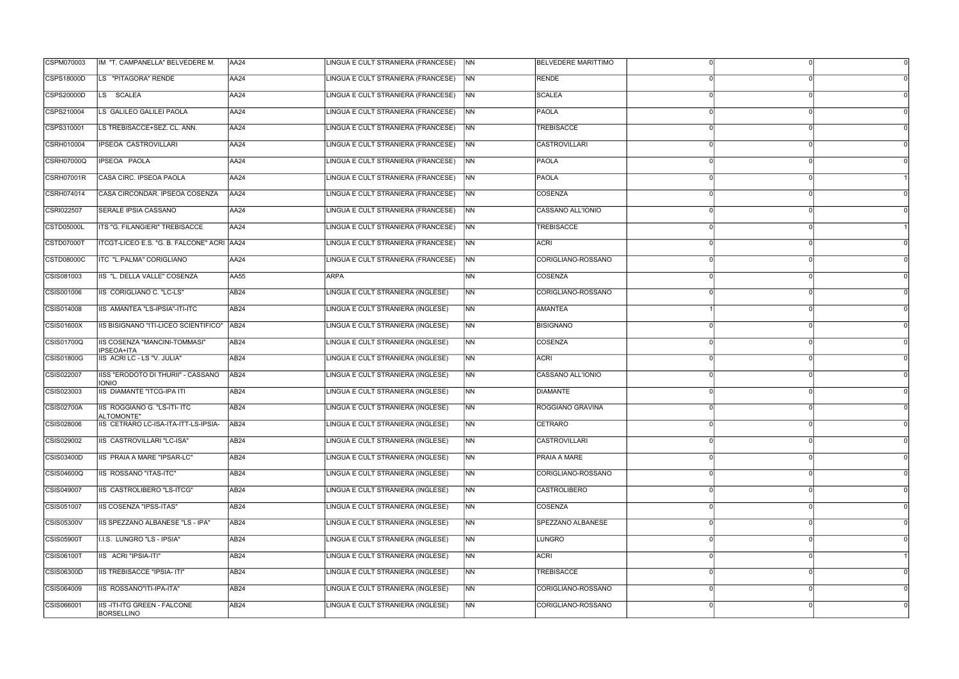| CSPM070003        | IM "T. CAMPANELLA" BELVEDERE M.                    | <b>AA24</b>      | LINGUA E CULT STRANIERA (FRANCESE) | <b>NN</b>      | <b>BELVEDERE MARITTIMO</b> |          |  |
|-------------------|----------------------------------------------------|------------------|------------------------------------|----------------|----------------------------|----------|--|
| CSPS18000D        | LS "PITAGORA" RENDE                                | AA24             | LINGUA E CULT STRANIERA (FRANCESE) | <b>NN</b>      | <b>RENDE</b>               |          |  |
| CSPS20000D        | LS SCALEA                                          | <b>AA24</b>      | LINGUA E CULT STRANIERA (FRANCESE) | NN             | <b>SCALEA</b>              |          |  |
| CSPS210004        | LS GALILEO GALILEI PAOLA                           | <b>AA24</b>      | LINGUA E CULT STRANIERA (FRANCESE) | <b>NN</b>      | PAOLA                      |          |  |
| CSPS310001        | LS TREBISACCE+SEZ. CL. ANN.                        | AA24             | LINGUA E CULT STRANIERA (FRANCESE) | N <sub>N</sub> | TREBISACCE                 |          |  |
| CSRH010004        | <b>IPSEOA CASTROVILLARI</b>                        | <b>AA24</b>      | LINGUA E CULT STRANIERA (FRANCESE) | N <sub>N</sub> | <b>CASTROVILLARI</b>       |          |  |
| <b>CSRH07000Q</b> | <b>IPSEOA PAOLA</b>                                | AA24             | LINGUA E CULT STRANIERA (FRANCESE) | <b>NN</b>      | PAOLA                      |          |  |
| CSRH07001R        | CASA CIRC. IPSEOA PAOLA                            | AA24             | LINGUA E CULT STRANIERA (FRANCESE) | <b>NN</b>      | PAOLA                      |          |  |
| CSRH074014        | CASA CIRCONDAR. IPSEOA COSENZA                     | AA24             | LINGUA E CULT STRANIERA (FRANCESE) | <b>NN</b>      | <b>COSENZA</b>             |          |  |
| CSRI022507        | <b>SERALE IPSIA CASSANO</b>                        | AA24             | LINGUA E CULT STRANIERA (FRANCESE) | N <sub>N</sub> | CASSANO ALL'IONIO          |          |  |
| CSTD05000L        | <b>ITS "G. FILANGIERI" TREBISACCE</b>              | <b>AA24</b>      | LINGUA E CULT STRANIERA (FRANCESE) | N <sub>N</sub> | <b>TREBISACCE</b>          |          |  |
| CSTD07000T        | ITCGT-LICEO E.S. "G. B. FALCONE" ACRI AA24         |                  | LINGUA E CULT STRANIERA (FRANCESE) | <b>NN</b>      | ACRI                       |          |  |
| <b>CSTD08000C</b> | ITC "L.PALMA" CORIGLIANO                           | AA24             | LINGUA E CULT STRANIERA (FRANCESE) | <b>NN</b>      | CORIGLIANO-ROSSANO         |          |  |
| CSIS081003        | IIS "L. DELLA VALLE" COSENZA                       | <b>AA55</b>      | <b>ARPA</b>                        | N <sub>N</sub> | COSENZA                    |          |  |
| CSIS001006        | IIS CORIGLIANO C. "LC-LS"                          | AB <sub>24</sub> | LINGUA E CULT STRANIERA (INGLESE)  | <b>NN</b>      | CORIGLIANO-ROSSANO         |          |  |
| CSIS014008        | IIS AMANTEA "LS-IPSIA"-ITI-ITC                     | AB <sub>24</sub> | LINGUA E CULT STRANIERA (INGLESE)  | N <sub>N</sub> | <b>AMANTEA</b>             |          |  |
| CSIS01600X        | IIS BISIGNANO "ITI-LICEO SCIENTIFICO"   AB24       |                  | LINGUA E CULT STRANIERA (INGLESE)  | NN             | <b>BISIGNANO</b>           |          |  |
| <b>CSIS01700Q</b> | <b>IIS COSENZA "MANCINI-TOMMASI"</b><br>IPSEOA+ITA | AB <sub>24</sub> | LINGUA E CULT STRANIERA (INGLESE)  | <b>NN</b>      | <b>COSENZA</b>             |          |  |
| <b>CSIS01800G</b> | IIS ACRI LC - LS "V. JULIA"                        | AB <sub>24</sub> | LINGUA E CULT STRANIERA (INGLESE)  | N <sub>N</sub> | <b>ACRI</b>                |          |  |
| CSIS022007        | IISS "ERODOTO DI THURII" - CASSANO<br><b>IONIO</b> | AB24             | LINGUA E CULT STRANIERA (INGLESE)  | <b>NN</b>      | CASSANO ALL'IONIO          | $\Omega$ |  |
| CSIS023003        | <b>IIS DIAMANTE "ITCG-IPA ITI</b>                  | AB <sub>24</sub> | LINGUA E CULT STRANIERA (INGLESE)  | NN             | <b>DIAMANTE</b>            |          |  |
| CSIS02700A        | IIS ROGGIANO G. "LS-ITI- ITC<br>ALTOMONTE"         | <b>AB24</b>      | LINGUA E CULT STRANIERA (INGLESE)  | <b>NN</b>      | ROGGIANO GRAVINA           |          |  |
| CSIS028006        | IIS CETRARO LC-ISA-ITA-ITT-LS-IPSIA-               | AB24             | LINGUA E CULT STRANIERA (INGLESE)  | N <sub>N</sub> | <b>CETRARO</b>             |          |  |
| CSIS029002        | IIS CASTROVILLARI "LC-ISA"                         | AB <sub>24</sub> | LINGUA E CULT STRANIERA (INGLESE)  | NN             | <b>CASTROVILLARI</b>       |          |  |
| CSIS03400D        | <b>IIS PRAIA A MARE "IPSAR-LC"</b>                 | AB24             | LINGUA E CULT STRANIERA (INGLESE)  | <b>NN</b>      | <b>PRAIA A MARE</b>        |          |  |
| <b>CSIS04600Q</b> | IIS ROSSANO "ITAS-ITC"                             | AB <sub>24</sub> | LINGUA E CULT STRANIERA (INGLESE)  | N <sub>N</sub> | CORIGLIANO-ROSSANO         |          |  |
| CSIS049007        | IIS CASTROLIBERO "LS-ITCG"                         | AB <sub>24</sub> | LINGUA E CULT STRANIERA (INGLESE)  | <b>NN</b>      | CASTROLIBERO               |          |  |
| CSIS051007        | IIS COSENZA "IPSS-ITAS"                            | <b>AB24</b>      | LINGUA E CULT STRANIERA (INGLESE)  | <b>NN</b>      | COSENZA                    |          |  |
| <b>CSIS05300V</b> | IIS SPEZZANO ALBANESE "LS - IPA"                   | AB24             | LINGUA E CULT STRANIERA (INGLESE)  | <b>NN</b>      | SPEZZANO ALBANESE          |          |  |
| <b>CSIS05900T</b> | I.I.S. LUNGRO "LS - IPSIA"                         | AB <sub>24</sub> | LINGUA E CULT STRANIERA (INGLESE)  | <b>NN</b>      | <b>LUNGRO</b>              |          |  |
| <b>CSIS06100T</b> | IIS ACRI "IPSIA-ITI"                               | AB <sub>24</sub> | LINGUA E CULT STRANIERA (INGLESE)  | NN             | <b>ACRI</b>                |          |  |
| CSIS06300D        | <b>IIS TREBISACCE "IPSIA- ITI"</b>                 | AB <sub>24</sub> | LINGUA E CULT STRANIERA (INGLESE)  | <b>NN</b>      | <b>TREBISACCE</b>          |          |  |
| CSIS064009        | IIS ROSSANO"ITI-IPA-ITA"                           | AB <sub>24</sub> | LINGUA E CULT STRANIERA (INGLESE)  | <b>NN</b>      | CORIGLIANO-ROSSANO         |          |  |
| CSIS066001        | <b>IIS-ITI-ITG GREEN - FALCONE</b><br>BORSELLINO   | AB <sub>24</sub> | LINGUA E CULT STRANIERA (INGLESE)  | N <sub>N</sub> | CORIGLIANO-ROSSANO         |          |  |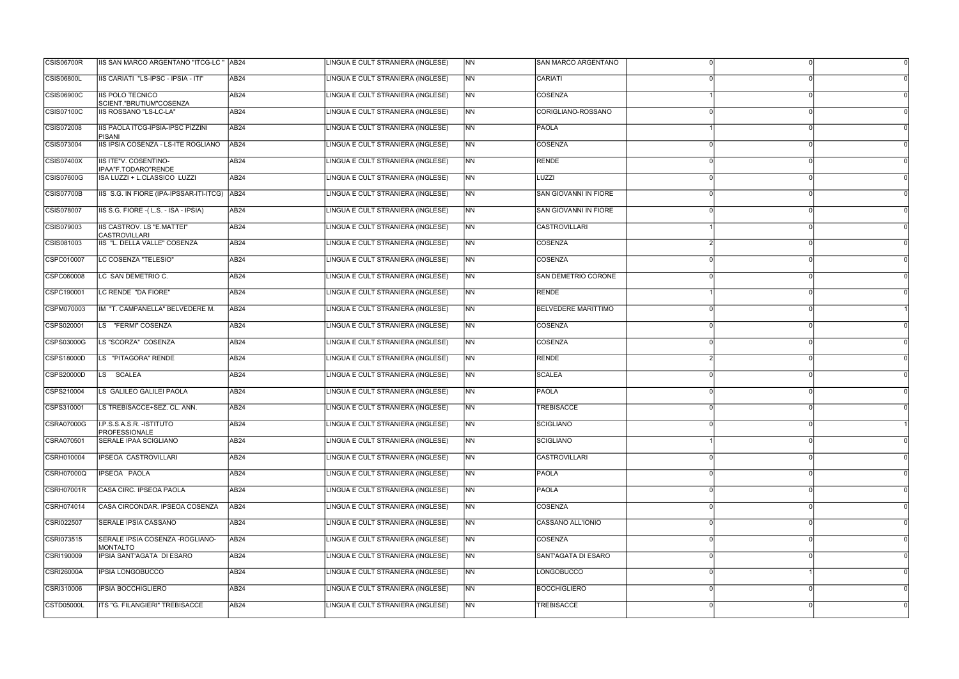| <b>CSIS06800L</b><br>IIS CARIATI "LS-IPSC - IPSIA - ITI"<br>AB <sub>24</sub><br>LINGUA E CULT STRANIERA (INGLESE)<br>N <sub>N</sub><br>CARIATI<br><b>CSIS06900C</b><br><b>IIS POLO TECNICO</b><br>LINGUA E CULT STRANIERA (INGLESE)<br>AB <sub>24</sub><br><b>NN</b><br>COSENZA<br>SCIENT."BRUTIUM"COSENZA<br>LINGUA E CULT STRANIERA (INGLESE)<br>IIS ROSSANO "LS-LC-LA"<br><b>NN</b><br>CORIGLIANO-ROSSANO<br>AB <sub>24</sub><br>CSIS072008<br>IIS PAOLA ITCG-IPSIA-IPSC PIZZINI<br>LINGUA E CULT STRANIERA (INGLESE)<br>N <sub>N</sub><br>AB <sub>24</sub><br><b>PAOLA</b><br><b>PISANI</b><br>IIS IPSIA COSENZA - LS-ITE ROGLIANO<br>LINGUA E CULT STRANIERA (INGLESE)<br><b>NN</b><br><b>AB24</b><br><b>COSENZA</b><br>IIS ITE"V. COSENTINO-<br>LINGUA E CULT STRANIERA (INGLESE)<br><b>RENDE</b><br>CSIS07400X<br>AB24<br>INN.<br>IPAA"F.TODARO"RENDE<br>LINGUA E CULT STRANIERA (INGLESE)<br>CSIS07600G<br>ISA LUZZI + L.CLASSICO LUZZI<br><b>NN</b><br>LUZZI<br>AB <sub>24</sub><br>IIS S.G. IN FIORE (IPA-IPSSAR-ITI-ITCG) AB24<br>LINGUA E CULT STRANIERA (INGLESE)<br><b>CSIS07700B</b><br>INN.<br>SAN GIOVANNI IN FIORE<br>IIS S.G. FIORE - (L.S. - ISA - IPSIA)<br><b>SAN GIOVANNI IN FIORE</b><br>CSIS078007<br>LINGUA E CULT STRANIERA (INGLESE)<br>N <sub>N</sub><br>AB <sub>24</sub><br><b>IIS CASTROV. LS "E.MATTEI"</b><br><b>CASTROVILLARI</b><br><b>AB24</b><br>LINGUA E CULT STRANIERA (INGLESE)<br><b>NN</b><br><b>CASTROVILLARI</b><br>IIS "L. DELLA VALLE" COSENZA<br>LINGUA E CULT STRANIERA (INGLESE)<br>CSIS081003<br>AB <sub>24</sub><br>INN.<br>COSENZA<br>LINGUA E CULT STRANIERA (INGLESE)<br>CSPC010007<br>LC COSENZA "TELESIO"<br>COSENZA<br>AB24<br>INN<br>CSPC060008<br>LC SAN DEMETRIO C.<br>LINGUA E CULT STRANIERA (INGLESE)<br>INN.<br>SAN DEMETRIO CORONE<br>AB24<br>CSPC190001<br>LC RENDE "DA FIORE"<br>LINGUA E CULT STRANIERA (INGLESE)<br>N <sub>N</sub><br>RENDE<br>AB <sub>24</sub><br>LINGUA E CULT STRANIERA (INGLESE)<br><b>NN</b><br>IM "T. CAMPANELLA" BELVEDERE M.<br>AB <sub>24</sub><br><b>BELVEDERE MARITTIMO</b><br>LS "FERMI" COSENZA<br>LINGUA E CULT STRANIERA (INGLESE)<br>COSENZA<br>CSPS020001<br>AB <sub>24</sub><br><b>INN</b><br>LS "SCORZA" COSENZA<br>LINGUA E CULT STRANIERA (INGLESE)<br>CSPS03000G<br>COSENZA<br>AB <sub>24</sub><br>INN<br>LS "PITAGORA" RENDE<br>LINGUA E CULT STRANIERA (INGLESE)<br><b>RENDE</b><br>AB <sub>24</sub><br>INN.<br><b>CSPS20000D</b><br>LS <sup>T</sup><br><b>SCALEA</b><br>LINGUA E CULT STRANIERA (INGLESE)<br>N <sub>N</sub><br><b>SCALEA</b><br>AB <sub>24</sub><br>LS GALILEO GALILEI PAOLA<br>LINGUA E CULT STRANIERA (INGLESE)<br>N <sub>N</sub><br>PAOLA<br>AB24<br>CSPS310001<br>LS TREBISACCE+SEZ. CL. ANN.<br>AB24<br>LINGUA E CULT STRANIERA (INGLESE)<br><b>NN</b><br><b>TREBISACCE</b><br>I.P.S.S.A.S.R. - ISTITUTO<br>AB <sub>24</sub><br>LINGUA E CULT STRANIERA (INGLESE)<br><b>NN</b><br>SCIGLIANO<br>PROFESSIONALE<br>N <sub>N</sub><br>SCIGLIANO<br><b>SERALE IPAA SCIGLIANO</b><br>AB <sub>24</sub><br>LINGUA E CULT STRANIERA (INGLESE)<br><b>CASTROVILLARI</b><br><b>IPSEOA CASTROVILLARI</b><br>LINGUA E CULT STRANIERA (INGLESE)<br>N <sub>N</sub><br>AB <sub>24</sub><br><b>IPSEOA PAOLA</b><br>LINGUA E CULT STRANIERA (INGLESE)<br>N <sub>N</sub><br>PAOLA<br>AB24<br>N <sub>N</sub><br><b>PAOLA</b><br>CSRH07001R<br>CASA CIRC. IPSEOA PAOLA<br>AB <sub>24</sub><br>LINGUA E CULT STRANIERA (INGLESE)<br>CASA CIRCONDAR. IPSEOA COSENZA<br>LINGUA E CULT STRANIERA (INGLESE)<br>NN<br>COSENZA<br>AB <sub>24</sub><br><b>SERALE IPSIA CASSANO</b><br>LINGUA E CULT STRANIERA (INGLESE)<br>$\overline{\mathsf{NN}}$<br>CASSANO ALL'IONIO<br>AB24<br>CSRI073515<br>SERALE IPSIA COSENZA - ROGLIANO-<br>LINGUA E CULT STRANIERA (INGLESE)<br>N <sub>N</sub><br>AB <sub>24</sub><br>COSENZA<br><b>MONTALTO</b><br>IPSIA SANT'AGATA DI ESARO<br>LINGUA E CULT STRANIERA (INGLESE)<br><b>NN</b><br>AB <sub>24</sub><br>SANT'AGATA DI ESARO<br>N <sub>N</sub><br><b>LONGOBUCCO</b><br>IPSIA LONGOBUCCO<br>AB24<br>LINGUA E CULT STRANIERA (INGLESE)<br><b>IPSIA BOCCHIGLIERO</b><br>LINGUA E CULT STRANIERA (INGLESE)<br><b>INN</b><br><b>BOCCHIGLIERO</b><br>AB <sub>24</sub><br><b>ITS "G. FILANGIERI" TREBISACCE</b><br>LINGUA E CULT STRANIERA (INGLESE)<br><b>TREBISACCE</b><br>AB <sub>24</sub><br>N <sub>N</sub> | <b>CSIS06700R</b> | IIS SAN MARCO ARGENTANO "ITCG-LC " AB24 | LINGUA E CULT STRANIERA (INGLESE) | $\overline{\text{NN}}$ | <b>SAN MARCO ARGENTANO</b> |  |
|--------------------------------------------------------------------------------------------------------------------------------------------------------------------------------------------------------------------------------------------------------------------------------------------------------------------------------------------------------------------------------------------------------------------------------------------------------------------------------------------------------------------------------------------------------------------------------------------------------------------------------------------------------------------------------------------------------------------------------------------------------------------------------------------------------------------------------------------------------------------------------------------------------------------------------------------------------------------------------------------------------------------------------------------------------------------------------------------------------------------------------------------------------------------------------------------------------------------------------------------------------------------------------------------------------------------------------------------------------------------------------------------------------------------------------------------------------------------------------------------------------------------------------------------------------------------------------------------------------------------------------------------------------------------------------------------------------------------------------------------------------------------------------------------------------------------------------------------------------------------------------------------------------------------------------------------------------------------------------------------------------------------------------------------------------------------------------------------------------------------------------------------------------------------------------------------------------------------------------------------------------------------------------------------------------------------------------------------------------------------------------------------------------------------------------------------------------------------------------------------------------------------------------------------------------------------------------------------------------------------------------------------------------------------------------------------------------------------------------------------------------------------------------------------------------------------------------------------------------------------------------------------------------------------------------------------------------------------------------------------------------------------------------------------------------------------------------------------------------------------------------------------------------------------------------------------------------------------------------------------------------------------------------------------------------------------------------------------------------------------------------------------------------------------------------------------------------------------------------------------------------------------------------------------------------------------------------------------------------------------------------------------------------------------------------------------------------------------------------------------------------------------------------------------------------------------------------------------------------------------------------------------------------------------------------------------------------------------------------------------------------------------------------------------------------------------------------------------------------------------------------------------------------------------------------------------------------------------------------------------------------------------------------------------------------------------------------------------------------|-------------------|-----------------------------------------|-----------------------------------|------------------------|----------------------------|--|
|                                                                                                                                                                                                                                                                                                                                                                                                                                                                                                                                                                                                                                                                                                                                                                                                                                                                                                                                                                                                                                                                                                                                                                                                                                                                                                                                                                                                                                                                                                                                                                                                                                                                                                                                                                                                                                                                                                                                                                                                                                                                                                                                                                                                                                                                                                                                                                                                                                                                                                                                                                                                                                                                                                                                                                                                                                                                                                                                                                                                                                                                                                                                                                                                                                                                                                                                                                                                                                                                                                                                                                                                                                                                                                                                                                                                                                                                                                                                                                                                                                                                                                                                                                                                                                                                                                                                                        |                   |                                         |                                   |                        |                            |  |
|                                                                                                                                                                                                                                                                                                                                                                                                                                                                                                                                                                                                                                                                                                                                                                                                                                                                                                                                                                                                                                                                                                                                                                                                                                                                                                                                                                                                                                                                                                                                                                                                                                                                                                                                                                                                                                                                                                                                                                                                                                                                                                                                                                                                                                                                                                                                                                                                                                                                                                                                                                                                                                                                                                                                                                                                                                                                                                                                                                                                                                                                                                                                                                                                                                                                                                                                                                                                                                                                                                                                                                                                                                                                                                                                                                                                                                                                                                                                                                                                                                                                                                                                                                                                                                                                                                                                                        |                   |                                         |                                   |                        |                            |  |
|                                                                                                                                                                                                                                                                                                                                                                                                                                                                                                                                                                                                                                                                                                                                                                                                                                                                                                                                                                                                                                                                                                                                                                                                                                                                                                                                                                                                                                                                                                                                                                                                                                                                                                                                                                                                                                                                                                                                                                                                                                                                                                                                                                                                                                                                                                                                                                                                                                                                                                                                                                                                                                                                                                                                                                                                                                                                                                                                                                                                                                                                                                                                                                                                                                                                                                                                                                                                                                                                                                                                                                                                                                                                                                                                                                                                                                                                                                                                                                                                                                                                                                                                                                                                                                                                                                                                                        | CSIS07100C        |                                         |                                   |                        |                            |  |
|                                                                                                                                                                                                                                                                                                                                                                                                                                                                                                                                                                                                                                                                                                                                                                                                                                                                                                                                                                                                                                                                                                                                                                                                                                                                                                                                                                                                                                                                                                                                                                                                                                                                                                                                                                                                                                                                                                                                                                                                                                                                                                                                                                                                                                                                                                                                                                                                                                                                                                                                                                                                                                                                                                                                                                                                                                                                                                                                                                                                                                                                                                                                                                                                                                                                                                                                                                                                                                                                                                                                                                                                                                                                                                                                                                                                                                                                                                                                                                                                                                                                                                                                                                                                                                                                                                                                                        |                   |                                         |                                   |                        |                            |  |
|                                                                                                                                                                                                                                                                                                                                                                                                                                                                                                                                                                                                                                                                                                                                                                                                                                                                                                                                                                                                                                                                                                                                                                                                                                                                                                                                                                                                                                                                                                                                                                                                                                                                                                                                                                                                                                                                                                                                                                                                                                                                                                                                                                                                                                                                                                                                                                                                                                                                                                                                                                                                                                                                                                                                                                                                                                                                                                                                                                                                                                                                                                                                                                                                                                                                                                                                                                                                                                                                                                                                                                                                                                                                                                                                                                                                                                                                                                                                                                                                                                                                                                                                                                                                                                                                                                                                                        | CSIS073004        |                                         |                                   |                        |                            |  |
|                                                                                                                                                                                                                                                                                                                                                                                                                                                                                                                                                                                                                                                                                                                                                                                                                                                                                                                                                                                                                                                                                                                                                                                                                                                                                                                                                                                                                                                                                                                                                                                                                                                                                                                                                                                                                                                                                                                                                                                                                                                                                                                                                                                                                                                                                                                                                                                                                                                                                                                                                                                                                                                                                                                                                                                                                                                                                                                                                                                                                                                                                                                                                                                                                                                                                                                                                                                                                                                                                                                                                                                                                                                                                                                                                                                                                                                                                                                                                                                                                                                                                                                                                                                                                                                                                                                                                        |                   |                                         |                                   |                        |                            |  |
|                                                                                                                                                                                                                                                                                                                                                                                                                                                                                                                                                                                                                                                                                                                                                                                                                                                                                                                                                                                                                                                                                                                                                                                                                                                                                                                                                                                                                                                                                                                                                                                                                                                                                                                                                                                                                                                                                                                                                                                                                                                                                                                                                                                                                                                                                                                                                                                                                                                                                                                                                                                                                                                                                                                                                                                                                                                                                                                                                                                                                                                                                                                                                                                                                                                                                                                                                                                                                                                                                                                                                                                                                                                                                                                                                                                                                                                                                                                                                                                                                                                                                                                                                                                                                                                                                                                                                        |                   |                                         |                                   |                        |                            |  |
|                                                                                                                                                                                                                                                                                                                                                                                                                                                                                                                                                                                                                                                                                                                                                                                                                                                                                                                                                                                                                                                                                                                                                                                                                                                                                                                                                                                                                                                                                                                                                                                                                                                                                                                                                                                                                                                                                                                                                                                                                                                                                                                                                                                                                                                                                                                                                                                                                                                                                                                                                                                                                                                                                                                                                                                                                                                                                                                                                                                                                                                                                                                                                                                                                                                                                                                                                                                                                                                                                                                                                                                                                                                                                                                                                                                                                                                                                                                                                                                                                                                                                                                                                                                                                                                                                                                                                        |                   |                                         |                                   |                        |                            |  |
|                                                                                                                                                                                                                                                                                                                                                                                                                                                                                                                                                                                                                                                                                                                                                                                                                                                                                                                                                                                                                                                                                                                                                                                                                                                                                                                                                                                                                                                                                                                                                                                                                                                                                                                                                                                                                                                                                                                                                                                                                                                                                                                                                                                                                                                                                                                                                                                                                                                                                                                                                                                                                                                                                                                                                                                                                                                                                                                                                                                                                                                                                                                                                                                                                                                                                                                                                                                                                                                                                                                                                                                                                                                                                                                                                                                                                                                                                                                                                                                                                                                                                                                                                                                                                                                                                                                                                        |                   |                                         |                                   |                        |                            |  |
|                                                                                                                                                                                                                                                                                                                                                                                                                                                                                                                                                                                                                                                                                                                                                                                                                                                                                                                                                                                                                                                                                                                                                                                                                                                                                                                                                                                                                                                                                                                                                                                                                                                                                                                                                                                                                                                                                                                                                                                                                                                                                                                                                                                                                                                                                                                                                                                                                                                                                                                                                                                                                                                                                                                                                                                                                                                                                                                                                                                                                                                                                                                                                                                                                                                                                                                                                                                                                                                                                                                                                                                                                                                                                                                                                                                                                                                                                                                                                                                                                                                                                                                                                                                                                                                                                                                                                        | CSIS079003        |                                         |                                   |                        |                            |  |
|                                                                                                                                                                                                                                                                                                                                                                                                                                                                                                                                                                                                                                                                                                                                                                                                                                                                                                                                                                                                                                                                                                                                                                                                                                                                                                                                                                                                                                                                                                                                                                                                                                                                                                                                                                                                                                                                                                                                                                                                                                                                                                                                                                                                                                                                                                                                                                                                                                                                                                                                                                                                                                                                                                                                                                                                                                                                                                                                                                                                                                                                                                                                                                                                                                                                                                                                                                                                                                                                                                                                                                                                                                                                                                                                                                                                                                                                                                                                                                                                                                                                                                                                                                                                                                                                                                                                                        |                   |                                         |                                   |                        |                            |  |
|                                                                                                                                                                                                                                                                                                                                                                                                                                                                                                                                                                                                                                                                                                                                                                                                                                                                                                                                                                                                                                                                                                                                                                                                                                                                                                                                                                                                                                                                                                                                                                                                                                                                                                                                                                                                                                                                                                                                                                                                                                                                                                                                                                                                                                                                                                                                                                                                                                                                                                                                                                                                                                                                                                                                                                                                                                                                                                                                                                                                                                                                                                                                                                                                                                                                                                                                                                                                                                                                                                                                                                                                                                                                                                                                                                                                                                                                                                                                                                                                                                                                                                                                                                                                                                                                                                                                                        |                   |                                         |                                   |                        |                            |  |
|                                                                                                                                                                                                                                                                                                                                                                                                                                                                                                                                                                                                                                                                                                                                                                                                                                                                                                                                                                                                                                                                                                                                                                                                                                                                                                                                                                                                                                                                                                                                                                                                                                                                                                                                                                                                                                                                                                                                                                                                                                                                                                                                                                                                                                                                                                                                                                                                                                                                                                                                                                                                                                                                                                                                                                                                                                                                                                                                                                                                                                                                                                                                                                                                                                                                                                                                                                                                                                                                                                                                                                                                                                                                                                                                                                                                                                                                                                                                                                                                                                                                                                                                                                                                                                                                                                                                                        |                   |                                         |                                   |                        |                            |  |
|                                                                                                                                                                                                                                                                                                                                                                                                                                                                                                                                                                                                                                                                                                                                                                                                                                                                                                                                                                                                                                                                                                                                                                                                                                                                                                                                                                                                                                                                                                                                                                                                                                                                                                                                                                                                                                                                                                                                                                                                                                                                                                                                                                                                                                                                                                                                                                                                                                                                                                                                                                                                                                                                                                                                                                                                                                                                                                                                                                                                                                                                                                                                                                                                                                                                                                                                                                                                                                                                                                                                                                                                                                                                                                                                                                                                                                                                                                                                                                                                                                                                                                                                                                                                                                                                                                                                                        |                   |                                         |                                   |                        |                            |  |
|                                                                                                                                                                                                                                                                                                                                                                                                                                                                                                                                                                                                                                                                                                                                                                                                                                                                                                                                                                                                                                                                                                                                                                                                                                                                                                                                                                                                                                                                                                                                                                                                                                                                                                                                                                                                                                                                                                                                                                                                                                                                                                                                                                                                                                                                                                                                                                                                                                                                                                                                                                                                                                                                                                                                                                                                                                                                                                                                                                                                                                                                                                                                                                                                                                                                                                                                                                                                                                                                                                                                                                                                                                                                                                                                                                                                                                                                                                                                                                                                                                                                                                                                                                                                                                                                                                                                                        | CSPM070003        |                                         |                                   |                        |                            |  |
|                                                                                                                                                                                                                                                                                                                                                                                                                                                                                                                                                                                                                                                                                                                                                                                                                                                                                                                                                                                                                                                                                                                                                                                                                                                                                                                                                                                                                                                                                                                                                                                                                                                                                                                                                                                                                                                                                                                                                                                                                                                                                                                                                                                                                                                                                                                                                                                                                                                                                                                                                                                                                                                                                                                                                                                                                                                                                                                                                                                                                                                                                                                                                                                                                                                                                                                                                                                                                                                                                                                                                                                                                                                                                                                                                                                                                                                                                                                                                                                                                                                                                                                                                                                                                                                                                                                                                        |                   |                                         |                                   |                        |                            |  |
|                                                                                                                                                                                                                                                                                                                                                                                                                                                                                                                                                                                                                                                                                                                                                                                                                                                                                                                                                                                                                                                                                                                                                                                                                                                                                                                                                                                                                                                                                                                                                                                                                                                                                                                                                                                                                                                                                                                                                                                                                                                                                                                                                                                                                                                                                                                                                                                                                                                                                                                                                                                                                                                                                                                                                                                                                                                                                                                                                                                                                                                                                                                                                                                                                                                                                                                                                                                                                                                                                                                                                                                                                                                                                                                                                                                                                                                                                                                                                                                                                                                                                                                                                                                                                                                                                                                                                        |                   |                                         |                                   |                        |                            |  |
|                                                                                                                                                                                                                                                                                                                                                                                                                                                                                                                                                                                                                                                                                                                                                                                                                                                                                                                                                                                                                                                                                                                                                                                                                                                                                                                                                                                                                                                                                                                                                                                                                                                                                                                                                                                                                                                                                                                                                                                                                                                                                                                                                                                                                                                                                                                                                                                                                                                                                                                                                                                                                                                                                                                                                                                                                                                                                                                                                                                                                                                                                                                                                                                                                                                                                                                                                                                                                                                                                                                                                                                                                                                                                                                                                                                                                                                                                                                                                                                                                                                                                                                                                                                                                                                                                                                                                        | CSPS18000D        |                                         |                                   |                        |                            |  |
|                                                                                                                                                                                                                                                                                                                                                                                                                                                                                                                                                                                                                                                                                                                                                                                                                                                                                                                                                                                                                                                                                                                                                                                                                                                                                                                                                                                                                                                                                                                                                                                                                                                                                                                                                                                                                                                                                                                                                                                                                                                                                                                                                                                                                                                                                                                                                                                                                                                                                                                                                                                                                                                                                                                                                                                                                                                                                                                                                                                                                                                                                                                                                                                                                                                                                                                                                                                                                                                                                                                                                                                                                                                                                                                                                                                                                                                                                                                                                                                                                                                                                                                                                                                                                                                                                                                                                        |                   |                                         |                                   |                        |                            |  |
|                                                                                                                                                                                                                                                                                                                                                                                                                                                                                                                                                                                                                                                                                                                                                                                                                                                                                                                                                                                                                                                                                                                                                                                                                                                                                                                                                                                                                                                                                                                                                                                                                                                                                                                                                                                                                                                                                                                                                                                                                                                                                                                                                                                                                                                                                                                                                                                                                                                                                                                                                                                                                                                                                                                                                                                                                                                                                                                                                                                                                                                                                                                                                                                                                                                                                                                                                                                                                                                                                                                                                                                                                                                                                                                                                                                                                                                                                                                                                                                                                                                                                                                                                                                                                                                                                                                                                        | CSPS210004        |                                         |                                   |                        |                            |  |
|                                                                                                                                                                                                                                                                                                                                                                                                                                                                                                                                                                                                                                                                                                                                                                                                                                                                                                                                                                                                                                                                                                                                                                                                                                                                                                                                                                                                                                                                                                                                                                                                                                                                                                                                                                                                                                                                                                                                                                                                                                                                                                                                                                                                                                                                                                                                                                                                                                                                                                                                                                                                                                                                                                                                                                                                                                                                                                                                                                                                                                                                                                                                                                                                                                                                                                                                                                                                                                                                                                                                                                                                                                                                                                                                                                                                                                                                                                                                                                                                                                                                                                                                                                                                                                                                                                                                                        |                   |                                         |                                   |                        |                            |  |
|                                                                                                                                                                                                                                                                                                                                                                                                                                                                                                                                                                                                                                                                                                                                                                                                                                                                                                                                                                                                                                                                                                                                                                                                                                                                                                                                                                                                                                                                                                                                                                                                                                                                                                                                                                                                                                                                                                                                                                                                                                                                                                                                                                                                                                                                                                                                                                                                                                                                                                                                                                                                                                                                                                                                                                                                                                                                                                                                                                                                                                                                                                                                                                                                                                                                                                                                                                                                                                                                                                                                                                                                                                                                                                                                                                                                                                                                                                                                                                                                                                                                                                                                                                                                                                                                                                                                                        | <b>CSRA07000G</b> |                                         |                                   |                        |                            |  |
|                                                                                                                                                                                                                                                                                                                                                                                                                                                                                                                                                                                                                                                                                                                                                                                                                                                                                                                                                                                                                                                                                                                                                                                                                                                                                                                                                                                                                                                                                                                                                                                                                                                                                                                                                                                                                                                                                                                                                                                                                                                                                                                                                                                                                                                                                                                                                                                                                                                                                                                                                                                                                                                                                                                                                                                                                                                                                                                                                                                                                                                                                                                                                                                                                                                                                                                                                                                                                                                                                                                                                                                                                                                                                                                                                                                                                                                                                                                                                                                                                                                                                                                                                                                                                                                                                                                                                        | CSRA070501        |                                         |                                   |                        |                            |  |
|                                                                                                                                                                                                                                                                                                                                                                                                                                                                                                                                                                                                                                                                                                                                                                                                                                                                                                                                                                                                                                                                                                                                                                                                                                                                                                                                                                                                                                                                                                                                                                                                                                                                                                                                                                                                                                                                                                                                                                                                                                                                                                                                                                                                                                                                                                                                                                                                                                                                                                                                                                                                                                                                                                                                                                                                                                                                                                                                                                                                                                                                                                                                                                                                                                                                                                                                                                                                                                                                                                                                                                                                                                                                                                                                                                                                                                                                                                                                                                                                                                                                                                                                                                                                                                                                                                                                                        | CSRH010004        |                                         |                                   |                        |                            |  |
|                                                                                                                                                                                                                                                                                                                                                                                                                                                                                                                                                                                                                                                                                                                                                                                                                                                                                                                                                                                                                                                                                                                                                                                                                                                                                                                                                                                                                                                                                                                                                                                                                                                                                                                                                                                                                                                                                                                                                                                                                                                                                                                                                                                                                                                                                                                                                                                                                                                                                                                                                                                                                                                                                                                                                                                                                                                                                                                                                                                                                                                                                                                                                                                                                                                                                                                                                                                                                                                                                                                                                                                                                                                                                                                                                                                                                                                                                                                                                                                                                                                                                                                                                                                                                                                                                                                                                        | <b>CSRH07000Q</b> |                                         |                                   |                        |                            |  |
|                                                                                                                                                                                                                                                                                                                                                                                                                                                                                                                                                                                                                                                                                                                                                                                                                                                                                                                                                                                                                                                                                                                                                                                                                                                                                                                                                                                                                                                                                                                                                                                                                                                                                                                                                                                                                                                                                                                                                                                                                                                                                                                                                                                                                                                                                                                                                                                                                                                                                                                                                                                                                                                                                                                                                                                                                                                                                                                                                                                                                                                                                                                                                                                                                                                                                                                                                                                                                                                                                                                                                                                                                                                                                                                                                                                                                                                                                                                                                                                                                                                                                                                                                                                                                                                                                                                                                        |                   |                                         |                                   |                        |                            |  |
|                                                                                                                                                                                                                                                                                                                                                                                                                                                                                                                                                                                                                                                                                                                                                                                                                                                                                                                                                                                                                                                                                                                                                                                                                                                                                                                                                                                                                                                                                                                                                                                                                                                                                                                                                                                                                                                                                                                                                                                                                                                                                                                                                                                                                                                                                                                                                                                                                                                                                                                                                                                                                                                                                                                                                                                                                                                                                                                                                                                                                                                                                                                                                                                                                                                                                                                                                                                                                                                                                                                                                                                                                                                                                                                                                                                                                                                                                                                                                                                                                                                                                                                                                                                                                                                                                                                                                        | CSRH074014        |                                         |                                   |                        |                            |  |
|                                                                                                                                                                                                                                                                                                                                                                                                                                                                                                                                                                                                                                                                                                                                                                                                                                                                                                                                                                                                                                                                                                                                                                                                                                                                                                                                                                                                                                                                                                                                                                                                                                                                                                                                                                                                                                                                                                                                                                                                                                                                                                                                                                                                                                                                                                                                                                                                                                                                                                                                                                                                                                                                                                                                                                                                                                                                                                                                                                                                                                                                                                                                                                                                                                                                                                                                                                                                                                                                                                                                                                                                                                                                                                                                                                                                                                                                                                                                                                                                                                                                                                                                                                                                                                                                                                                                                        | CSRI022507        |                                         |                                   |                        |                            |  |
|                                                                                                                                                                                                                                                                                                                                                                                                                                                                                                                                                                                                                                                                                                                                                                                                                                                                                                                                                                                                                                                                                                                                                                                                                                                                                                                                                                                                                                                                                                                                                                                                                                                                                                                                                                                                                                                                                                                                                                                                                                                                                                                                                                                                                                                                                                                                                                                                                                                                                                                                                                                                                                                                                                                                                                                                                                                                                                                                                                                                                                                                                                                                                                                                                                                                                                                                                                                                                                                                                                                                                                                                                                                                                                                                                                                                                                                                                                                                                                                                                                                                                                                                                                                                                                                                                                                                                        |                   |                                         |                                   |                        |                            |  |
|                                                                                                                                                                                                                                                                                                                                                                                                                                                                                                                                                                                                                                                                                                                                                                                                                                                                                                                                                                                                                                                                                                                                                                                                                                                                                                                                                                                                                                                                                                                                                                                                                                                                                                                                                                                                                                                                                                                                                                                                                                                                                                                                                                                                                                                                                                                                                                                                                                                                                                                                                                                                                                                                                                                                                                                                                                                                                                                                                                                                                                                                                                                                                                                                                                                                                                                                                                                                                                                                                                                                                                                                                                                                                                                                                                                                                                                                                                                                                                                                                                                                                                                                                                                                                                                                                                                                                        | CSRI190009        |                                         |                                   |                        |                            |  |
|                                                                                                                                                                                                                                                                                                                                                                                                                                                                                                                                                                                                                                                                                                                                                                                                                                                                                                                                                                                                                                                                                                                                                                                                                                                                                                                                                                                                                                                                                                                                                                                                                                                                                                                                                                                                                                                                                                                                                                                                                                                                                                                                                                                                                                                                                                                                                                                                                                                                                                                                                                                                                                                                                                                                                                                                                                                                                                                                                                                                                                                                                                                                                                                                                                                                                                                                                                                                                                                                                                                                                                                                                                                                                                                                                                                                                                                                                                                                                                                                                                                                                                                                                                                                                                                                                                                                                        | <b>CSRI26000A</b> |                                         |                                   |                        |                            |  |
|                                                                                                                                                                                                                                                                                                                                                                                                                                                                                                                                                                                                                                                                                                                                                                                                                                                                                                                                                                                                                                                                                                                                                                                                                                                                                                                                                                                                                                                                                                                                                                                                                                                                                                                                                                                                                                                                                                                                                                                                                                                                                                                                                                                                                                                                                                                                                                                                                                                                                                                                                                                                                                                                                                                                                                                                                                                                                                                                                                                                                                                                                                                                                                                                                                                                                                                                                                                                                                                                                                                                                                                                                                                                                                                                                                                                                                                                                                                                                                                                                                                                                                                                                                                                                                                                                                                                                        | CSRI310006        |                                         |                                   |                        |                            |  |
|                                                                                                                                                                                                                                                                                                                                                                                                                                                                                                                                                                                                                                                                                                                                                                                                                                                                                                                                                                                                                                                                                                                                                                                                                                                                                                                                                                                                                                                                                                                                                                                                                                                                                                                                                                                                                                                                                                                                                                                                                                                                                                                                                                                                                                                                                                                                                                                                                                                                                                                                                                                                                                                                                                                                                                                                                                                                                                                                                                                                                                                                                                                                                                                                                                                                                                                                                                                                                                                                                                                                                                                                                                                                                                                                                                                                                                                                                                                                                                                                                                                                                                                                                                                                                                                                                                                                                        | <b>CSTD05000L</b> |                                         |                                   |                        |                            |  |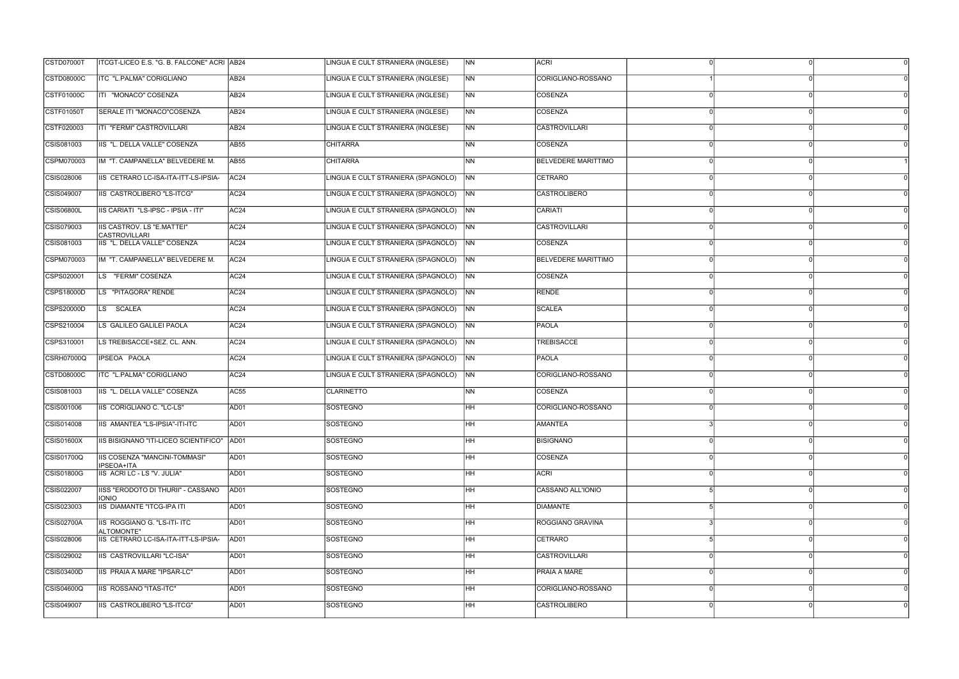| LINGUA E CULT STRANIERA (INGLESE)<br><b>CSTD08000C</b><br>ITC "L.PALMA" CORIGLIANO<br>AB <sub>24</sub><br>N <sub>N</sub><br>CORIGLIANO-ROSSANO<br>ITI "MONACO" COSENZA<br>LINGUA E CULT STRANIERA (INGLESE)<br>COSENZA<br>CSTF01000C<br>AB <sub>24</sub><br><b>NN</b><br>SERALE ITI "MONACO"COSENZA<br>LINGUA E CULT STRANIERA (INGLESE)<br>COSENZA<br><b>AB24</b><br>N <sub>N</sub><br>LINGUA E CULT STRANIERA (INGLESE)<br>CSTF020003<br>ITI "FERMI" CASTROVILLARI<br>N <sub>N</sub><br><b>CASTROVILLARI</b><br>AB24<br>CSIS081003<br>IIS "L. DELLA VALLE" COSENZA<br><b>NN</b><br>COSENZA<br><b>AB55</b><br><b>CHITARRA</b><br>IM "T. CAMPANELLA" BELVEDERE M.<br><b>BELVEDERE MARITTIMO</b><br>CSPM070003<br>AB <sub>55</sub><br><b>CHITARRA</b><br>INN.<br>CSIS028006<br>IIS CETRARO LC-ISA-ITA-ITT-LS-IPSIA-<br>LINGUA E CULT STRANIERA (SPAGNOLO)<br>CETRARO<br><b>AC24</b><br><b>NN</b><br>IIS CASTROLIBERO "LS-ITCG"<br>LINGUA E CULT STRANIERA (SPAGNOLO)<br><b>CASTROLIBERO</b><br>CSIS049007<br>AC <sub>24</sub><br>N <sub>N</sub><br>LINGUA E CULT STRANIERA (SPAGNOLO)<br><b>CSIS06800L</b><br>IIS CARIATI "LS-IPSC - IPSIA - ITI"<br>CARIATI<br><b>AC24</b><br><b>NN</b><br>CSIS079003<br><b>IIS CASTROV. LS "E.MATTEI"</b><br>LINGUA E CULT STRANIERA (SPAGNOLO)<br><b>CASTROVILLARI</b><br>AC <sub>24</sub><br>N <sub>N</sub><br><b>CASTROVILLARI</b><br>IIS "L. DELLA VALLE" COSENZA<br>LINGUA E CULT STRANIERA (SPAGNOLO)<br>CSIS081003<br>AC <sub>24</sub><br>N <sub>N</sub><br><b>COSENZA</b><br>IM "T. CAMPANELLA" BELVEDERE M.<br>LINGUA E CULT STRANIERA (SPAGNOLO)<br><b>BELVEDERE MARITTIMO</b><br>CSPM070003<br><b>AC24</b><br><b>INN</b><br>CSPS020001<br>LS "FERMI" COSENZA<br>LINGUA E CULT STRANIERA (SPAGNOLO)<br>COSENZA<br>AC <sub>24</sub><br>N <sub>N</sub><br>LS "PITAGORA" RENDE<br>LINGUA E CULT STRANIERA (SPAGNOLO)<br>CSPS18000D<br>AC <sub>24</sub><br>RENDE<br><b>NN</b><br><b>CSPS20000D</b><br>LS SCALEA<br>LINGUA E CULT STRANIERA (SPAGNOLO)<br><b>SCALEA</b><br>AC <sub>24</sub><br>$\overline{NN}$<br>CSPS210004<br>LS GALILEO GALILEI PAOLA<br>LINGUA E CULT STRANIERA (SPAGNOLO)<br>PAOLA<br>AC <sub>24</sub><br><b>NN</b><br>LS TREBISACCE+SEZ. CL. ANN.<br>LINGUA E CULT STRANIERA (SPAGNOLO)<br><b>TREBISACCE</b><br>CSPS310001<br>AC <sub>24</sub><br><b>NN</b><br><b>IPSEOA PAOLA</b><br>LINGUA E CULT STRANIERA (SPAGNOLO)<br>PAOLA<br><b>CSRH07000Q</b><br>AC <sub>24</sub><br><b>INN</b><br>LINGUA E CULT STRANIERA (SPAGNOLO)<br>CORIGLIANO-ROSSANO<br><b>CSTD08000C</b><br>ITC "L.PALMA" CORIGLIANO<br>AC <sub>24</sub><br>N <sub>N</sub><br>CSIS081003<br>IIS "L. DELLA VALLE" COSENZA<br><b>CLARINETTO</b><br>N <sub>N</sub><br>COSENZA<br>AC55<br>IIS CORIGLIANO C. "LC-LS"<br>CSIS001006<br>AD01<br>SOSTEGNO<br>CORIGLIANO-ROSSANO<br>HH.<br><b>IHH</b><br>CSIS014008<br>IIS AMANTEA "LS-IPSIA"-ITI-ITC<br>AD01<br>SOSTEGNO<br>AMANTEA<br>$\overline{\mathsf{HH}}$<br><b>CSIS01600X</b><br>SOSTEGNO<br><b>BISIGNANO</b><br>IIS BISIGNANO "ITI-LICEO SCIENTIFICO" AD01<br>$\Omega$<br><b>CSIS01700Q</b><br>SOSTEGNO<br><b>HH</b><br>COSENZA<br>IIS COSENZA "MANCINI-TOMMASI"<br>AD01<br>IPSEOA+ITA<br>SOSTEGNO<br><b>HH</b><br>IIS ACRI LC - LS "V. JULIA"<br>AD01<br><b>ACRI</b><br>HH<br>CSIS022007<br>IISS "ERODOTO DI THURII" - CASSANO<br>AD01<br>SOSTEGNO<br>CASSANO ALL'IONIO<br><b>IONIO</b><br>CSIS023003<br>IIS DIAMANTE "ITCG-IPA ITI<br>SOSTEGNO<br>HH<br>AD01<br>DIAMANTE<br><b>CSIS02700A</b><br>IIS ROGGIANO G. "LS-ITI- ITC<br>SOSTEGNO<br>$\overline{\mathsf{HH}}$<br>AD01<br>ROGGIANO GRAVINA<br>ALTOMONTE"<br>IIS CETRARO LC-ISA-ITA-ITT-LS-IPSIA-<br>CSIS028006<br>AD01<br>SOSTEGNO<br>l HH<br><b>CETRARO</b><br><b>HH</b><br>CSIS029002<br>IIS CASTROVILLARI "LC-ISA"<br>SOSTEGNO<br><b>CASTROVILLARI</b><br>AD01<br><b>HH</b><br>PRAIA A MARE<br>CSIS03400D<br>IIS PRAIA A MARE "IPSAR-LC"<br>AD01<br>SOSTEGNO<br>CSIS04600Q<br>SOSTEGNO<br>Інн<br>CORIGLIANO-ROSSANO<br>IIS ROSSANO "ITAS-ITC"<br>AD01<br>$\overline{\mathsf{H}\mathsf{H}}$<br>CASTROLIBERO<br>CSIS049007<br>IIS CASTROLIBERO "LS-ITCG"<br>AD01<br>SOSTEGNO<br>$\Omega$ | <b>CSTD07000T</b> | ITCGT-LICEO E.S. "G. B. FALCONE" ACRI AB24 | LINGUA E CULT STRANIERA (INGLESE) | <b>NN</b> | <b>ACRI</b> |  |  |
|---------------------------------------------------------------------------------------------------------------------------------------------------------------------------------------------------------------------------------------------------------------------------------------------------------------------------------------------------------------------------------------------------------------------------------------------------------------------------------------------------------------------------------------------------------------------------------------------------------------------------------------------------------------------------------------------------------------------------------------------------------------------------------------------------------------------------------------------------------------------------------------------------------------------------------------------------------------------------------------------------------------------------------------------------------------------------------------------------------------------------------------------------------------------------------------------------------------------------------------------------------------------------------------------------------------------------------------------------------------------------------------------------------------------------------------------------------------------------------------------------------------------------------------------------------------------------------------------------------------------------------------------------------------------------------------------------------------------------------------------------------------------------------------------------------------------------------------------------------------------------------------------------------------------------------------------------------------------------------------------------------------------------------------------------------------------------------------------------------------------------------------------------------------------------------------------------------------------------------------------------------------------------------------------------------------------------------------------------------------------------------------------------------------------------------------------------------------------------------------------------------------------------------------------------------------------------------------------------------------------------------------------------------------------------------------------------------------------------------------------------------------------------------------------------------------------------------------------------------------------------------------------------------------------------------------------------------------------------------------------------------------------------------------------------------------------------------------------------------------------------------------------------------------------------------------------------------------------------------------------------------------------------------------------------------------------------------------------------------------------------------------------------------------------------------------------------------------------------------------------------------------------------------------------------------------------------------------------------------------------------------------------------------------------------------------------------------------------------------------------------------------------------------------------------------------------------------------------------------------------------------------------------------------------------------------------------------------------------------------------------------------------------------------------------------------------------------------------------------------------------------|-------------------|--------------------------------------------|-----------------------------------|-----------|-------------|--|--|
|                                                                                                                                                                                                                                                                                                                                                                                                                                                                                                                                                                                                                                                                                                                                                                                                                                                                                                                                                                                                                                                                                                                                                                                                                                                                                                                                                                                                                                                                                                                                                                                                                                                                                                                                                                                                                                                                                                                                                                                                                                                                                                                                                                                                                                                                                                                                                                                                                                                                                                                                                                                                                                                                                                                                                                                                                                                                                                                                                                                                                                                                                                                                                                                                                                                                                                                                                                                                                                                                                                                                                                                                                                                                                                                                                                                                                                                                                                                                                                                                                                                                                                                                 |                   |                                            |                                   |           |             |  |  |
|                                                                                                                                                                                                                                                                                                                                                                                                                                                                                                                                                                                                                                                                                                                                                                                                                                                                                                                                                                                                                                                                                                                                                                                                                                                                                                                                                                                                                                                                                                                                                                                                                                                                                                                                                                                                                                                                                                                                                                                                                                                                                                                                                                                                                                                                                                                                                                                                                                                                                                                                                                                                                                                                                                                                                                                                                                                                                                                                                                                                                                                                                                                                                                                                                                                                                                                                                                                                                                                                                                                                                                                                                                                                                                                                                                                                                                                                                                                                                                                                                                                                                                                                 |                   |                                            |                                   |           |             |  |  |
|                                                                                                                                                                                                                                                                                                                                                                                                                                                                                                                                                                                                                                                                                                                                                                                                                                                                                                                                                                                                                                                                                                                                                                                                                                                                                                                                                                                                                                                                                                                                                                                                                                                                                                                                                                                                                                                                                                                                                                                                                                                                                                                                                                                                                                                                                                                                                                                                                                                                                                                                                                                                                                                                                                                                                                                                                                                                                                                                                                                                                                                                                                                                                                                                                                                                                                                                                                                                                                                                                                                                                                                                                                                                                                                                                                                                                                                                                                                                                                                                                                                                                                                                 | <b>CSTF01050T</b> |                                            |                                   |           |             |  |  |
|                                                                                                                                                                                                                                                                                                                                                                                                                                                                                                                                                                                                                                                                                                                                                                                                                                                                                                                                                                                                                                                                                                                                                                                                                                                                                                                                                                                                                                                                                                                                                                                                                                                                                                                                                                                                                                                                                                                                                                                                                                                                                                                                                                                                                                                                                                                                                                                                                                                                                                                                                                                                                                                                                                                                                                                                                                                                                                                                                                                                                                                                                                                                                                                                                                                                                                                                                                                                                                                                                                                                                                                                                                                                                                                                                                                                                                                                                                                                                                                                                                                                                                                                 |                   |                                            |                                   |           |             |  |  |
|                                                                                                                                                                                                                                                                                                                                                                                                                                                                                                                                                                                                                                                                                                                                                                                                                                                                                                                                                                                                                                                                                                                                                                                                                                                                                                                                                                                                                                                                                                                                                                                                                                                                                                                                                                                                                                                                                                                                                                                                                                                                                                                                                                                                                                                                                                                                                                                                                                                                                                                                                                                                                                                                                                                                                                                                                                                                                                                                                                                                                                                                                                                                                                                                                                                                                                                                                                                                                                                                                                                                                                                                                                                                                                                                                                                                                                                                                                                                                                                                                                                                                                                                 |                   |                                            |                                   |           |             |  |  |
|                                                                                                                                                                                                                                                                                                                                                                                                                                                                                                                                                                                                                                                                                                                                                                                                                                                                                                                                                                                                                                                                                                                                                                                                                                                                                                                                                                                                                                                                                                                                                                                                                                                                                                                                                                                                                                                                                                                                                                                                                                                                                                                                                                                                                                                                                                                                                                                                                                                                                                                                                                                                                                                                                                                                                                                                                                                                                                                                                                                                                                                                                                                                                                                                                                                                                                                                                                                                                                                                                                                                                                                                                                                                                                                                                                                                                                                                                                                                                                                                                                                                                                                                 |                   |                                            |                                   |           |             |  |  |
|                                                                                                                                                                                                                                                                                                                                                                                                                                                                                                                                                                                                                                                                                                                                                                                                                                                                                                                                                                                                                                                                                                                                                                                                                                                                                                                                                                                                                                                                                                                                                                                                                                                                                                                                                                                                                                                                                                                                                                                                                                                                                                                                                                                                                                                                                                                                                                                                                                                                                                                                                                                                                                                                                                                                                                                                                                                                                                                                                                                                                                                                                                                                                                                                                                                                                                                                                                                                                                                                                                                                                                                                                                                                                                                                                                                                                                                                                                                                                                                                                                                                                                                                 |                   |                                            |                                   |           |             |  |  |
|                                                                                                                                                                                                                                                                                                                                                                                                                                                                                                                                                                                                                                                                                                                                                                                                                                                                                                                                                                                                                                                                                                                                                                                                                                                                                                                                                                                                                                                                                                                                                                                                                                                                                                                                                                                                                                                                                                                                                                                                                                                                                                                                                                                                                                                                                                                                                                                                                                                                                                                                                                                                                                                                                                                                                                                                                                                                                                                                                                                                                                                                                                                                                                                                                                                                                                                                                                                                                                                                                                                                                                                                                                                                                                                                                                                                                                                                                                                                                                                                                                                                                                                                 |                   |                                            |                                   |           |             |  |  |
|                                                                                                                                                                                                                                                                                                                                                                                                                                                                                                                                                                                                                                                                                                                                                                                                                                                                                                                                                                                                                                                                                                                                                                                                                                                                                                                                                                                                                                                                                                                                                                                                                                                                                                                                                                                                                                                                                                                                                                                                                                                                                                                                                                                                                                                                                                                                                                                                                                                                                                                                                                                                                                                                                                                                                                                                                                                                                                                                                                                                                                                                                                                                                                                                                                                                                                                                                                                                                                                                                                                                                                                                                                                                                                                                                                                                                                                                                                                                                                                                                                                                                                                                 |                   |                                            |                                   |           |             |  |  |
|                                                                                                                                                                                                                                                                                                                                                                                                                                                                                                                                                                                                                                                                                                                                                                                                                                                                                                                                                                                                                                                                                                                                                                                                                                                                                                                                                                                                                                                                                                                                                                                                                                                                                                                                                                                                                                                                                                                                                                                                                                                                                                                                                                                                                                                                                                                                                                                                                                                                                                                                                                                                                                                                                                                                                                                                                                                                                                                                                                                                                                                                                                                                                                                                                                                                                                                                                                                                                                                                                                                                                                                                                                                                                                                                                                                                                                                                                                                                                                                                                                                                                                                                 |                   |                                            |                                   |           |             |  |  |
|                                                                                                                                                                                                                                                                                                                                                                                                                                                                                                                                                                                                                                                                                                                                                                                                                                                                                                                                                                                                                                                                                                                                                                                                                                                                                                                                                                                                                                                                                                                                                                                                                                                                                                                                                                                                                                                                                                                                                                                                                                                                                                                                                                                                                                                                                                                                                                                                                                                                                                                                                                                                                                                                                                                                                                                                                                                                                                                                                                                                                                                                                                                                                                                                                                                                                                                                                                                                                                                                                                                                                                                                                                                                                                                                                                                                                                                                                                                                                                                                                                                                                                                                 |                   |                                            |                                   |           |             |  |  |
|                                                                                                                                                                                                                                                                                                                                                                                                                                                                                                                                                                                                                                                                                                                                                                                                                                                                                                                                                                                                                                                                                                                                                                                                                                                                                                                                                                                                                                                                                                                                                                                                                                                                                                                                                                                                                                                                                                                                                                                                                                                                                                                                                                                                                                                                                                                                                                                                                                                                                                                                                                                                                                                                                                                                                                                                                                                                                                                                                                                                                                                                                                                                                                                                                                                                                                                                                                                                                                                                                                                                                                                                                                                                                                                                                                                                                                                                                                                                                                                                                                                                                                                                 |                   |                                            |                                   |           |             |  |  |
|                                                                                                                                                                                                                                                                                                                                                                                                                                                                                                                                                                                                                                                                                                                                                                                                                                                                                                                                                                                                                                                                                                                                                                                                                                                                                                                                                                                                                                                                                                                                                                                                                                                                                                                                                                                                                                                                                                                                                                                                                                                                                                                                                                                                                                                                                                                                                                                                                                                                                                                                                                                                                                                                                                                                                                                                                                                                                                                                                                                                                                                                                                                                                                                                                                                                                                                                                                                                                                                                                                                                                                                                                                                                                                                                                                                                                                                                                                                                                                                                                                                                                                                                 |                   |                                            |                                   |           |             |  |  |
|                                                                                                                                                                                                                                                                                                                                                                                                                                                                                                                                                                                                                                                                                                                                                                                                                                                                                                                                                                                                                                                                                                                                                                                                                                                                                                                                                                                                                                                                                                                                                                                                                                                                                                                                                                                                                                                                                                                                                                                                                                                                                                                                                                                                                                                                                                                                                                                                                                                                                                                                                                                                                                                                                                                                                                                                                                                                                                                                                                                                                                                                                                                                                                                                                                                                                                                                                                                                                                                                                                                                                                                                                                                                                                                                                                                                                                                                                                                                                                                                                                                                                                                                 |                   |                                            |                                   |           |             |  |  |
|                                                                                                                                                                                                                                                                                                                                                                                                                                                                                                                                                                                                                                                                                                                                                                                                                                                                                                                                                                                                                                                                                                                                                                                                                                                                                                                                                                                                                                                                                                                                                                                                                                                                                                                                                                                                                                                                                                                                                                                                                                                                                                                                                                                                                                                                                                                                                                                                                                                                                                                                                                                                                                                                                                                                                                                                                                                                                                                                                                                                                                                                                                                                                                                                                                                                                                                                                                                                                                                                                                                                                                                                                                                                                                                                                                                                                                                                                                                                                                                                                                                                                                                                 |                   |                                            |                                   |           |             |  |  |
|                                                                                                                                                                                                                                                                                                                                                                                                                                                                                                                                                                                                                                                                                                                                                                                                                                                                                                                                                                                                                                                                                                                                                                                                                                                                                                                                                                                                                                                                                                                                                                                                                                                                                                                                                                                                                                                                                                                                                                                                                                                                                                                                                                                                                                                                                                                                                                                                                                                                                                                                                                                                                                                                                                                                                                                                                                                                                                                                                                                                                                                                                                                                                                                                                                                                                                                                                                                                                                                                                                                                                                                                                                                                                                                                                                                                                                                                                                                                                                                                                                                                                                                                 |                   |                                            |                                   |           |             |  |  |
|                                                                                                                                                                                                                                                                                                                                                                                                                                                                                                                                                                                                                                                                                                                                                                                                                                                                                                                                                                                                                                                                                                                                                                                                                                                                                                                                                                                                                                                                                                                                                                                                                                                                                                                                                                                                                                                                                                                                                                                                                                                                                                                                                                                                                                                                                                                                                                                                                                                                                                                                                                                                                                                                                                                                                                                                                                                                                                                                                                                                                                                                                                                                                                                                                                                                                                                                                                                                                                                                                                                                                                                                                                                                                                                                                                                                                                                                                                                                                                                                                                                                                                                                 |                   |                                            |                                   |           |             |  |  |
|                                                                                                                                                                                                                                                                                                                                                                                                                                                                                                                                                                                                                                                                                                                                                                                                                                                                                                                                                                                                                                                                                                                                                                                                                                                                                                                                                                                                                                                                                                                                                                                                                                                                                                                                                                                                                                                                                                                                                                                                                                                                                                                                                                                                                                                                                                                                                                                                                                                                                                                                                                                                                                                                                                                                                                                                                                                                                                                                                                                                                                                                                                                                                                                                                                                                                                                                                                                                                                                                                                                                                                                                                                                                                                                                                                                                                                                                                                                                                                                                                                                                                                                                 |                   |                                            |                                   |           |             |  |  |
|                                                                                                                                                                                                                                                                                                                                                                                                                                                                                                                                                                                                                                                                                                                                                                                                                                                                                                                                                                                                                                                                                                                                                                                                                                                                                                                                                                                                                                                                                                                                                                                                                                                                                                                                                                                                                                                                                                                                                                                                                                                                                                                                                                                                                                                                                                                                                                                                                                                                                                                                                                                                                                                                                                                                                                                                                                                                                                                                                                                                                                                                                                                                                                                                                                                                                                                                                                                                                                                                                                                                                                                                                                                                                                                                                                                                                                                                                                                                                                                                                                                                                                                                 |                   |                                            |                                   |           |             |  |  |
|                                                                                                                                                                                                                                                                                                                                                                                                                                                                                                                                                                                                                                                                                                                                                                                                                                                                                                                                                                                                                                                                                                                                                                                                                                                                                                                                                                                                                                                                                                                                                                                                                                                                                                                                                                                                                                                                                                                                                                                                                                                                                                                                                                                                                                                                                                                                                                                                                                                                                                                                                                                                                                                                                                                                                                                                                                                                                                                                                                                                                                                                                                                                                                                                                                                                                                                                                                                                                                                                                                                                                                                                                                                                                                                                                                                                                                                                                                                                                                                                                                                                                                                                 |                   |                                            |                                   |           |             |  |  |
|                                                                                                                                                                                                                                                                                                                                                                                                                                                                                                                                                                                                                                                                                                                                                                                                                                                                                                                                                                                                                                                                                                                                                                                                                                                                                                                                                                                                                                                                                                                                                                                                                                                                                                                                                                                                                                                                                                                                                                                                                                                                                                                                                                                                                                                                                                                                                                                                                                                                                                                                                                                                                                                                                                                                                                                                                                                                                                                                                                                                                                                                                                                                                                                                                                                                                                                                                                                                                                                                                                                                                                                                                                                                                                                                                                                                                                                                                                                                                                                                                                                                                                                                 |                   |                                            |                                   |           |             |  |  |
|                                                                                                                                                                                                                                                                                                                                                                                                                                                                                                                                                                                                                                                                                                                                                                                                                                                                                                                                                                                                                                                                                                                                                                                                                                                                                                                                                                                                                                                                                                                                                                                                                                                                                                                                                                                                                                                                                                                                                                                                                                                                                                                                                                                                                                                                                                                                                                                                                                                                                                                                                                                                                                                                                                                                                                                                                                                                                                                                                                                                                                                                                                                                                                                                                                                                                                                                                                                                                                                                                                                                                                                                                                                                                                                                                                                                                                                                                                                                                                                                                                                                                                                                 |                   |                                            |                                   |           |             |  |  |
|                                                                                                                                                                                                                                                                                                                                                                                                                                                                                                                                                                                                                                                                                                                                                                                                                                                                                                                                                                                                                                                                                                                                                                                                                                                                                                                                                                                                                                                                                                                                                                                                                                                                                                                                                                                                                                                                                                                                                                                                                                                                                                                                                                                                                                                                                                                                                                                                                                                                                                                                                                                                                                                                                                                                                                                                                                                                                                                                                                                                                                                                                                                                                                                                                                                                                                                                                                                                                                                                                                                                                                                                                                                                                                                                                                                                                                                                                                                                                                                                                                                                                                                                 |                   |                                            |                                   |           |             |  |  |
|                                                                                                                                                                                                                                                                                                                                                                                                                                                                                                                                                                                                                                                                                                                                                                                                                                                                                                                                                                                                                                                                                                                                                                                                                                                                                                                                                                                                                                                                                                                                                                                                                                                                                                                                                                                                                                                                                                                                                                                                                                                                                                                                                                                                                                                                                                                                                                                                                                                                                                                                                                                                                                                                                                                                                                                                                                                                                                                                                                                                                                                                                                                                                                                                                                                                                                                                                                                                                                                                                                                                                                                                                                                                                                                                                                                                                                                                                                                                                                                                                                                                                                                                 |                   |                                            |                                   |           |             |  |  |
|                                                                                                                                                                                                                                                                                                                                                                                                                                                                                                                                                                                                                                                                                                                                                                                                                                                                                                                                                                                                                                                                                                                                                                                                                                                                                                                                                                                                                                                                                                                                                                                                                                                                                                                                                                                                                                                                                                                                                                                                                                                                                                                                                                                                                                                                                                                                                                                                                                                                                                                                                                                                                                                                                                                                                                                                                                                                                                                                                                                                                                                                                                                                                                                                                                                                                                                                                                                                                                                                                                                                                                                                                                                                                                                                                                                                                                                                                                                                                                                                                                                                                                                                 | CSIS01800G        |                                            |                                   |           |             |  |  |
|                                                                                                                                                                                                                                                                                                                                                                                                                                                                                                                                                                                                                                                                                                                                                                                                                                                                                                                                                                                                                                                                                                                                                                                                                                                                                                                                                                                                                                                                                                                                                                                                                                                                                                                                                                                                                                                                                                                                                                                                                                                                                                                                                                                                                                                                                                                                                                                                                                                                                                                                                                                                                                                                                                                                                                                                                                                                                                                                                                                                                                                                                                                                                                                                                                                                                                                                                                                                                                                                                                                                                                                                                                                                                                                                                                                                                                                                                                                                                                                                                                                                                                                                 |                   |                                            |                                   |           |             |  |  |
|                                                                                                                                                                                                                                                                                                                                                                                                                                                                                                                                                                                                                                                                                                                                                                                                                                                                                                                                                                                                                                                                                                                                                                                                                                                                                                                                                                                                                                                                                                                                                                                                                                                                                                                                                                                                                                                                                                                                                                                                                                                                                                                                                                                                                                                                                                                                                                                                                                                                                                                                                                                                                                                                                                                                                                                                                                                                                                                                                                                                                                                                                                                                                                                                                                                                                                                                                                                                                                                                                                                                                                                                                                                                                                                                                                                                                                                                                                                                                                                                                                                                                                                                 |                   |                                            |                                   |           |             |  |  |
|                                                                                                                                                                                                                                                                                                                                                                                                                                                                                                                                                                                                                                                                                                                                                                                                                                                                                                                                                                                                                                                                                                                                                                                                                                                                                                                                                                                                                                                                                                                                                                                                                                                                                                                                                                                                                                                                                                                                                                                                                                                                                                                                                                                                                                                                                                                                                                                                                                                                                                                                                                                                                                                                                                                                                                                                                                                                                                                                                                                                                                                                                                                                                                                                                                                                                                                                                                                                                                                                                                                                                                                                                                                                                                                                                                                                                                                                                                                                                                                                                                                                                                                                 |                   |                                            |                                   |           |             |  |  |
|                                                                                                                                                                                                                                                                                                                                                                                                                                                                                                                                                                                                                                                                                                                                                                                                                                                                                                                                                                                                                                                                                                                                                                                                                                                                                                                                                                                                                                                                                                                                                                                                                                                                                                                                                                                                                                                                                                                                                                                                                                                                                                                                                                                                                                                                                                                                                                                                                                                                                                                                                                                                                                                                                                                                                                                                                                                                                                                                                                                                                                                                                                                                                                                                                                                                                                                                                                                                                                                                                                                                                                                                                                                                                                                                                                                                                                                                                                                                                                                                                                                                                                                                 |                   |                                            |                                   |           |             |  |  |
|                                                                                                                                                                                                                                                                                                                                                                                                                                                                                                                                                                                                                                                                                                                                                                                                                                                                                                                                                                                                                                                                                                                                                                                                                                                                                                                                                                                                                                                                                                                                                                                                                                                                                                                                                                                                                                                                                                                                                                                                                                                                                                                                                                                                                                                                                                                                                                                                                                                                                                                                                                                                                                                                                                                                                                                                                                                                                                                                                                                                                                                                                                                                                                                                                                                                                                                                                                                                                                                                                                                                                                                                                                                                                                                                                                                                                                                                                                                                                                                                                                                                                                                                 |                   |                                            |                                   |           |             |  |  |
|                                                                                                                                                                                                                                                                                                                                                                                                                                                                                                                                                                                                                                                                                                                                                                                                                                                                                                                                                                                                                                                                                                                                                                                                                                                                                                                                                                                                                                                                                                                                                                                                                                                                                                                                                                                                                                                                                                                                                                                                                                                                                                                                                                                                                                                                                                                                                                                                                                                                                                                                                                                                                                                                                                                                                                                                                                                                                                                                                                                                                                                                                                                                                                                                                                                                                                                                                                                                                                                                                                                                                                                                                                                                                                                                                                                                                                                                                                                                                                                                                                                                                                                                 |                   |                                            |                                   |           |             |  |  |
|                                                                                                                                                                                                                                                                                                                                                                                                                                                                                                                                                                                                                                                                                                                                                                                                                                                                                                                                                                                                                                                                                                                                                                                                                                                                                                                                                                                                                                                                                                                                                                                                                                                                                                                                                                                                                                                                                                                                                                                                                                                                                                                                                                                                                                                                                                                                                                                                                                                                                                                                                                                                                                                                                                                                                                                                                                                                                                                                                                                                                                                                                                                                                                                                                                                                                                                                                                                                                                                                                                                                                                                                                                                                                                                                                                                                                                                                                                                                                                                                                                                                                                                                 |                   |                                            |                                   |           |             |  |  |
|                                                                                                                                                                                                                                                                                                                                                                                                                                                                                                                                                                                                                                                                                                                                                                                                                                                                                                                                                                                                                                                                                                                                                                                                                                                                                                                                                                                                                                                                                                                                                                                                                                                                                                                                                                                                                                                                                                                                                                                                                                                                                                                                                                                                                                                                                                                                                                                                                                                                                                                                                                                                                                                                                                                                                                                                                                                                                                                                                                                                                                                                                                                                                                                                                                                                                                                                                                                                                                                                                                                                                                                                                                                                                                                                                                                                                                                                                                                                                                                                                                                                                                                                 |                   |                                            |                                   |           |             |  |  |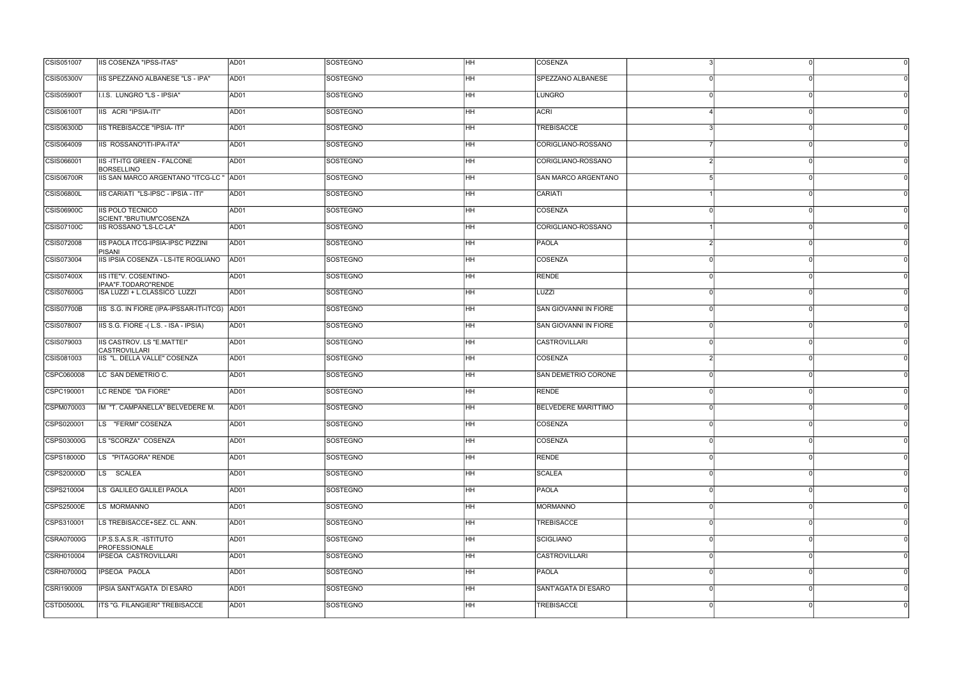| CSIS051007        | <b>IIS COSENZA "IPSS-ITAS"</b>                            | AD01             | <b>SOSTEGNO</b> | HH.       | <b>COSENZA</b>               |          | Οl       |
|-------------------|-----------------------------------------------------------|------------------|-----------------|-----------|------------------------------|----------|----------|
| <b>CSIS05300V</b> | IIS SPEZZANO ALBANESE "LS - IPA"                          | AD01             | <b>SOSTEGNO</b> | HH        | SPEZZANO ALBANESE            |          |          |
| <b>CSIS05900T</b> | I.I.S. LUNGRO "LS - IPSIA"                                | AD01             | <b>SOSTEGNO</b> | HH        | <b>LUNGRO</b>                |          | ſ        |
| <b>CSIS06100T</b> | IIS ACRI "IPSIA-ITI"                                      | AD01             | <b>SOSTEGNO</b> | HH        | <b>ACRI</b>                  |          |          |
| CSIS06300D        | <b>IIS TREBISACCE "IPSIA- ITI"</b>                        | AD01             | SOSTEGNO        | HH        | <b>TREBISACCE</b>            |          | ∩        |
| CSIS064009        | IIS ROSSANO"ITI-IPA-ITA"                                  | AD01             | <b>SOSTEGNO</b> | HH        | CORIGLIANO-ROSSANO           |          |          |
| CSIS066001        | <b>IIS-ITI-ITG GREEN - FALCONE</b><br><b>BORSELLINO</b>   | AD01             | <b>SOSTEGNO</b> | HH        | CORIGLIANO-ROSSANO           |          |          |
| <b>CSIS06700R</b> | IIS SAN MARCO ARGENTANO "ITCG-LC " AD01                   |                  | <b>SOSTEGNO</b> | HH        | SAN MARCO ARGENTANO          |          |          |
| <b>CSIS06800L</b> | IIS CARIATI "LS-IPSC - IPSIA - ITI"                       | AD01             | <b>SOSTEGNO</b> | HH.       | CARIATI                      |          |          |
| <b>CSIS06900C</b> | <b>IS POLO TECNICO</b><br>SCIENT."BRUTIUM"COSENZA         | AD01             | <b>SOSTEGNO</b> | HH        | COSENZA                      |          |          |
| CSIS07100C        | <b>IIS ROSSANO "LS-LC-LA"</b>                             | AD01             | <b>SOSTEGNO</b> | HH        | CORIGLIANO-ROSSANO           |          |          |
| CSIS072008        | <b>IIS PAOLA ITCG-IPSIA-IPSC PIZZINI</b><br><b>PISANI</b> | AD01             | <b>SOSTEGNO</b> | HH        | PAOLA                        |          |          |
| CSIS073004        | IIS IPSIA COSENZA - LS-ITE ROGLIANO                       | AD01             | <b>SOSTEGNO</b> | HH        | COSENZA                      | $\Omega$ | ∩        |
| CSIS07400X        | IIS ITE"V. COSENTINO-<br>IPAA"F.TODARO"RENDE              | AD01             | <b>SOSTEGNO</b> | HH        | <b>RENDE</b>                 |          |          |
| <b>CSIS07600G</b> | ISA LUZZI + L.CLASSICO LUZZI                              | AD01             | <b>SOSTEGNO</b> | HH        | LUZZI                        |          |          |
| <b>CSIS07700B</b> | IS S.G. IN FIORE (IPA-IPSSAR-ITI-ITCG) AD01               |                  | <b>SOSTEGNO</b> | HH        | <b>SAN GIOVANNI IN FIORE</b> |          |          |
| CSIS078007        | IS S.G. FIORE - (L.S. - ISA - IPSIA)                      | AD01             | SOSTEGNO        | HH        | SAN GIOVANNI IN FIORE        |          |          |
| CSIS079003        | <b>IIS CASTROV. LS "E.MATTEI"</b><br><b>CASTROVILLARI</b> | AD01             | <b>SOSTEGNO</b> | HH        | <b>CASTROVILLARI</b>         |          |          |
| CSIS081003        | IIS "L. DELLA VALLE" COSENZA                              | AD01             | SOSTEGNO        | HH        | COSENZA                      |          |          |
| CSPC060008        | LC SAN DEMETRIO C.                                        | AD01             | <b>SOSTEGNO</b> | HH        | <b>SAN DEMETRIO CORONE</b>   |          | ∩        |
| CSPC190001        | LC RENDE "DA FIORE"                                       | AD01             | <b>SOSTEGNO</b> | <b>HH</b> | RENDE                        |          |          |
| CSPM070003        | IM "T. CAMPANELLA" BELVEDERE M.                           | AD01             | <b>SOSTEGNO</b> | HH        | <b>BELVEDERE MARITTIMO</b>   |          |          |
| CSPS020001        | LS "FERMI" COSENZA                                        | AD01             | SOSTEGNO        | HH        | COSENZA                      |          |          |
| CSPS03000G        | LS "SCORZA" COSENZA                                       | AD01             | SOSTEGNO        | HH        | COSENZA                      | $\Omega$ | 0l<br>∩  |
| <b>CSPS18000D</b> | LS "PITAGORA" RENDE                                       | AD01             | <b>SOSTEGNO</b> | HH        | <b>RENDE</b>                 |          |          |
| CSPS20000D        | LS SCALEA                                                 | AD01             | <b>SOSTEGNO</b> | HH.       | <b>SCALEA</b>                |          |          |
| CSPS210004        | LS GALILEO GALILEI PAOLA                                  | AD01             | SOSTEGNO        | HH        | PAOLA                        |          |          |
| CSPS25000E        | LS MORMANNO                                               | AD01             | SOSTEGNO        | HH        | MORMANNO                     | $\Omega$ | $\Omega$ |
| CSPS310001        | LS TREBISACCE+SEZ. CL. ANN.                               | AD01             | SOSTEGNO        | HH        | <b>TREBISACCE</b>            |          |          |
| <b>CSRA07000G</b> | I.P.S.S.A.S.R. - ISTITUTO                                 | AD01             | <b>SOSTEGNO</b> | HH        | SCIGLIANO                    |          | ∩        |
| CSRH010004        | PROFESSIONALE<br>IPSEOA CASTROVILLARI                     | AD <sub>01</sub> | SOSTEGNO        | <b>HH</b> | <b>CASTROVILLARI</b>         |          | $\cap$   |
| CSRH07000Q        | IPSEOA PAOLA                                              | AD01             | <b>SOSTEGNO</b> | HH        | <b>PAOLA</b>                 |          |          |
| CSRI190009        | IPSIA SANT'AGATA DI ESARO                                 | AD01             | SOSTEGNO        | HH        | SANT'AGATA DI ESARO          |          |          |
| <b>CSTD05000L</b> | ITS "G. FILANGIERI" TREBISACCE                            | AD01             | SOSTEGNO        | HH        | <b>TREBISACCE</b>            |          | ∩        |
|                   |                                                           |                  |                 |           |                              |          |          |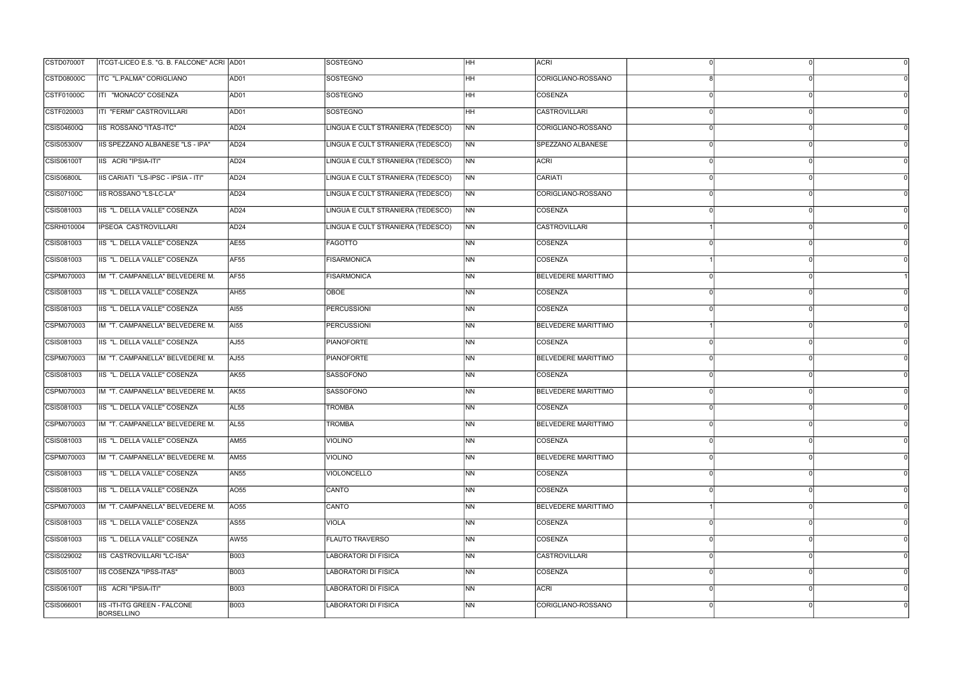| CSTD07000T        | ITCGT-LICEO E.S. "G. B. FALCONE" ACRI AD01       |                  | SOSTEGNO                          | HH             | <b>ACRI</b>                |          |  |
|-------------------|--------------------------------------------------|------------------|-----------------------------------|----------------|----------------------------|----------|--|
| <b>CSTD08000C</b> | ITC "L.PALMA" CORIGLIANO                         | AD01             | <b>SOSTEGNO</b>                   | HH             | CORIGLIANO-ROSSANO         |          |  |
| <b>CSTF01000C</b> | ITI "MONACO" COSENZA                             | AD01             | <b>SOSTEGNO</b>                   | HH.            | COSENZA                    | $\Omega$ |  |
| CSTF020003        | <b>ITI "FERMI" CASTROVILLARI</b>                 | AD01             | <b>SOSTEGNO</b>                   | HH             | <b>CASTROVILLARI</b>       |          |  |
| CSIS04600Q        | <b>IIS ROSSANO "ITAS-ITC"</b>                    | AD <sub>24</sub> | LINGUA E CULT STRANIERA (TEDESCO) | NN             | CORIGLIANO-ROSSANO         |          |  |
| <b>CSIS05300V</b> | <b>IIS SPEZZANO ALBANESE "LS - IPA"</b>          | AD <sub>24</sub> | LINGUA E CULT STRANIERA (TEDESCO) | N <sub>N</sub> | SPEZZANO ALBANESE          |          |  |
| <b>CSIS06100T</b> | IIS ACRI "IPSIA-ITI"                             | AD <sub>24</sub> | LINGUA E CULT STRANIERA (TEDESCO) | N <sub>N</sub> | ACRI                       |          |  |
| <b>CSIS06800L</b> | IIS CARIATI "LS-IPSC - IPSIA - ITI"              | AD <sub>24</sub> | LINGUA E CULT STRANIERA (TEDESCO) | NN             | CARIATI                    |          |  |
| CSIS07100C        | IIS ROSSANO "LS-LC-LA"                           | AD <sub>24</sub> | LINGUA E CULT STRANIERA (TEDESCO) | NN             | CORIGLIANO-ROSSANO         |          |  |
| CSIS081003        | IIS "L. DELLA VALLE" COSENZA                     | AD <sub>24</sub> | LINGUA E CULT STRANIERA (TEDESCO) | N <sub>N</sub> | COSENZA                    |          |  |
| <b>CSRH010004</b> | <b>IPSEOA CASTROVILLARI</b>                      | AD <sub>24</sub> | LINGUA E CULT STRANIERA (TEDESCO) | N <sub>N</sub> | <b>CASTROVILLARI</b>       |          |  |
| CSIS081003        | IIS "L. DELLA VALLE" COSENZA                     | <b>AE55</b>      | <b>FAGOTTO</b>                    | NN             | COSENZA                    |          |  |
| CSIS081003        | IIS "L. DELLA VALLE" COSENZA                     | AF <sub>55</sub> | <b>FISARMONICA</b>                | <b>NN</b>      | COSENZA                    |          |  |
| CSPM070003        | IM "T. CAMPANELLA" BELVEDERE M.                  | AF <sub>55</sub> | <b>FISARMONICA</b>                | NN             | <b>BELVEDERE MARITTIMO</b> |          |  |
| CSIS081003        | IIS "L. DELLA VALLE" COSENZA                     | AH55             | OBOE                              | <b>NN</b>      | COSENZA                    |          |  |
| CSIS081003        | IIS "L. DELLA VALLE" COSENZA                     | <b>AI55</b>      | <b>PERCUSSIONI</b>                | N <sub>N</sub> | COSENZA                    |          |  |
| CSPM070003        | IM "T. CAMPANELLA" BELVEDERE M.                  | <b>AI55</b>      | <b>PERCUSSIONI</b>                | NN             | <b>BELVEDERE MARITTIMO</b> |          |  |
| CSIS081003        | IIS "L. DELLA VALLE" COSENZA                     | AJ55             | <b>PIANOFORTE</b>                 | <b>NN</b>      | COSENZA                    |          |  |
| CSPM070003        | IM "T. CAMPANELLA" BELVEDERE M.                  | AJ55             | <b>PIANOFORTE</b>                 | NN             | <b>BELVEDERE MARITTIMO</b> |          |  |
| CSIS081003        | IIS "L. DELLA VALLE" COSENZA                     | <b>AK55</b>      | <b>SASSOFONO</b>                  | <b>NN</b>      | COSENZA                    | $\Omega$ |  |
| CSPM070003        | IM "T. CAMPANELLA" BELVEDERE M.                  | <b>AK55</b>      | <b>SASSOFONO</b>                  | N <sub>N</sub> | <b>BELVEDERE MARITTIMO</b> |          |  |
| CSIS081003        | IIS "L. DELLA VALLE" COSENZA                     | AL <sub>55</sub> | <b>TROMBA</b>                     | <b>NN</b>      | COSENZA                    |          |  |
| CSPM070003        | IM "T. CAMPANELLA" BELVEDERE M.                  | <b>AL55</b>      | <b>TROMBA</b>                     | <b>NN</b>      | <b>BELVEDERE MARITTIMO</b> |          |  |
| CSIS081003        | IIS "L. DELLA VALLE" COSENZA                     | <b>AM55</b>      | <b>VIOLINO</b>                    | NN             | <b>COSENZA</b>             | $\Omega$ |  |
| CSPM070003        | IM "T. CAMPANELLA" BELVEDERE M.                  | <b>AM55</b>      | <b>VIOLINO</b>                    | <b>NN</b>      | <b>BELVEDERE MARITTIMO</b> |          |  |
| CSIS081003        | IIS "L. DELLA VALLE" COSENZA                     | <b>AN55</b>      | <b>VIOLONCELLO</b>                | <b>NN</b>      | COSENZA                    |          |  |
| CSIS081003        | IIS "L. DELLA VALLE" COSENZA                     | AO55             | CANTO                             | N <sub>N</sub> | COSENZA                    |          |  |
| CSPM070003        | IM "T. CAMPANELLA" BELVEDERE M.                  | AO55             | CANTO                             | <b>NN</b>      | <b>BELVEDERE MARITTIMO</b> |          |  |
| CSIS081003        | IIS "L. DELLA VALLE" COSENZA                     | <b>AS55</b>      | <b>VIOLA</b>                      | NN             | COSENZA                    |          |  |
| CSIS081003        | IIS "L. DELLA VALLE" COSENZA                     | <b>AW55</b>      | <b>FLAUTO TRAVERSO</b>            | ΝN             | <b>COSENZA</b>             |          |  |
| CSIS029002        | IIS CASTROVILLARI "LC-ISA"                       | <b>B003</b>      | <b>LABORATORI DI FISICA</b>       | N <sub>N</sub> | <b>CASTROVILLARI</b>       | $\Omega$ |  |
| CSIS051007        | IIS COSENZA "IPSS-ITAS"                          | <b>B003</b>      | LABORATORI DI FISICA              | N <sub>N</sub> | COSENZA                    |          |  |
| <b>CSIS06100T</b> | IIS ACRI "IPSIA-ITI"                             | <b>B003</b>      | LABORATORI DI FISICA              | <b>NN</b>      | ACRI                       |          |  |
| CSIS066001        | <b>IIS-ITI-ITG GREEN - FALCONE</b><br>BORSELLINO | <b>B003</b>      | LABORATORI DI FISICA              | N <sub>N</sub> | CORIGLIANO-ROSSANO         |          |  |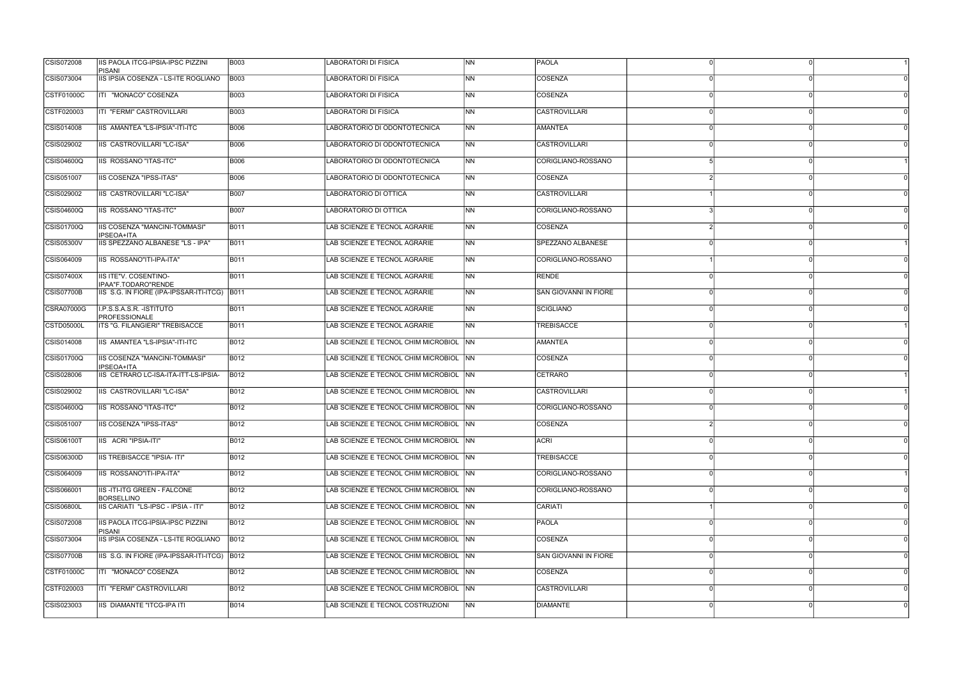| CSIS072008        | <b>IIS PAOLA ITCG-IPSIA-IPSC PIZZINI</b><br>PISANI      | <b>B003</b> | <b>LABORATORI DI FISICA</b>            | <b>INN</b>     | <b>PAOLA</b>                 |  |
|-------------------|---------------------------------------------------------|-------------|----------------------------------------|----------------|------------------------------|--|
| CSIS073004        | IIS IPSIA COSENZA - LS-ITE ROGLIANO                     | <b>B003</b> | LABORATORI DI FISICA                   | <b>INN</b>     | COSENZA                      |  |
| CSTF01000C        | ITI "MONACO" COSENZA                                    | <b>B003</b> | <b>LABORATORI DI FISICA</b>            | <b>NN</b>      | COSENZA                      |  |
| CSTF020003        | ITI "FERMI" CASTROVILLARI                               | <b>B003</b> | <b>LABORATORI DI FISICA</b>            | <b>NN</b>      | <b>CASTROVILLARI</b>         |  |
| CSIS014008        | IIS AMANTEA "LS-IPSIA"-ITI-ITC                          | <b>B006</b> | LABORATORIO DI ODONTOTECNICA           | <b>NN</b>      | AMANTEA                      |  |
| CSIS029002        | IIS CASTROVILLARI "LC-ISA"                              | <b>B006</b> | LABORATORIO DI ODONTOTECNICA           | N <sub>N</sub> | <b>CASTROVILLARI</b>         |  |
| CSIS04600Q        | <b>IIS ROSSANO "ITAS-ITC"</b>                           | <b>B006</b> | LABORATORIO DI ODONTOTECNICA           | <b>INN</b>     | CORIGLIANO-ROSSANO           |  |
| CSIS051007        | <b>IIS COSENZA "IPSS-ITAS"</b>                          | <b>B006</b> | LABORATORIO DI ODONTOTECNICA           | INN.           | COSENZA                      |  |
| CSIS029002        | IIS CASTROVILLARI "LC-ISA"                              | <b>B007</b> | LABORATORIO DI OTTICA                  | <b>INN</b>     | <b>CASTROVILLARI</b>         |  |
| CSIS04600Q        | IIS ROSSANO "ITAS-ITC"                                  | <b>B007</b> | LABORATORIO DI OTTICA                  | INN.           | CORIGLIANO-ROSSANO           |  |
| CSIS01700Q        | IIS COSENZA "MANCINI-TOMMASI"<br><b>IPSEOA+ITA</b>      | <b>B011</b> | LAB SCIENZE E TECNOL AGRARIE           | <b>NN</b>      | COSENZA                      |  |
| CSIS05300V        | IIS SPEZZANO ALBANESE "LS - IPA"                        | <b>B011</b> | LAB SCIENZE E TECNOL AGRARIE           | N <sub>N</sub> | SPEZZANO ALBANESE            |  |
| CSIS064009        | <b>IIS ROSSANO"ITI-IPA-ITA"</b>                         | <b>B011</b> | LAB SCIENZE E TECNOL AGRARIE           | <b>NN</b>      | CORIGLIANO-ROSSANO           |  |
| <b>CSIS07400X</b> | IIS ITE"V. COSENTINO-<br>IPAA"F.TODARO"RENDE            | <b>B011</b> | LAB SCIENZE E TECNOL AGRARIE           | <b>INN</b>     | RENDE                        |  |
| CSIS07700B        | IIS S.G. IN FIORE (IPA-IPSSAR-ITI-ITCG) B011            |             | LAB SCIENZE E TECNOL AGRARIE           | <b>NN</b>      | <b>SAN GIOVANNI IN FIORE</b> |  |
| <b>CSRA07000G</b> | I.P.S.S.A.S.R. - ISTITUTO<br><b>PROFESSIONALE</b>       | <b>B011</b> | LAB SCIENZE E TECNOL AGRARIE           | N <sub>N</sub> | SCIGLIANO                    |  |
| CSTD05000L        | ITS "G. FILANGIERI" TREBISACCE                          | <b>B011</b> | LAB SCIENZE E TECNOL AGRARIE           | <b>INN</b>     | TREBISACCE                   |  |
| CSIS014008        | IIS AMANTEA "LS-IPSIA"-ITI-ITC                          | <b>B012</b> | LAB SCIENZE E TECNOL CHIM MICROBIOL NN |                | <b>AMANTEA</b>               |  |
| CSIS01700Q        | IIS COSENZA "MANCINI-TOMMASI"<br><b>IPSEOA+ITA</b>      | B012        | LAB SCIENZE E TECNOL CHIM MICROBIOL NN |                | COSENZA                      |  |
| CSIS028006        | IIS CETRARO LC-ISA-ITA-ITT-LS-IPSIA-                    | <b>B012</b> | LAB SCIENZE E TECNOL CHIM MICROBIOL NN |                | CETRARO                      |  |
| CSIS029002        | IIS CASTROVILLARI "LC-ISA"                              | B012        | LAB SCIENZE E TECNOL CHIM MICROBIOL NN |                | <b>CASTROVILLARI</b>         |  |
| CSIS04600Q        | IIS ROSSANO "ITAS-ITC"                                  | B012        | LAB SCIENZE E TECNOL CHIM MICROBIOL NN |                | CORIGLIANO-ROSSANO           |  |
| CSIS051007        | <b>IIS COSENZA "IPSS-ITAS"</b>                          | B012        | LAB SCIENZE E TECNOL CHIM MICROBIOL NN |                | COSENZA                      |  |
| CSIS06100T        | IIS ACRI "IPSIA-ITI"                                    | <b>B012</b> | LAB SCIENZE E TECNOL CHIM MICROBIOL NN |                | <b>ACRI</b>                  |  |
| CSIS06300D        | <b>IIS TREBISACCE "IPSIA- ITI"</b>                      | B012        | LAB SCIENZE E TECNOL CHIM MICROBIOL NN |                | <b>TREBISACCE</b>            |  |
| CSIS064009        | IIS ROSSANO"ITI-IPA-ITA"                                | B012        | LAB SCIENZE E TECNOL CHIM MICROBIOL NN |                | CORIGLIANO-ROSSANO           |  |
| CSIS066001        | <b>IIS-ITI-ITG GREEN - FALCONE</b><br><b>BORSELLINO</b> | B012        | LAB SCIENZE E TECNOL CHIM MICROBIOL NN |                | CORIGLIANO-ROSSANO           |  |
| <b>CSIS06800L</b> | IIS CARIATI "LS-IPSC - IPSIA - ITI"                     | <b>B012</b> | LAB SCIENZE E TECNOL CHIM MICROBIOL NN |                | CARIATI                      |  |
| CSIS072008        | IIS PAOLA ITCG-IPSIA-IPSC PIZZINI<br>PISANI             | <b>B012</b> | LAB SCIENZE E TECNOL CHIM MICROBIOL NN |                | PAOLA                        |  |
| CSIS073004        | IIS IPSIA COSENZA - LS-ITE ROGLIANO                     | B012        | LAB SCIENZE E TECNOL CHIM MICROBIOL NN |                | COSENZA                      |  |
| <b>CSIS07700B</b> | IIS S.G. IN FIORE (IPA-IPSSAR-ITI-ITCG) B012            |             | LAB SCIENZE E TECNOL CHIM MICROBIOL NN |                | SAN GIOVANNI IN FIORE        |  |
| CSTF01000C        | ITI "MONACO" COSENZA                                    | <b>B012</b> | LAB SCIENZE E TECNOL CHIM MICROBIOL NN |                | COSENZA                      |  |
| CSTF020003        | ITI "FERMI" CASTROVILLARI                               | <b>B012</b> | LAB SCIENZE E TECNOL CHIM MICROBIOL NN |                | <b>CASTROVILLARI</b>         |  |
| CSIS023003        | <b>IIS DIAMANTE "ITCG-IPA ITI</b>                       | <b>B014</b> | LAB SCIENZE E TECNOL COSTRUZIONI       | <b>NN</b>      | DIAMANTE                     |  |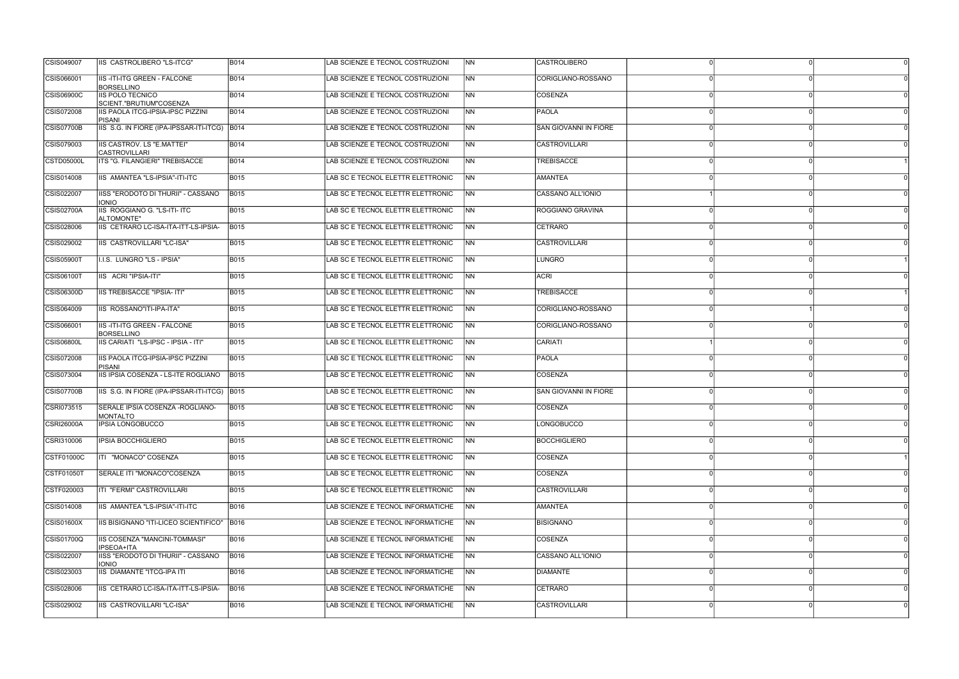| CSIS049007        | <b>IIS CASTROLIBERO "LS-ITCG"</b>                         | <b>B014</b> | LAB SCIENZE E TECNOL COSTRUZIONI  | <b>INN</b>     | <b>CASTROLIBERO</b>          |  |
|-------------------|-----------------------------------------------------------|-------------|-----------------------------------|----------------|------------------------------|--|
| CSIS066001        | <b>IIS-ITI-ITG GREEN - FALCONE</b><br><b>BORSELLINO</b>   | <b>B014</b> | LAB SCIENZE E TECNOL COSTRUZIONI  | <b>INN</b>     | CORIGLIANO-ROSSANO           |  |
| <b>CSIS06900C</b> | <b>IIS POLO TECNICO</b><br>SCIENT."BRUTIUM"COSENZA        | <b>B014</b> | LAB SCIENZE E TECNOL COSTRUZIONI  | <b>NN</b>      | COSENZA                      |  |
| CSIS072008        | IIS PAOLA ITCG-IPSIA-IPSC PIZZINI<br>PISANI               | <b>B014</b> | LAB SCIENZE E TECNOL COSTRUZIONI  | <b>INN</b>     | PAOLA                        |  |
| <b>CSIS07700B</b> | IIS S.G. IN FIORE (IPA-IPSSAR-ITI-ITCG) B014              |             | LAB SCIENZE E TECNOL COSTRUZIONI  | <b>NN</b>      | <b>SAN GIOVANNI IN FIORE</b> |  |
| CSIS079003        | <b>IIS CASTROV. LS "E.MATTEI"</b><br><b>CASTROVILLARI</b> | <b>B014</b> | LAB SCIENZE E TECNOL COSTRUZIONI  | <b>NN</b>      | <b>CASTROVILLARI</b>         |  |
| CSTD05000L        | ITS "G. FILANGIERI" TREBISACCE                            | <b>B014</b> | LAB SCIENZE E TECNOL COSTRUZIONI  | INN.           | TREBISACCE                   |  |
| CSIS014008        | IIS AMANTEA "LS-IPSIA"-ITI-ITC                            | <b>B015</b> | LAB SC E TECNOL ELETTR ELETTRONIC | INN.           | AMANTEA                      |  |
| CSIS022007        | IISS "ERODOTO DI THURII" - CASSANO<br><b>IONIO</b>        | <b>B015</b> | LAB SC E TECNOL ELETTR ELETTRONIC | N <sub>N</sub> | CASSANO ALL'IONIO            |  |
| CSIS02700A        | IIS ROGGIANO G. "LS-ITI- ITC<br>ALTOMONTE"                | <b>B015</b> | LAB SC E TECNOL ELETTR ELETTRONIC | NN             | ROGGIANO GRAVINA             |  |
| CSIS028006        | IIS CETRARO LC-ISA-ITA-ITT-LS-IPSIA-                      | <b>B015</b> | LAB SC E TECNOL ELETTR ELETTRONIC | <b>NN</b>      | CETRARO                      |  |
| CSIS029002        | IIS CASTROVILLARI "LC-ISA"                                | <b>B015</b> | LAB SC E TECNOL ELETTR ELETTRONIC | <b>NN</b>      | CASTROVILLARI                |  |
| <b>CSIS05900T</b> | I.I.S. LUNGRO "LS - IPSIA"                                | <b>B015</b> | LAB SC E TECNOL ELETTR ELETTRONIC | INN            | LUNGRO                       |  |
| CSIS06100T        | IIS ACRI "IPSIA-ITI"                                      | <b>B015</b> | LAB SC E TECNOL ELETTR ELETTRONIC | <b>INN</b>     | <b>ACRI</b>                  |  |
| CSIS06300D        | IIS TREBISACCE "IPSIA- ITI"                               | <b>B015</b> | LAB SC E TECNOL ELETTR ELETTRONIC | <b>NN</b>      | <b>TREBISACCE</b>            |  |
| CSIS064009        | IIS ROSSANO"ITI-IPA-ITA"                                  | <b>B015</b> | LAB SC E TECNOL ELETTR ELETTRONIC | N <sub>N</sub> | CORIGLIANO-ROSSANO           |  |
| CSIS066001        | IIS-ITI-ITG GREEN - FALCONE<br><b>BORSELLINO</b>          | <b>B015</b> | LAB SC E TECNOL ELETTR ELETTRONIC | <b>INN</b>     | CORIGLIANO-ROSSANO           |  |
| <b>CSIS06800L</b> | IIS CARIATI "LS-IPSC - IPSIA - ITI"                       | <b>B015</b> | LAB SC E TECNOL ELETTR ELETTRONIC | INN.           | CARIATI                      |  |
| CSIS072008        | <b>IIS PAOLA ITCG-IPSIA-IPSC PIZZINI</b><br>PISANI        | <b>B015</b> | LAB SC E TECNOL ELETTR ELETTRONIC | <b>NN</b>      | <b>PAOLA</b>                 |  |
| CSIS073004        | IIS IPSIA COSENZA - LS-ITE ROGLIANO                       | <b>B015</b> | LAB SC E TECNOL ELETTR ELETTRONIC | NN             | <b>COSENZA</b>               |  |
| <b>CSIS07700B</b> | IIS S.G. IN FIORE (IPA-IPSSAR-ITI-ITCG) B015              |             | LAB SC E TECNOL ELETTR ELETTRONIC | <b>INN</b>     | ISAN GIOVANNI IN FIORE       |  |
| CSRI073515        | SERALE IPSIA COSENZA - ROGLIANO-<br><b>MONTALTO</b>       | <b>B015</b> | LAB SC E TECNOL ELETTR ELETTRONIC | <b>INN</b>     | <b>COSENZA</b>               |  |
| <b>CSRI26000A</b> | <b>IPSIA LONGOBUCCO</b>                                   | <b>B015</b> | LAB SC E TECNOL ELETTR ELETTRONIC | INN.           | LONGOBUCCO                   |  |
| CSRI310006        | <b>IPSIA BOCCHIGLIERO</b>                                 | <b>B015</b> | LAB SC E TECNOL ELETTR ELETTRONIC | <b>NN</b>      | <b>BOCCHIGLIERO</b>          |  |
| CSTF01000C        | ITI "MONACO" COSENZA                                      | <b>B015</b> | LAB SC E TECNOL ELETTR ELETTRONIC | INN.           | <b>COSENZA</b>               |  |
| <b>CSTF01050T</b> | SERALE ITI "MONACO"COSENZA                                | <b>B015</b> | LAB SC E TECNOL ELETTR ELETTRONIC | <b>INN</b>     | COSENZA                      |  |
| CSTF020003        | ITI "FERMI" CASTROVILLARI                                 | <b>B015</b> | LAB SC E TECNOL ELETTR ELETTRONIC | <b>NN</b>      | CASTROVILLARI                |  |
| CSIS014008        | IIS AMANTEA "LS-IPSIA"-ITI-ITC                            | <b>B016</b> | LAB SCIENZE E TECNOL INFORMATICHE | INN            | AMANTEA                      |  |
| CSIS01600X        | IIS BISIGNANO "ITI-LICEO SCIENTIFICO"   B016              |             | LAB SCIENZE E TECNOL INFORMATICHE | <b>NN</b>      | <b>BISIGNANO</b>             |  |
| <b>CSIS01700Q</b> | IIS COSENZA "MANCINI-TOMMASI"<br>IPSEOA+ITA               | <b>B016</b> | LAB SCIENZE E TECNOL INFORMATICHE | NN             | <b>COSENZA</b>               |  |
| CSIS022007        | IISS "ERODOTO DI THURII" - CASSANO<br><b>IONIO</b>        | <b>B016</b> | LAB SCIENZE E TECNOL INFORMATICHE | <b>NN</b>      | CASSANO ALL'IONIO            |  |
| CSIS023003        | <b>IIS DIAMANTE "ITCG-IPA ITI</b>                         | <b>B016</b> | LAB SCIENZE E TECNOL INFORMATICHE | <b>INN</b>     | <b>DIAMANTE</b>              |  |
| CSIS028006        | IIS CETRARO LC-ISA-ITA-ITT-LS-IPSIA-                      | <b>B016</b> | LAB SCIENZE E TECNOL INFORMATICHE | <b>INN</b>     | CETRARO                      |  |
| CSIS029002        | IIS CASTROVILLARI "LC-ISA"                                | <b>B016</b> | LAB SCIENZE E TECNOL INFORMATICHE | <b>NN</b>      | <b>CASTROVILLARI</b>         |  |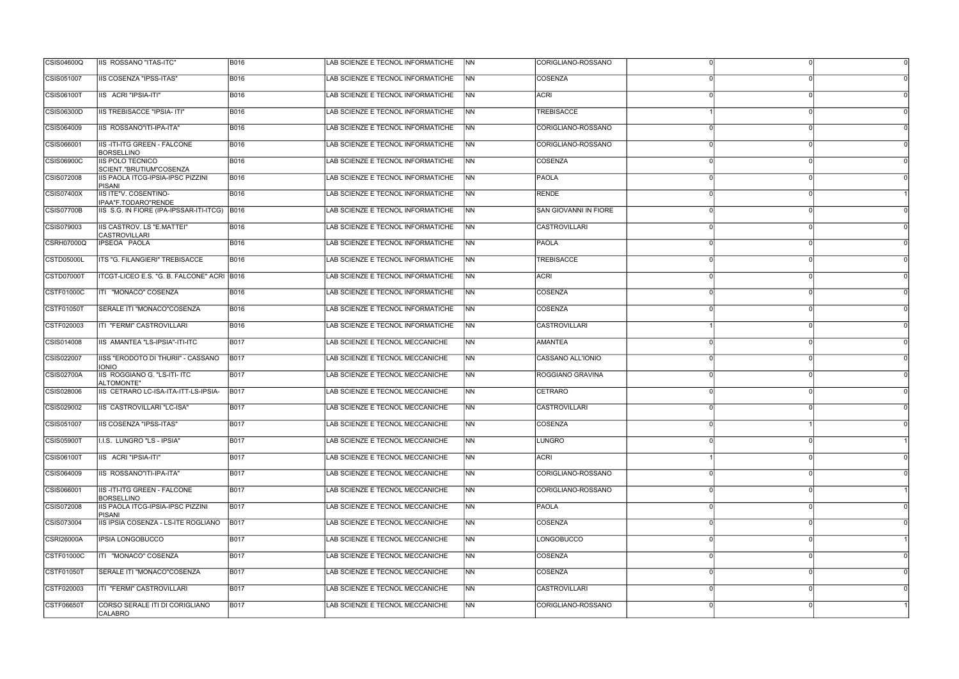| <b>CSIS04600Q</b> | IIS ROSSANO "ITAS-ITC"                                  | <b>B016</b> | LAB SCIENZE E TECNOL INFORMATICHE | <b>INN</b>     | CORIGLIANO-ROSSANO    |  |
|-------------------|---------------------------------------------------------|-------------|-----------------------------------|----------------|-----------------------|--|
| CSIS051007        | IIS COSENZA "IPSS-ITAS"                                 | <b>B016</b> | LAB SCIENZE E TECNOL INFORMATICHE | <b>NN</b>      | COSENZA               |  |
| CSIS06100T        | IIS ACRI "IPSIA-ITI"                                    | <b>B016</b> | LAB SCIENZE E TECNOL INFORMATICHE | INN            | <b>ACRI</b>           |  |
| <b>CSIS06300D</b> | <b>IIS TREBISACCE "IPSIA- ITI"</b>                      | <b>B016</b> | LAB SCIENZE E TECNOL INFORMATICHE | <b>INN</b>     | <b>TREBISACCE</b>     |  |
| CSIS064009        | IIS ROSSANO"ITI-IPA-ITA"                                | <b>B016</b> | LAB SCIENZE E TECNOL INFORMATICHE | <b>NN</b>      | CORIGLIANO-ROSSANO    |  |
| CSIS066001        | <b>IIS-ITI-ITG GREEN - FALCONE</b><br><b>BORSELLINO</b> | <b>B016</b> | LAB SCIENZE E TECNOL INFORMATICHE | INN            | CORIGLIANO-ROSSANO    |  |
| <b>CSIS06900C</b> | IIS POLO TECNICO<br>SCIENT."BRUTIUM"COSENZA             | <b>B016</b> | LAB SCIENZE E TECNOL INFORMATICHE | INN            | COSENZA               |  |
| CSIS072008        | IIS PAOLA ITCG-IPSIA-IPSC PIZZINI<br><b>PISANI</b>      | <b>B016</b> | LAB SCIENZE E TECNOL INFORMATICHE | INN            | <b>PAOLA</b>          |  |
| CSIS07400X        | IIS ITE"V. COSENTINO-<br>IPAA"F.TODARO"RENDE            | <b>B016</b> | LAB SCIENZE E TECNOL INFORMATICHE | <b>INN</b>     | <b>RENDE</b>          |  |
| CSIS07700B        | IIS S.G. IN FIORE (IPA-IPSSAR-ITI-ITCG) B016            |             | LAB SCIENZE E TECNOL INFORMATICHE | <b>NN</b>      | SAN GIOVANNI IN FIORE |  |
| CSIS079003        | IIS CASTROV. LS "E.MATTEI"<br><b>CASTROVILLARI</b>      | <b>B016</b> | LAB SCIENZE E TECNOL INFORMATICHE | <b>NN</b>      | <b>CASTROVILLARI</b>  |  |
| CSRH07000Q        | IPSEOA PAOLA                                            | <b>B016</b> | LAB SCIENZE E TECNOL INFORMATICHE | <b>NN</b>      | <b>PAOLA</b>          |  |
| <b>CSTD05000L</b> | ITS "G. FILANGIERI" TREBISACCE                          | <b>B016</b> | LAB SCIENZE E TECNOL INFORMATICHE | INN            | <b>TREBISACCE</b>     |  |
| CSTD07000T        | ITCGT-LICEO E.S. "G. B. FALCONE" ACRI B016              |             | LAB SCIENZE E TECNOL INFORMATICHE | <b>INN</b>     | <b>ACRI</b>           |  |
| CSTF01000C        | ITI "MONACO" COSENZA                                    | <b>B016</b> | LAB SCIENZE E TECNOL INFORMATICHE | <b>NN</b>      | COSENZA               |  |
| <b>CSTF01050T</b> | SERALE ITI "MONACO"COSENZA                              | <b>B016</b> | LAB SCIENZE E TECNOL INFORMATICHE | <b>NN</b>      | <b>COSENZA</b>        |  |
| CSTF020003        | ITI "FERMI" CASTROVILLARI                               | <b>B016</b> | LAB SCIENZE E TECNOL INFORMATICHE | INN            | <b>CASTROVILLARI</b>  |  |
| CSIS014008        | IIS AMANTEA "LS-IPSIA"-ITI-ITC                          | <b>B017</b> | LAB SCIENZE E TECNOL MECCANICHE   | INN.           | <b>AMANTEA</b>        |  |
| CSIS022007        | IISS "ERODOTO DI THURII" - CASSANO<br><b>IONIO</b>      | <b>B017</b> | LAB SCIENZE E TECNOL MECCANICHE   | INN.           | CASSANO ALL'IONIO     |  |
| <b>CSIS02700A</b> | IIS ROGGIANO G. "LS-ITI- ITC<br>ALTOMONTE"              | <b>B017</b> | LAB SCIENZE E TECNOL MECCANICHE   | <b>NN</b>      | ROGGIANO GRAVINA      |  |
| CSIS028006        | IIS CETRARO LC-ISA-ITA-ITT-LS-IPSIA-                    | <b>B017</b> | LAB SCIENZE E TECNOL MECCANICHE   | INN.           | CETRARO               |  |
| CSIS029002        | IIS CASTROVILLARI "LC-ISA"                              | <b>B017</b> | LAB SCIENZE E TECNOL MECCANICHE   | INN.           | <b>CASTROVILLARI</b>  |  |
| CSIS051007        | <b>IIS COSENZA "IPSS-ITAS"</b>                          | <b>B017</b> | LAB SCIENZE E TECNOL MECCANICHE   | INN.           | COSENZA               |  |
| CSIS05900T        | I.I.S. LUNGRO "LS - IPSIA"                              | <b>B017</b> | LAB SCIENZE E TECNOL MECCANICHE   | <b>INN</b>     | <b>LUNGRO</b>         |  |
| CSIS06100T        | IIS ACRI "IPSIA-ITI"                                    | <b>B017</b> | LAB SCIENZE E TECNOL MECCANICHE   | <b>NN</b>      | <b>ACRI</b>           |  |
| CSIS064009        | IIS ROSSANO"ITI-IPA-ITA"                                | <b>B017</b> | LAB SCIENZE E TECNOL MECCANICHE   | N <sub>N</sub> | CORIGLIANO-ROSSANO    |  |
| CSIS066001        | <b>IIS-ITI-ITG GREEN - FALCONE</b><br><b>BORSELLINO</b> | <b>B017</b> | LAB SCIENZE E TECNOL MECCANICHE   | N <sub>N</sub> | CORIGLIANO-ROSSANO    |  |
| CSIS072008        | IIS PAOLA ITCG-IPSIA-IPSC PIZZINI<br>PISANI             | <b>B017</b> | LAB SCIENZE E TECNOL MECCANICHE   | INN .          | <b>PAOLA</b>          |  |
| CSIS073004        | IIS IPSIA COSENZA - LS-ITE ROGLIANO                     | <b>B017</b> | LAB SCIENZE E TECNOL MECCANICHE   | <b>NN</b>      | COSENZA               |  |
| <b>CSRI26000A</b> | IPSIA LONGOBUCCO                                        | <b>B017</b> | LAB SCIENZE E TECNOL MECCANICHE   | <b>NN</b>      | LONGOBUCCO            |  |
| CSTF01000C        | ITI "MONACO" COSENZA                                    | <b>B017</b> | LAB SCIENZE E TECNOL MECCANICHE   | <b>NN</b>      | <b>COSENZA</b>        |  |
| CSTF01050T        | SERALE ITI "MONACO"COSENZA                              | <b>B017</b> | LAB SCIENZE E TECNOL MECCANICHE   | N <sub>N</sub> | COSENZA               |  |
| CSTF020003        | ITI "FERMI" CASTROVILLARI                               | <b>B017</b> | LAB SCIENZE E TECNOL MECCANICHE   | INN.           | <b>CASTROVILLARI</b>  |  |
| CSTF06650T        | CORSO SERALE ITI DI CORIGLIANO<br>CALABRO               | <b>B017</b> | LAB SCIENZE E TECNOL MECCANICHE   | <b>NN</b>      | CORIGLIANO-ROSSANO    |  |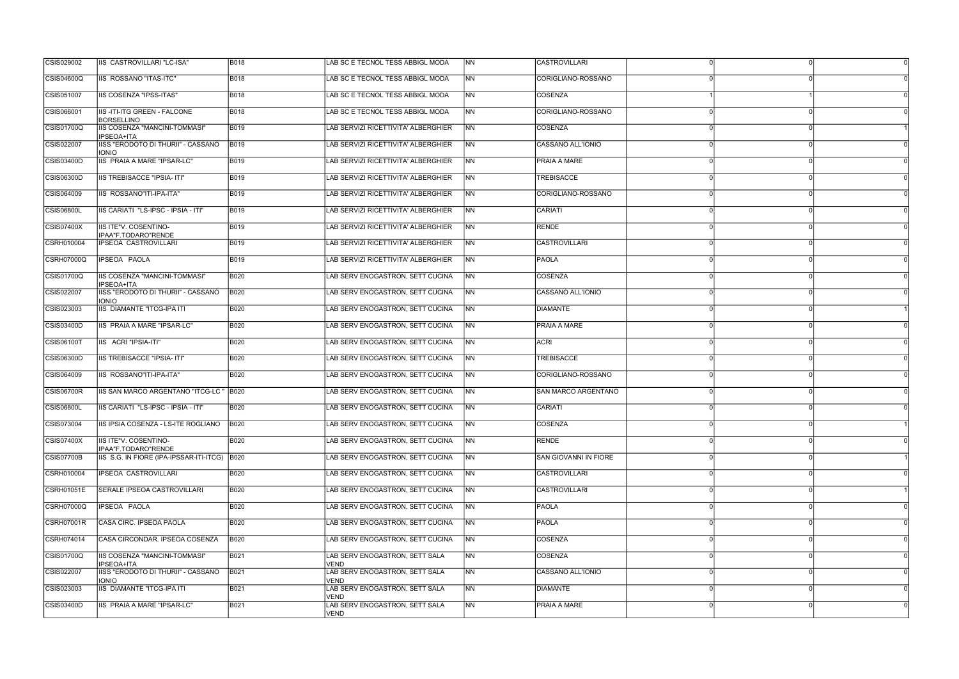| CSIS029002        | IIS CASTROVILLARI "LC-ISA"                              | <b>B018</b> | LAB SC E TECNOL TESS ABBIGL MODA              | <b>INN</b>     | <b>CASTROVILLARI</b>  |  |
|-------------------|---------------------------------------------------------|-------------|-----------------------------------------------|----------------|-----------------------|--|
| <b>CSIS04600Q</b> | IIS ROSSANO "ITAS-ITC"                                  | <b>B018</b> | LAB SC E TECNOL TESS ABBIGL MODA              | INN.           | CORIGLIANO-ROSSANO    |  |
| CSIS051007        | IIS COSENZA "IPSS-ITAS"                                 | <b>B018</b> | LAB SC E TECNOL TESS ABBIGL MODA              | INN            | COSENZA               |  |
| CSIS066001        | <b>IIS-ITI-ITG GREEN - FALCONE</b><br><b>BORSELLINO</b> | <b>B018</b> | LAB SC E TECNOL TESS ABBIGL MODA              | <b>INN</b>     | CORIGLIANO-ROSSANO    |  |
| CSIS01700Q        | IIS COSENZA "MANCINI-TOMMASI"<br>IPSEOA+ITA             | <b>B019</b> | LAB SERVIZI RICETTIVITA' ALBERGHIER           | <b>NN</b>      | COSENZA               |  |
| CSIS022007        | IISS "ERODOTO DI THURII" - CASSANO<br><b>IONIO</b>      | <b>B019</b> | LAB SERVIZI RICETTIVITA' ALBERGHIER           | <b>NN</b>      | CASSANO ALL'IONIO     |  |
| <b>CSIS03400D</b> | IIS PRAIA A MARE "IPSAR-LC"                             | <b>B019</b> | LAB SERVIZI RICETTIVITA' ALBERGHIER           | INN.           | PRAIA A MARE          |  |
| <b>CSIS06300D</b> | <b>IIS TREBISACCE "IPSIA- ITI"</b>                      | <b>B019</b> | LAB SERVIZI RICETTIVITA' ALBERGHIER           | INN            | <b>TREBISACCE</b>     |  |
| CSIS064009        | IIS ROSSANO"ITI-IPA-ITA"                                | <b>B019</b> | LAB SERVIZI RICETTIVITA' ALBERGHIER           | <b>INN</b>     | CORIGLIANO-ROSSANO    |  |
| <b>CSIS06800L</b> | IIS CARIATI "LS-IPSC - IPSIA - ITI"                     | <b>B019</b> | LAB SERVIZI RICETTIVITA' ALBERGHIER           | <b>NN</b>      | CARIATI               |  |
| <b>CSIS07400X</b> | <b>IIS ITE"V. COSENTINO-</b><br>IPAA"F.TODARO"RENDE     | <b>B019</b> | LAB SERVIZI RICETTIVITA' ALBERGHIER           | <b>NN</b>      | <b>RENDE</b>          |  |
| CSRH010004        | IPSEOA CASTROVILLARI                                    | <b>B019</b> | LAB SERVIZI RICETTIVITA' ALBERGHIER           | INN.           | <b>CASTROVILLARI</b>  |  |
| <b>CSRH07000Q</b> | IPSEOA PAOLA                                            | <b>B019</b> | LAB SERVIZI RICETTIVITA' ALBERGHIER           | INN            | <b>PAOLA</b>          |  |
| <b>CSIS01700Q</b> | IIS COSENZA "MANCINI-TOMMASI"<br><b>IPSEOA+ITA</b>      | <b>B020</b> | LAB SERV ENOGASTRON, SETT CUCINA              | <b>INN</b>     | COSENZA               |  |
| CSIS022007        | IISS "ERODOTO DI THURII" - CASSANO<br><b>IONIO</b>      | <b>B020</b> | LAB SERV ENOGASTRON, SETT CUCINA              | <b>NN</b>      | CASSANO ALL'IONIO     |  |
| CSIS023003        | <b>IIS DIAMANTE "ITCG-IPA ITI</b>                       | <b>B020</b> | LAB SERV ENOGASTRON, SETT CUCINA              | <b>INN</b>     | <b>DIAMANTE</b>       |  |
| CSIS03400D        | IIS PRAIA A MARE "IPSAR-LC"                             | <b>B020</b> | LAB SERV ENOGASTRON, SETT CUCINA              | <b>INN</b>     | PRAIA A MARE          |  |
| <b>CSIS06100T</b> | IIS ACRI "IPSIA-ITI"                                    | <b>B020</b> | LAB SERV ENOGASTRON, SETT CUCINA              | INN            | <b>ACRI</b>           |  |
| CSIS06300D        | IIS TREBISACCE "IPSIA- ITI"                             | <b>B020</b> | LAB SERV ENOGASTRON, SETT CUCINA              | <b>INN</b>     | <b>TREBISACCE</b>     |  |
| CSIS064009        | IIS ROSSANO"ITI-IPA-ITA"                                | <b>B020</b> | LAB SERV ENOGASTRON, SETT CUCINA              | <b>NN</b>      | CORIGLIANO-ROSSANO    |  |
| <b>CSIS06700R</b> | IIS SAN MARCO ARGENTANO "ITCG-LC " B020                 |             | LAB SERV ENOGASTRON, SETT CUCINA              | INN.           | ISAN MARCO ARGENTANO  |  |
| <b>CSIS06800L</b> | IIS CARIATI "LS-IPSC - IPSIA - ITI"                     | <b>B020</b> | LAB SERV ENOGASTRON, SETT CUCINA              | INN            | <b>CARIATI</b>        |  |
| CSIS073004        | IIS IPSIA COSENZA - LS-ITE ROGLIANO                     | <b>B020</b> | LAB SERV ENOGASTRON, SETT CUCINA              | INN.           | COSENZA               |  |
| CSIS07400X        | IIS ITE"V. COSENTINO-<br>IPAA"F.TODARO"RENDE            | <b>B020</b> | LAB SERV ENOGASTRON, SETT CUCINA              | N <sub>N</sub> | RENDE                 |  |
| <b>CSIS07700B</b> | IIS S.G. IN FIORE (IPA-IPSSAR-ITI-ITCG) B020            |             | LAB SERV ENOGASTRON, SETT CUCINA              | <b>NN</b>      | SAN GIOVANNI IN FIORE |  |
| CSRH010004        | <b>IPSEOA CASTROVILLARI</b>                             | <b>B020</b> | LAB SERV ENOGASTRON, SETT CUCINA              | N <sub>N</sub> | <b>CASTROVILLARI</b>  |  |
| CSRH01051E        | <b>SERALE IPSEOA CASTROVILLARI</b>                      | <b>B020</b> | LAB SERV ENOGASTRON, SETT CUCINA              | <b>NN</b>      | <b>CASTROVILLARI</b>  |  |
| CSRH07000Q        | IPSEOA PAOLA                                            | <b>B020</b> | LAB SERV ENOGASTRON, SETT CUCINA              | <b>NN</b>      | <b>PAOLA</b>          |  |
| <b>CSRH07001R</b> | CASA CIRC. IPSEOA PAOLA                                 | <b>B020</b> | LAB SERV ENOGASTRON, SETT CUCINA              | <b>NN</b>      | PAOLA                 |  |
| CSRH074014        | CASA CIRCONDAR. IPSEOA COSENZA                          | <b>B020</b> | LAB SERV ENOGASTRON, SETT CUCINA              | <b>NN</b>      | <b>COSENZA</b>        |  |
| CSIS01700Q        | IIS COSENZA "MANCINI-TOMMASI"<br>IPSEOA+ITA             | <b>B021</b> | LAB SERV ENOGASTRON, SETT SALA<br><b>VEND</b> | N <sub>N</sub> | <b>COSENZA</b>        |  |
| CSIS022007        | IISS "ERODOTO DI THURII" - CASSANO<br><b>IONIO</b>      | <b>B021</b> | LAB SERV ENOGASTRON, SETT SALA<br><b>VEND</b> | N <sub>N</sub> | CASSANO ALL'IONIO     |  |
| CSIS023003        | IIS DIAMANTE "ITCG-IPA ITI                              | B021        | LAB SERV ENOGASTRON, SETT SALA<br><b>VEND</b> | <b>INN</b>     | DIAMANTE              |  |
| <b>CSIS03400D</b> | IIS PRAIA A MARE "IPSAR-LC"                             | <b>B021</b> | LAB SERV ENOGASTRON, SETT SALA<br>VEND        | N <sub>N</sub> | <b>PRAIA A MARE</b>   |  |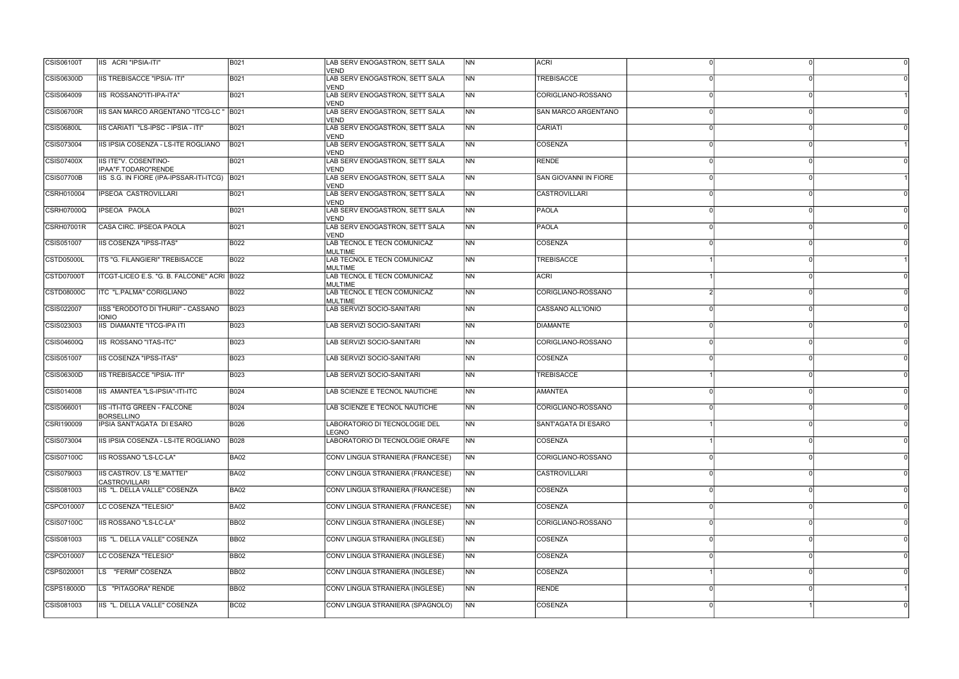| <b>CSIS06100T</b> | IIS ACRI "IPSIA-ITI"                               | <b>B021</b>      | LAB SERV ENOGASTRON, SETT SALA<br><b>VEND</b>  | <b>INN</b>               | <b>ACRI</b>                |          |  |
|-------------------|----------------------------------------------------|------------------|------------------------------------------------|--------------------------|----------------------------|----------|--|
| CSIS06300D        | IIS TREBISACCE "IPSIA- ITI"                        | <b>B021</b>      | LAB SERV ENOGASTRON, SETT SALA<br><b>VEND</b>  | INN.                     | <b>TREBISACCE</b>          |          |  |
| CSIS064009        | IIS ROSSANO"ITI-IPA-ITA"                           | B021             | LAB SERV ENOGASTRON, SETT SALA<br><b>VEND</b>  | INN.                     | CORIGLIANO-ROSSANO         |          |  |
| <b>CSIS06700R</b> | IIS SAN MARCO ARGENTANO "ITCG-LC " B021            |                  | LAB SERV ENOGASTRON, SETT SALA<br><b>VEND</b>  | <b>NN</b>                | <b>SAN MARCO ARGENTANO</b> |          |  |
| <b>CSIS06800L</b> | IIS CARIATI "LS-IPSC - IPSIA - ITI"                | B021             | LAB SERV ENOGASTRON, SETT SALA<br><b>VEND</b>  | <b>NN</b>                | CARIATI                    |          |  |
| CSIS073004        | IIS IPSIA COSENZA - LS-ITE ROGLIANO                | <b>B021</b>      | LAB SERV ENOGASTRON, SETT SALA<br><b>VEND</b>  | <b>NN</b>                | <b>COSENZA</b>             |          |  |
| CSIS07400X        | IIS ITE"V. COSENTINO-<br>IPAA"F.TODARO"RENDE       | <b>B021</b>      | LAB SERV ENOGASTRON, SETT SALA<br><b>VEND</b>  | INN.                     | <b>RENDE</b>               |          |  |
| <b>CSIS07700B</b> | IIS S.G. IN FIORE (IPA-IPSSAR-ITI-ITCG) B021       |                  | LAB SERV ENOGASTRON, SETT SALA<br><b>VEND</b>  | INN.                     | SAN GIOVANNI IN FIORE      |          |  |
| CSRH010004        | IPSEOA CASTROVILLARI                               | B021             | LAB SERV ENOGASTRON, SETT SALA<br><b>VEND</b>  | <b>INN</b>               | <b>CASTROVILLARI</b>       |          |  |
| <b>CSRH07000Q</b> | IPSEOA PAOLA                                       | B021             | LAB SERV ENOGASTRON, SETT SALA<br><b>VEND</b>  | <b>NN</b>                | <b>PAOLA</b>               |          |  |
| <b>CSRH07001R</b> | CASA CIRC. IPSEOA PAOLA                            | <b>B021</b>      | LAB SERV ENOGASTRON, SETT SALA<br><b>VEND</b>  | <b>NN</b>                | PAOLA                      |          |  |
| CSIS051007        | <b>IIS COSENZA "IPSS-ITAS"</b>                     | <b>B022</b>      | LAB TECNOL E TECN COMUNICAZ<br>MULTIME         | INN.                     | <b>COSENZA</b>             |          |  |
| <b>CSTD05000L</b> | ITS "G. FILANGIERI" TREBISACCE                     | B022             | LAB TECNOL E TECN COMUNICAZ<br>MULTIME         | INN.                     | <b>TREBISACCE</b>          |          |  |
| CSTD07000T        | ITCGT-LICEO E.S. "G. B. FALCONE" ACRI B022         |                  | LAB TECNOL E TECN COMUNICAZ<br><b>IMULTIME</b> | INN.                     | <b>ACRI</b>                |          |  |
| CSTD08000C        | ITC "L.PALMA" CORIGLIANO                           | <b>B022</b>      | LAB TECNOL E TECN COMUNICAZ<br>MULTIME         | N <sub>N</sub>           | CORIGLIANO-ROSSANO         |          |  |
| CSIS022007        | IISS "ERODOTO DI THURII" - CASSANO<br><b>IONIO</b> | <b>B023</b>      | LAB SERVIZI SOCIO-SANITARI                     | <b>INN</b>               | CASSANO ALL'IONIO          |          |  |
| CSIS023003        | IIS DIAMANTE "ITCG-IPA ITI                         | <b>B023</b>      | LAB SERVIZI SOCIO-SANITARI                     | <b>INN</b>               | DIAMANTE                   |          |  |
| <b>CSIS04600Q</b> | IIS ROSSANO "ITAS-ITC"                             | <b>B023</b>      | LAB SERVIZI SOCIO-SANITARI                     | INN                      | CORIGLIANO-ROSSANO         |          |  |
| CSIS051007        | IIS COSENZA "IPSS-ITAS"                            | <b>B023</b>      | LAB SERVIZI SOCIO-SANITARI                     | INN.                     | COSENZA                    |          |  |
| <b>CSIS06300D</b> | IIS TREBISACCE "IPSIA- ITI"                        | <b>B023</b>      | LAB SERVIZI SOCIO-SANITARI                     | <b>NN</b>                | <b>TREBISACCE</b>          |          |  |
| CSIS014008        | IIS AMANTEA "LS-IPSIA"-ITI-ITC                     | <b>B024</b>      | LAB SCIENZE E TECNOL NAUTICHE                  | N <sub>N</sub>           | <b>AMANTEA</b>             |          |  |
| CSIS066001        | IIS-ITI-ITG GREEN - FALCONE<br><b>BORSELLINO</b>   | <b>B024</b>      | LAB SCIENZE E TECNOL NAUTICHE                  | <b>NN</b>                | CORIGLIANO-ROSSANO         |          |  |
| CSRI190009        | IPSIA SANT'AGATA DI ESARO                          | <b>B026</b>      | LABORATORIO DI TECNOLOGIE DEL<br>LEGNO         | <b>NN</b>                | <b>SANT'AGATA DI ESARO</b> |          |  |
| CSIS073004        | IIS IPSIA COSENZA - LS-ITE ROGLIANO                | <b>B</b> 028     | LABORATORIO DI TECNOLOGIE ORAFE                | NN                       | <b>COSENZA</b>             | $\Omega$ |  |
| <b>CSIS07100C</b> | IIS ROSSANO "LS-LC-LA"                             | <b>BA02</b>      | CONV LINGUA STRANIERA (FRANCESE)               | N <sub>N</sub>           | CORIGLIANO-ROSSANO         |          |  |
| CSIS079003        | IIS CASTROV. LS "E.MATTEI"<br><b>CASTROVILLARI</b> | <b>BA02</b>      | CONV LINGUA STRANIERA (FRANCESE)               | N <sub>N</sub>           | <b>CASTROVILLARI</b>       |          |  |
| CSIS081003        | IIS "L. DELLA VALLE" COSENZA                       | <b>BA02</b>      | CONV LINGUA STRANIERA (FRANCESE)               | N <sub>N</sub>           | COSENZA                    |          |  |
| CSPC010007        | LC COSENZA "TELESIO"                               | <b>BA02</b>      | CONV LINGUA STRANIERA (FRANCESE)               | NN                       | COSENZA                    |          |  |
| CSIS07100C        | IIS ROSSANO "LS-LC-LA"                             | <b>BB02</b>      | CONV LINGUA STRANIERA (INGLESE)                | $\overline{\mathsf{NN}}$ | CORIGLIANO-ROSSANO         |          |  |
| CSIS081003        | IIS "L. DELLA VALLE" COSENZA                       | <b>BB02</b>      | CONV LINGUA STRANIERA (INGLESE)                | N <sub>N</sub>           | COSENZA                    |          |  |
| CSPC010007        | LC COSENZA "TELESIO"                               | <b>BB02</b>      | CONV LINGUA STRANIERA (INGLESE)                | <b>NN</b>                | <b>COSENZA</b>             |          |  |
| CSPS020001        | LS "FERMI" COSENZA                                 | <b>BB02</b>      | CONV LINGUA STRANIERA (INGLESE)                | N <sub>N</sub>           | COSENZA                    |          |  |
| CSPS18000D        | LS "PITAGORA" RENDE                                | <b>BB02</b>      | CONV LINGUA STRANIERA (INGLESE)                | <b>INN</b>               | <b>RENDE</b>               |          |  |
| CSIS081003        | IIS "L. DELLA VALLE" COSENZA                       | BC <sub>02</sub> | CONV LINGUA STRANIERA (SPAGNOLO)               | N <sub>N</sub>           | COSENZA                    |          |  |
|                   |                                                    |                  |                                                |                          |                            |          |  |